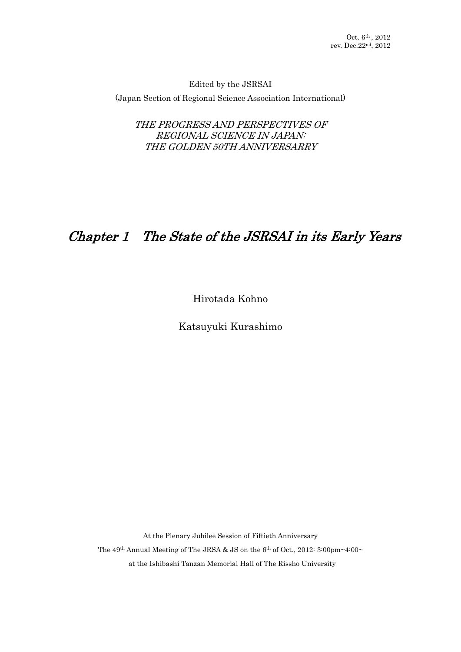Edited by the JSRSAI (Japan Section of Regional Science Association International)

THE PROGRESS AND PERSPECTIVES OF REGIONAL SCIENCE IN JAPAN: THE GOLDEN 50TH ANNIVERSARRY

# Chapter 1- The State of the JSRSAI in its Early Years

Hirotada Kohno

Katsuyuki Kurashimo

At the Plenary Jubilee Session of Fiftieth Anniversary The 49<sup>th</sup> Annual Meeting of The JRSA & JS on the 6<sup>th</sup> of Oct., 2012: 3:00pm~4:00~ at the Ishibashi Tanzan Memorial Hall of The Rissho University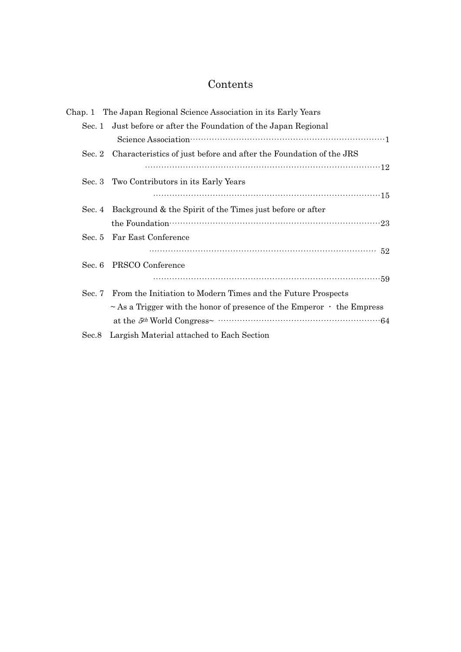# Contents

|          | Chap. 1 The Japan Regional Science Association in its Early Years                 |
|----------|-----------------------------------------------------------------------------------|
|          | Sec. 1 Just before or after the Foundation of the Japan Regional                  |
|          |                                                                                   |
| Sec. $2$ | Characteristics of just before and after the Foundation of the JRS                |
|          |                                                                                   |
|          | Sec. 3 Two Contributors in its Early Years                                        |
|          |                                                                                   |
|          | Sec. 4 Background & the Spirit of the Times just before or after                  |
|          |                                                                                   |
|          | Sec. 5 Far East Conference                                                        |
|          |                                                                                   |
| Sec. 6   | PRSCO Conference                                                                  |
|          |                                                                                   |
|          | Sec. 7 From the Initiation to Modern Times and the Future Prospects               |
|          | $\sim$ As a Trigger with the honor of presence of the Emperor $\cdot$ the Empress |
|          |                                                                                   |
| Sec.8    | Largish Material attached to Each Section                                         |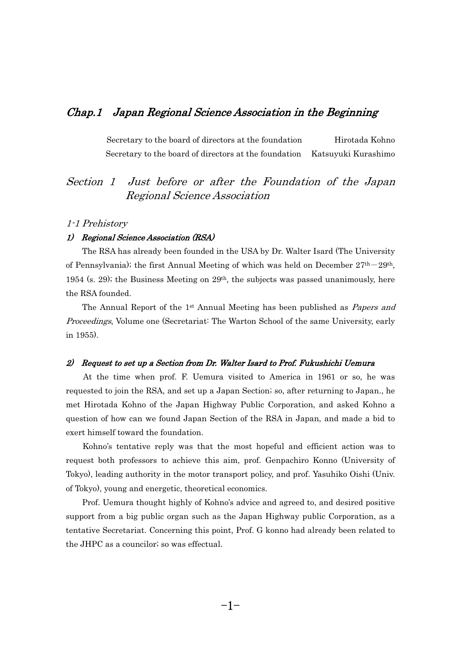#### Chap.1- Japan Regional Science Association in the Beginning

Secretary to the board of directors at the foundation- Hirotada Kohno Secretary to the board of directors at the foundation Katsuyuki Kurashimo

## Section 1 Just before or after the Foundation of the Japan Regional Science Association

#### 1-1 Prehistory

## 1) Regional Science Association (RSA) -

 The RSA has already been founded in the USA by Dr. Walter Isard (The University of Pennsylvania); the first Annual Meeting of which was held on December  $27<sup>th</sup>-29<sup>th</sup>$ , 1954 (s. 29); the Business Meeting on 29th, the subjects was passed unanimously, here the RSA founded. e

The Annual Report of the  $1<sup>st</sup>$  Annual Meeting has been published as *Papers and Proceedings*, Volume one (Secretariat: The Warton School of the same University, early in 1955).

## 2) Request to set up a Section from Dr. Walter Isard to Prof. Fukushichi Uemura

 At the time when prof. F. Uemura visited to America in 1961 or so, he was requested to join the RSA, and set up a Japan Section; so, after returning to Japan., he met Hirotada Kohno of the Japan Highway Public Corporation, and asked Kohno a question of how can we found Japan Section of the RSA in Japan, and made a bid to exert himself toward the foundation. e<sup>e</sup>

 Kohno's tentative reply was that the most hopeful and efficient action was to request both professors to achieve this aim, prof. Genpachiro Konno (University of Tokyo), leading authority in the motor transport policy, and prof. Yasuhiko Oishi (Univ. of Tokyo), young and energetic, theoretical economics. -

 Prof. Uemura thought highly of Kohno's advice and agreed to, and desired positive support from a big public organ such as the Japan Highway public Corporation, as a tentative Secretariat. Concerning this point, Prof. G konno had already been related to the JHPC as a councilor; so was effectual.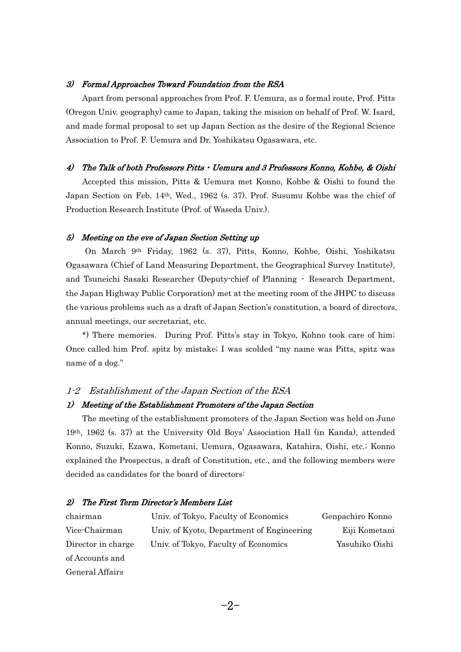## 3) Formal Approaches Toward Foundation from the RSA -

 Apart from personal approaches from Prof. F. Uemura, as a formal route, Prof. Pitts (Oregon Univ. geography) came to Japan, taking the mission on behalf of Prof. W. Isard, and made formal proposal to set up Japan Section as the desire of the Regional Science Association to Prof. F. Uemura and Dr. Yoshikatsu Ogasawara, etc.

#### $\overline{4}$ The Talk of both Professors Pitts · Uemura and 3 Professors Konno, Kohbe, & Oishi -

 Accepted this mission, Pitts & Uemura met Konno, Kohbe & Oishi to found the Japan Section on Feb. 14th, Wed., 1962 (s. 37). Prof. Susumu Kohbe was the chief of Production Research Institute (Prof. of Waseda Univ.).

## 5) Meeting on the eve of Japan Section Setting up

 On March 9th Friday, 1962 (s. 37), Pitts, Konno, Kohbe, Oishi, Yoshikatsu Ogasawara (Chief of Land Measuring Department, the Geographical Survey Institute), and Tsuneichi Sasaki Researcher (Deputy-chief of Planning  $\cdot$  Research Department, the Japan Highway Public Corporation) met at the meeting room of the JHPC to discuss the various problems such as a draft of Japan Section's constitution, a board of directors, annual meetings, our secretariat, etc. n<br>I

 \*) There memories. During Prof. Pitts's stay in Tokyo, Kohno took care of him; Once called him Prof. spitz by mistake; I was scolded "my name was Pitts, spitz was name of a dog."

#### 1-2 Establishment of the Japan Section of the RSA

## 1) Meeting of the Establishment Promoters of the Japan Section -

 The meeting of the establishment promoters of the Japan Section was held on June 19th, 1962 (s. 37) at the University Old Boys' Association Hall (in Kanda), attended Konno, Suzuki, Ezawa, Kometani, Uemura, Ogasawara, Katahira, Oishi, etc.; Konno explained the Prospectus, a draft of Constitution, etc., and the following members were decided as candidates for the board of directors:

#### 2)-The First Term Director's Members List

| chairman           | Univ. of Tokyo, Faculty of Economics      | Genpachiro Konno |
|--------------------|-------------------------------------------|------------------|
| Vice-Chairman      | Univ. of Kyoto, Department of Engineering | Eiji Kometani    |
| Director in charge | Univ. of Tokyo, Faculty of Economics      | Yasuhiko Oishi   |
| of Accounts and    |                                           |                  |
| General Affairs    |                                           |                  |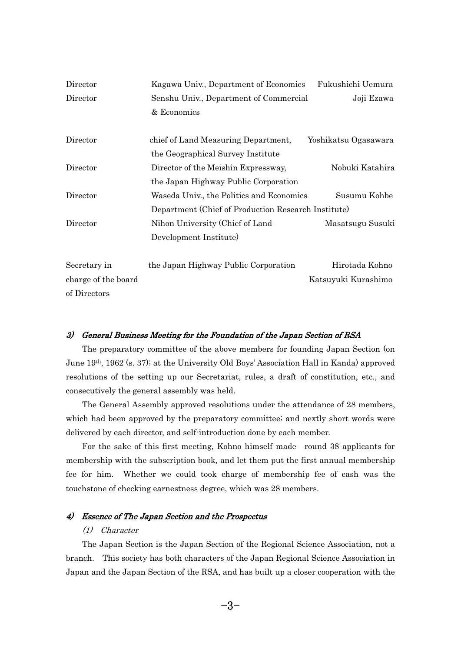| Director            | Kagawa Univ., Department of Economics               | Fukushichi Uemura    |
|---------------------|-----------------------------------------------------|----------------------|
| Director            | Senshu Univ., Department of Commercial              | Joji Ezawa           |
|                     | & Economics                                         |                      |
| Director            | chief of Land Measuring Department,                 | Yoshikatsu Ogasawara |
|                     | the Geographical Survey Institute                   |                      |
| Director            | Director of the Meishin Expressway,                 | Nobuki Katahira      |
|                     | the Japan Highway Public Corporation                |                      |
| Director            | Waseda Univ., the Politics and Economics            | Susumu Kohbe         |
|                     | Department (Chief of Production Research Institute) |                      |
| Director            | Nihon University (Chief of Land                     | Masatsugu Susuki     |
|                     | Development Institute)                              |                      |
| Secretary in        | the Japan Highway Public Corporation                | Hirotada Kohno       |
| charge of the board |                                                     | Katsuyuki Kurashimo  |
| of Directors        |                                                     |                      |

## 3) General Business Meeting for the Foundation of the Japan Section of RSA -

 The preparatory committee of the above members for founding Japan Section (on June 19th, 1962 (s. 37); at the University Old Boys' Association Hall in Kanda) approved resolutions of the setting up our Secretariat, rules, a draft of constitution, etc., and consecutively the general assembly was held. n<br>.

 The General Assembly approved resolutions under the attendance of 28 members, which had been approved by the preparatory committee; and nextly short words were delivered by each director, and self-introduction done by each member.  $\frac{1}{2}$ 

 For the sake of this first meeting, Kohno himself made round 38 applicants for membership with the subscription book, and let them put the first annual membership fee for him. Whether we could took charge of membership fee of cash was the touchstone of checking earnestness degree, which was 28 members.

#### 4)- Essence of The Japan Section and the Prospectus

#### (1) Character

 The Japan Section is the Japan Section of the Regional Science Association, not a branch. This society has both characters of the Japan Regional Science Association in Japan and the Japan Section of the RSA, and has built up a closer cooperation with the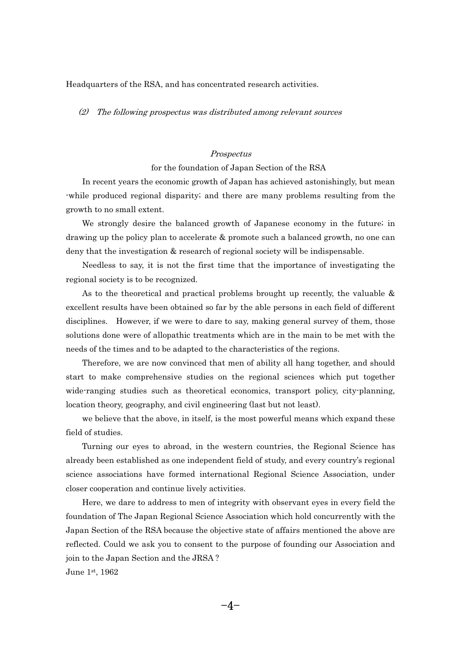Headquarters of the RSA, and has concentrated research activities.

(2) The following prospectus was distributed among relevant sources

#### Prospectus

#### for the foundation of Japan Section of the RSA

 In recent years the economic growth of Japan has achieved astonishingly, but mean -while produced regional disparity; and there are many problems resulting from the growth to no small extent. <sup>0</sup>

 We strongly desire the balanced growth of Japanese economy in the future; in drawing up the policy plan to accelerate & promote such a balanced growth, no one can deny that the investigation & research of regional society will be indispensable. n<br>E

 Needless to say, it is not the first time that the importance of investigating the regional society is to be recognized. g

As to the theoretical and practical problems brought up recently, the valuable & excellent results have been obtained so far by the able persons in each field of different disciplines. However, if we were to dare to say, making general survey of them, those solutions done were of allopathic treatments which are in the main to be met with the needs of the times and to be adapted to the characteristics of the regions. e<br>Se

 Therefore, we are now convinced that men of ability all hang together, and should start to make comprehensive studies on the regional sciences which put together wide-ranging studies such as theoretical economics, transport policy, city-planning, location theory, geography, and civil engineering (last but not least).  $\ddot{\phantom{0}}$ 

 we believe that the above, in itself, is the most powerful means which expand these field of studies.  $\mathbf{d}$ 

 Turning our eyes to abroad, in the western countries, the Regional Science has already been established as one independent field of study, and every country's regional science associations have formed international Regional Science Association, under closer cooperation and continue lively activities. - $\frac{1}{2}$ 

 Here, we dare to address to men of integrity with observant eyes in every field the foundation of The Japan Regional Science Association which hold concurrently with the Japan Section of the RSA because the objective state of affairs mentioned the above are reflected. Could we ask you to consent to the purpose of founding our Association and join to the Japan Section and the JRSA ?

June 1st, 1962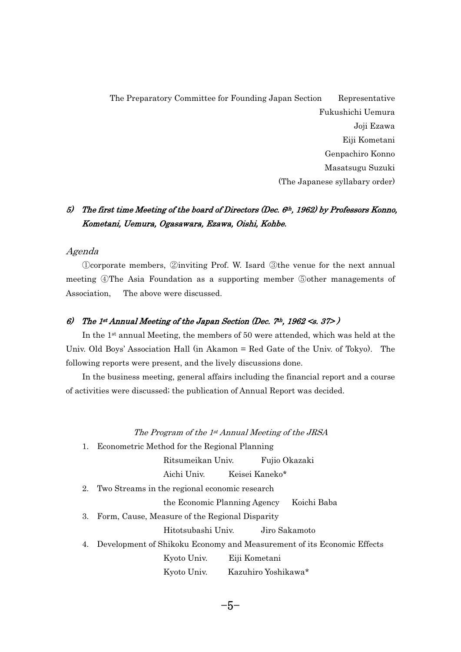The Preparatory Committee for Founding Japan Section- Representative Fukushichi Uemura Joji Ezawa Eiji Kometani Genpachiro Konno Masatsugu Suzuki (The Japanese syllabary order)

## 5) The first time Meeting of the board of Directors (Dec. 6th, 1962) by Professors Konno, Kometani, Uemura, Ogasawara, Ezawa, Oishi, Kohbe.

## Agenda

Deorporate members, ②inviting Prof. W. Isard ③the venue for the next annual meeting  $\mathcal{D}$ The Asia Foundation as a supporting member  $\mathcal{D}$ other managements of Association, The above were discussed.

## 6) The 1st Annual Meeting of the Japan Section (Dec.  $7h$ , 1962 <s. 37>) -

 In the 1st annual Meeting, the members of 50 were attended, which was held at the Univ. Old Boys' Association Hall (in Akamon = Red Gate of the Univ. of Tokyo). The following reports were present, and the lively discussions done.  $\mathbf{u}$ 

 In the business meeting, general affairs including the financial report and a course of activities were discussed; the publication of Annual Report was decided.

#### The Program of the 1st Annual Meeting of the JRSA

1. Econometric Method for the Regional Planning<br>
Ritsumeikan Univ. Fuji

Ritsumeikan Univ. Fujio Okazaki

Aichi Univ. Keisei Kaneko\*

2. Two Streams in the regional economic research<br>the Economic Planning Agenc

the Economic Planning Agency Koichi Baba

3. Form, Cause, Measure of the Regional Disparity<br>Hitotsubashi Univ. Jiro S

Hitotsubashi Univ. Jiro Sakamoto

4. Development of Shikoku Economy and Measurement of its Economic Effects --------

 Kyoto Univ. Eiji Kometani Kyoto Univ. Kazuhiro Yoshikawa\*

 $-5-$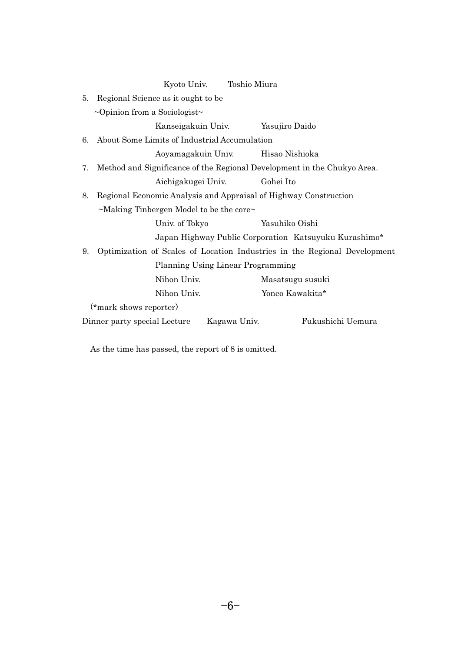| Kyoto Univ.                                                                     | Toshio Miura       |                   |  |  |  |  |
|---------------------------------------------------------------------------------|--------------------|-------------------|--|--|--|--|
| Regional Science as it ought to be<br>5.                                        |                    |                   |  |  |  |  |
| $\sim$ Opinion from a Sociologist $\sim$                                        |                    |                   |  |  |  |  |
|                                                                                 | Kanseigakuin Univ. | Yasujiro Daido    |  |  |  |  |
| About Some Limits of Industrial Accumulation<br>6.                              |                    |                   |  |  |  |  |
| Aoyamagakuin Univ.                                                              |                    | Hisao Nishioka    |  |  |  |  |
| Method and Significance of the Regional Development in the Chukyo Area.<br>7.   |                    |                   |  |  |  |  |
| Aichigakugei Univ.                                                              |                    | Gohei Ito         |  |  |  |  |
| Regional Economic Analysis and Appraisal of Highway Construction<br>8.          |                    |                   |  |  |  |  |
| $\sim$ Making Tinbergen Model to be the core $\sim$                             |                    |                   |  |  |  |  |
| Univ. of Tokyo                                                                  |                    | Yasuhiko Oishi    |  |  |  |  |
| Japan Highway Public Corporation Katsuyuku Kurashimo*                           |                    |                   |  |  |  |  |
| Optimization of Scales of Location Industries in the Regional Development<br>9. |                    |                   |  |  |  |  |
| Planning Using Linear Programming                                               |                    |                   |  |  |  |  |
| Nihon Univ.                                                                     |                    | Masatsugu susuki  |  |  |  |  |
| Nihon Univ.                                                                     |                    | Yoneo Kawakita*   |  |  |  |  |
| (*mark shows reporter)                                                          |                    |                   |  |  |  |  |
| Dinner party special Lecture                                                    | Kagawa Univ.       | Fukushichi Uemura |  |  |  |  |

As the time has passed, the report of 8 is omitted.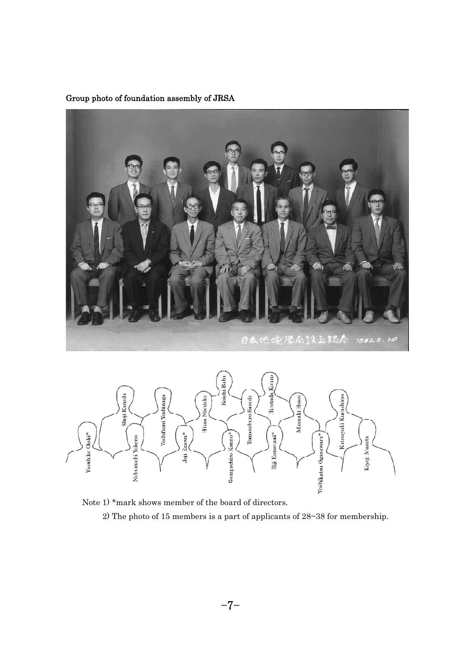





 Note 1) \*mark shows member of the board of directors. 2) The photo of 15 members is a part of applicants of 28~38 for membership.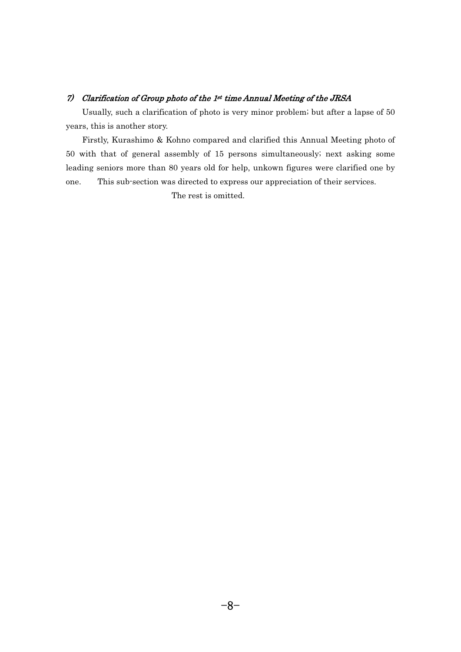## 7) Clarification of Group photo of the 1st time Annual Meeting of the JRSA -

 Usually, such a clarification of photo is very minor problem; but after a lapse of 50 years, this is another story. a

 Firstly, Kurashimo & Kohno compared and clarified this Annual Meeting photo of 50 with that of general assembly of 15 persons simultaneously; next asking some leading seniors more than 80 years old for help, unkown figures were clarified one by<br>one. This sub-section was directed to express our appreciation of their services. g This sub-section was directed to express our appreciation of their services. one.  $\epsilon$ The rest is omitted.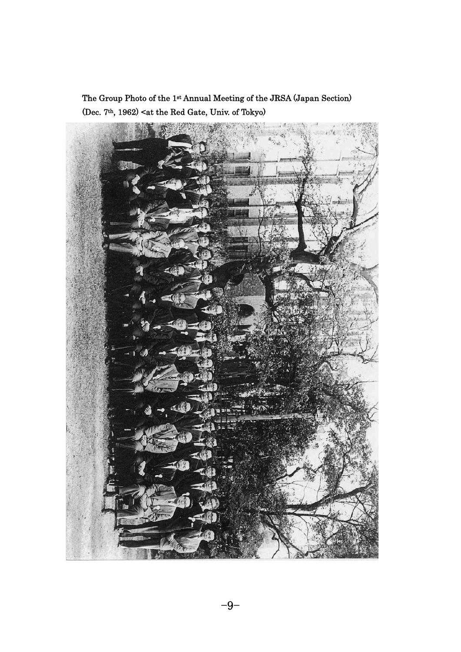The Group Photo of the 1st Annual Meeting of the JRSA (Japan Section) (Dec. 7<sup>th</sup>, 1962) <at the Red Gate, Univ. of Tokyo)

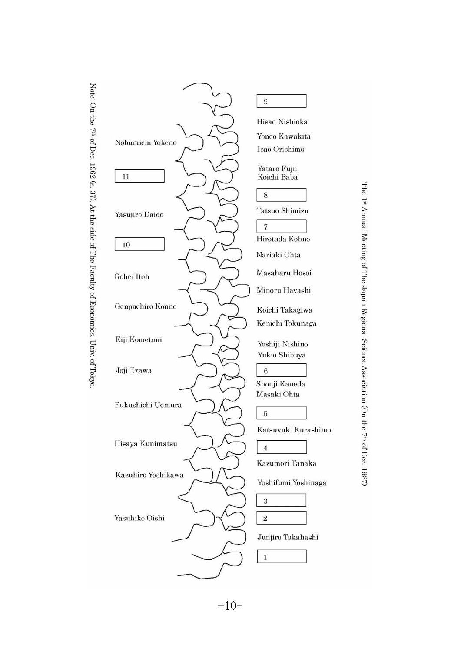



The 1st Annual Meeting of The Japan Regional Science Association (On the 7th of Dec. 1937)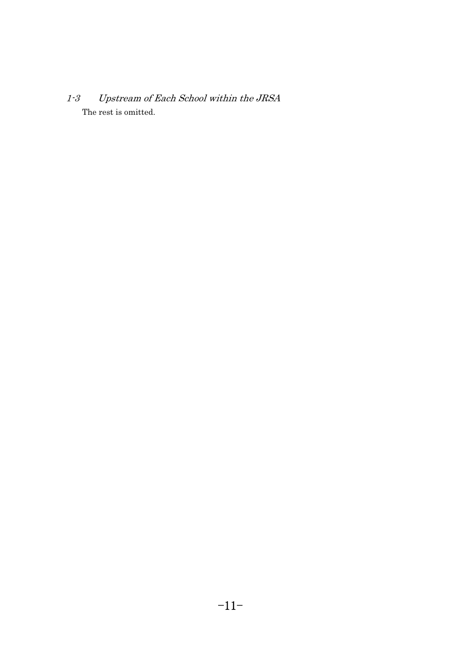$1-3$  Upstream of Each School within the JRSA <u>لئ</u><br>-The rest is omitted.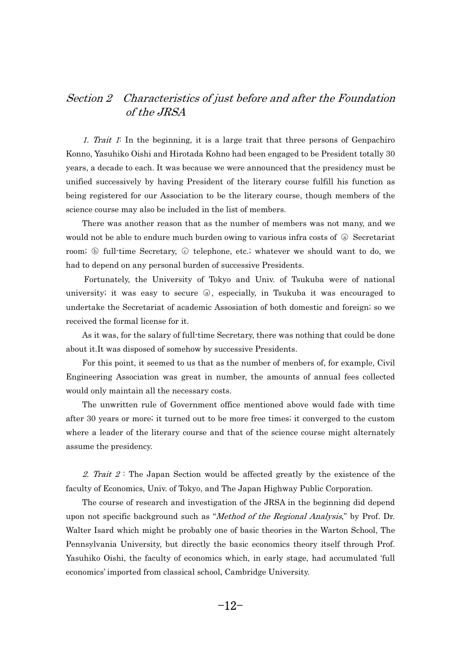## Section 2 Characteristics of just before and after the Foundation of the JRSA

1. Trait 1: In the beginning, it is a large trait that three persons of Genpachiro Konno, Yasuhiko Oishi and Hirotada Kohno had been engaged to be President totally 30 years, a decade to each. It was because we were announced that the presidency must be unified successively by having President of the literary course fulfill his function as being registered for our Association to be the literary course, though members of the science course may also be included in the list of members.  $i\epsilon$ 

 There was another reason that as the number of members was not many, and we There was another reason that as the number of members was not many, and we would not be able to endure much burden owing to various infra costs of  $\circledast$  Secretariat would not be able to endure much burden owing to various infra costs of @ Secretariat room; \ 6 full-time Secretary, \ \ 6 telephone, etc.; whatever we should want to do, we had to depend on any personal burden of successive Presidents.  $\mathbf{c}$ 

 Fortunately, the University of Tokyo and Univ. of Tsukuba were of national university; it was easy to secure  $\circledast$ , especially, in Tsukuba it was encouraged to undertake the Secretariat of academic Assosiation of both domestic and foreign; so we received the formal license for it. <sup>c</sup>

 As it was, for the salary of full-time Secretary, there was nothing that could be done about it. It was disposed of somehow by successive Presidents. <sup>.</sup>

 For this point, it seemed to us that as the number of menbers of, for example, Civil Engineering Association was great in number, the amounts of annual fees collected would only maintain all the necessary costs.  $\overline{\phantom{a}}$ 

 The unwritten rule of Government office mentioned above would fade with time after 30 years or more; it turned out to be more free times; it converged to the custom where a leader of the literary course and that of the science course might alternately assume the presidency.

2. Trait  $2$ : The Japan Section would be affected greatly by the existence of the faculty of Economics, Univ. of Tokyo, and The Japan Highway Public Corporation.  $\mathbf{c}$ 

- The course of research and investigation of the JRSA in the beginning did depend upon not specific background such as "*Method of the Regional Analysis*," by Prof. Dr. Walter Isard which might be probably one of basic theories in the Warton School, The Pennsylvania University, but directly the basic economics theory itself through Prof. Yasuhiko Oishi, the faculty of economics which, in early stage, had accumulated 'full economics' imported from classical school, Cambridge University.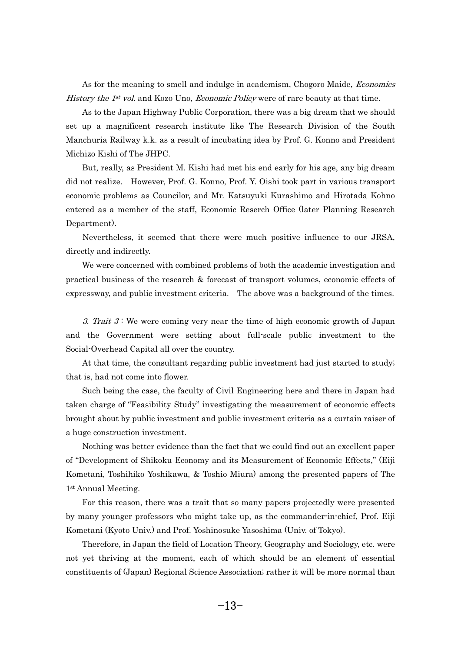As for the meaning to smell and indulge in academism, Chogoro Maide, *Economics* History the  $1^{st}$  vol. and Kozo Uno, *Economic Policy* were of rare beauty at that time. is<br>.

 As to the Japan Highway Public Corporation, there was a big dream that we should set up a magnificent research institute like The Research Division of the South Manchuria Railway k.k. as a result of incubating idea by Prof. G. Konno and President Michizo Kishi of The JHPC. id<br>i

 But, really, as President M. Kishi had met his end early for his age, any big dream did not realize. However, Prof. G. Konno, Prof. Y. Oishi took part in various transport economic problems as Councilor, and Mr. Katsuyuki Kurashimo and Hirotada Kohno entered as a member of the staff, Economic Reserch Office (later Planning Research Department). e<br>1

 Nevertheless, it seemed that there were much positive influence to our JRSA, directly and indirectly. r

 We were concerned with combined problems of both the academic investigation and practical business of the research & forecast of transport volumes, economic effects of expressway, and public investment criteria. The above was a background of the times.

3. Trait  $3$ : We were coming very near the time of high economic growth of Japan and the Government were setting about full-scale public investment to the Social-Overhead Capital all over the country. <sub>c</sub>

 At that time, the consultant regarding public investment had just started to study; that is, had not come into flower. a

 Such being the case, the faculty of Civil Engineering here and there in Japan had taken charge of "Feasibility Study" investigating the measurement of economic effects brought about by public investment and public investment criteria as a curtain raiser of a huge construction investment. h<br>1

 Nothing was better evidence than the fact that we could find out an excellent paper of "Development of Shikoku Economy and its Measurement of Economic Effects," (Eiji Kometani, Toshihiko Yoshikawa, & Toshio Miura) among the presented papers of The 1st Annual Meeting. -

 For this reason, there was a trait that so many papers projectedly were presented by many younger professors who might take up, as the commander-in-chief, Prof. Eiji Kometani (Kyoto Univ.) and Prof. Yoshinosuke Yasoshima (Univ. of Tokyo). וכ<br>|

 Therefore, in Japan the field of Location Theory, Geography and Sociology, etc. were not yet thriving at the moment, each of which should be an element of essential constituents of (Japan) Regional Science Association; rather it will be more normal than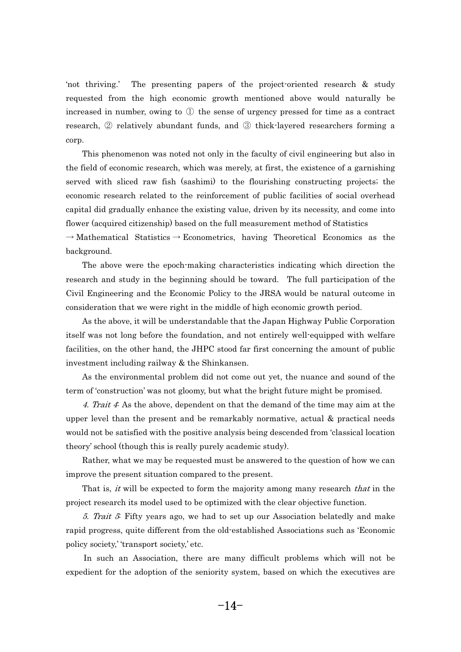'not thriving.' The presenting papers of the project-oriented research & study requested from the high economic growth mentioned above would naturally be increased in number, owing to  $\overline{0}$  the sense of urgency pressed for time as a contract increased in number, owing to  $\mathbb D$  the sense of urgency pressed for time as a contract research,  $\mathbb Q$  relatively abundant funds, and  $\mathbb Q$  thick-layered researchers forming a corp.  $\mathbf{r}$ 

 This phenomenon was noted not only in the faculty of civil engineering but also in the field of economic research, which was merely, at first, the existence of a garnishing served with sliced raw fish (sashimi) to the flourishing constructing projects; the economic research related to the reinforcement of public facilities of social overhead capital did gradually enhance the existing value, driven by its necessity, and come into flower (acquired citizenship) based on the full measurement method of Statistics

 $\rightarrow$  Mathematical Statistics  $\rightarrow$  Econometrics, having Theoretical Economics as the background. -<sup>L</sup>C

 The above were the epoch-making characteristics indicating which direction the research and study in the beginning should be toward. The full participation of the Civil Engineering and the Economic Policy to the JRSA would be natural outcome in consideration that we were right in the middle of high economic growth period. n<br>.

 As the above, it will be understandable that the Japan Highway Public Corporation itself was not long before the foundation, and not entirely well-equipped with welfare facilities, on the other hand, the JHPC stood far first concerning the amount of public investment including railway  $&$  the Shinkansen. v<br>V

 As the environmental problem did not come out yet, the nuance and sound of the term of 'construction' was not gloomy, but what the bright future might be promised. r:

4. Trait 4: As the above, dependent on that the demand of the time may aim at the upper level than the present and be remarkably normative, actual  $\&$  practical needs would not be satisfied with the positive analysis being descended from 'classical location theory' school (though this is really purely academic study). e<sup>\*</sup>

 Rather, what we may be requested must be answered to the question of how we can improve the present situation compared to the present. .<br>|}

That is, *it* will be expected to form the majority among many research *that* in the project research its model used to be optimized with the clear objective function. <sup>0</sup>

5. Trait 5: Fifty years ago, we had to set up our Association belatedly and make rapid progress, quite different from the old-established Associations such as 'Economic policy society, 'transport society,' etc. li<br>.

 $-2$   $-2$   $-1$  In such an Association, there are many difficult problems which will not be expedient for the adoption of the seniority system, based on which the executives are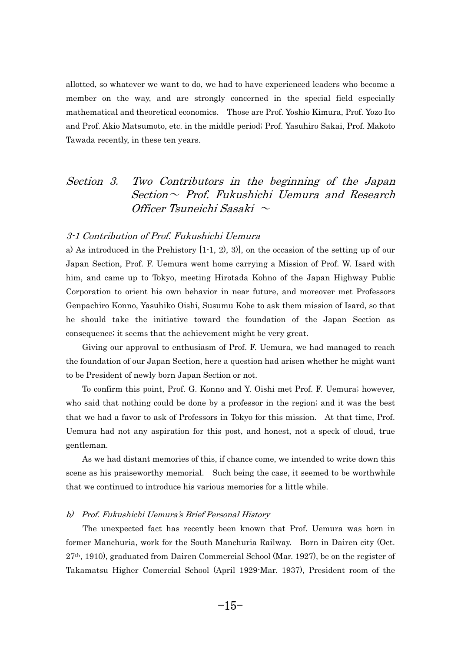allotted, so whatever we want to do, we had to have experienced leaders who become a member on the way, and are strongly concerned in the special field especially mathematical and theoretical economics. Those are Prof. Yoshio Kimura, Prof. Yozo Ito and Prof. Akio Matsumoto, etc. in the middle period; Prof. Yasuhiro Sakai, Prof. Makoto Tawada recently, in these ten years.

## Section 3. Two Contributors in the beginning of the Japan  $Section ~$  Prof. Fukushichi Uemura and Research Officer Tsuneichi Sasaki  $\sim$

#### 3-1 Contribution of Prof. Fukushichi Uemura

a) As introduced in the Prehistory [1-1, 2), 3)], on the occasion of the setting up of our Japan Section, Prof. F. Uemura went home carrying a Mission of Prof. W. Isard with him, and came up to Tokyo, meeting Hirotada Kohno of the Japan Highway Public Corporation to orient his own behavior in near future, and moreover met Professors Genpachiro Konno, Yasuhiko Oishi, Susumu Kobe to ask them mission of Isard, so that he should take the initiative toward the foundation of the Japan Section as consequence; it seems that the achievement might be very great. n<br>.

 Giving our approval to enthusiasm of Prof. F. Uemura, we had managed to reach the foundation of our Japan Section, here a question had arisen whether he might want to be President of newly born Japan Section or not. -

 To confirm this point, Prof. G. Konno and Y. Oishi met Prof. F. Uemura; however, who said that nothing could be done by a professor in the region; and it was the best that we had a favor to ask of Professors in Tokyo for this mission. At that time, Prof. Uemura had not any aspiration for this post, and honest, not a speck of cloud, true gentleman. n<br>C

 As we had distant memories of this, if chance come, we intended to write down this scene as his praiseworthy memorial. Such being the case, it seemed to be worthwhile that we continued to introduce his various memories for a little while.

#### b) Prof. Fukushichi Uemura's Brief Personal History

 The unexpected fact has recently been known that Prof. Uemura was born in former Manchuria, work for the South Manchuria Railway. Born in Dairen city (Oct. 27th, 1910), graduated from Dairen Commercial School (Mar. 1927), be on the register of Takamatsu Higher Comercial School (April 1929-Mar. 1937), President room of the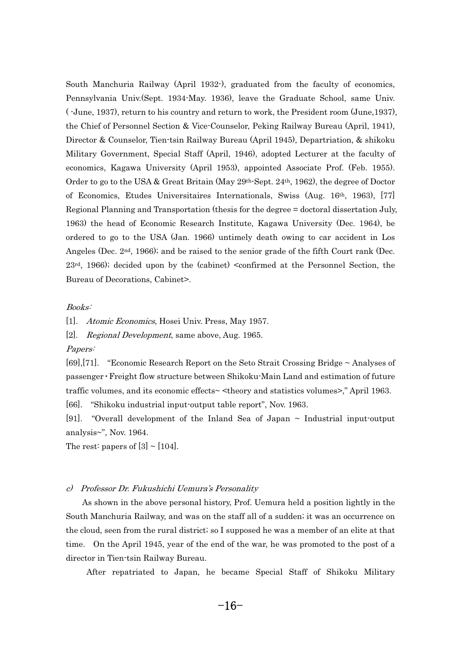South Manchuria Railway (April 1932-), graduated from the faculty of economics, Pennsylvania Univ.(Sept. 1934-May. 1936), leave the Graduate School, same Univ. ( -June, 1937), return to his country and return to work, the President room (June,1937), the Chief of Personnel Section & Vice-Counselor, Peking Railway Bureau (April, 1941), Director & Counselor, Tien-tsin Railway Bureau (April 1945), Departriation, & shikoku Military Government, Special Staff (April, 1946), adopted Lecturer at the faculty of economics, Kagawa University (April 1953), appointed Associate Prof. (Feb. 1955). Order to go to the USA & Great Britain (May  $29^{th}$ -Sept.  $24^{th}$ , 1962), the degree of Doctor of Economics, Etudes Universitaires Internationals, Swiss (Aug. 16th, 1963), [77] Regional Planning and Transportation (thesis for the degree = doctoral dissertation July, 1963) the head of Economic Research Institute, Kagawa University (Dec. 1964), be ordered to go to the USA (Jan. 1966) untimely death owing to car accident in Los Angeles (Dec.  $2<sup>nd</sup>$ , 1966); and be raised to the senior grade of the fifth Court rank (Dec.  $23<sup>rd</sup>$ , 1966); decided upon by the (cabinet) <confirmed at the Personnel Section, the Bureau of Decorations, Cabinet>.

#### Books:

[1]. Atomic Economics, Hosei Univ. Press, May 1957.

[2]. Regional Development, same above, Aug. 1965.

#### Papers:

[69],[71]. "Economic Research Report on the Seto Strait Crossing Bridge ~ Analyses of passenger • Freight flow structure between Shikoku-Main Land and estimation of future traffic volumes, and its economic effects~ <theory and statistics volumes>," April 1963. [66]. "Shikoku industrial input-output table report", Nov. 1963.

[91]. "Overall development of the Inland Sea of Japan ~ Industrial input-output analysis~", Nov. 1964.

The rest: papers of  $[3] \sim [104]$ .

## c) Professor Dr. Fukushichi Uemura's Personality -

 As shown in the above personal history, Prof. Uemura held a position lightly in the South Manchuria Railway, and was on the staff all of a sudden; it was an occurrence on the cloud, seen from the rural district; so I supposed he was a member of an elite at that time. On the April 1945, year of the end of the war, he was promoted to the post of a director in Tien-tsin Railway Bureau. e,

After repatriated to Japan, he became Special Staff of Shikoku Military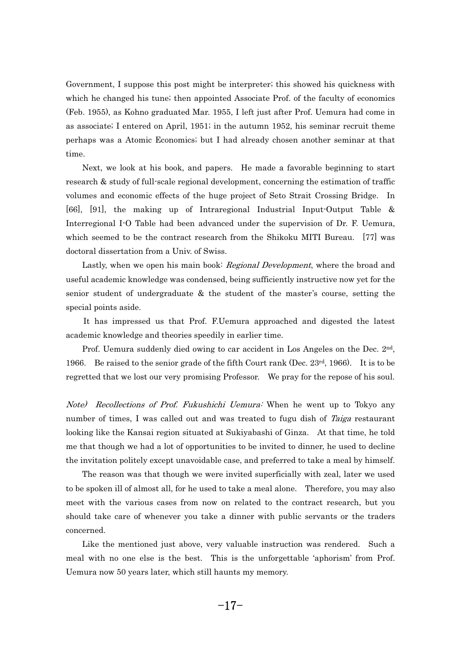Government, I suppose this post might be interpreter; this showed his quickness with which he changed his tune; then appointed Associate Prof. of the faculty of economics (Feb. 1955), as Kohno graduated Mar. 1955, I left just after Prof. Uemura had come in as associate; I entered on April, 1951; in the autumn 1952, his seminar recruit theme perhaps was a Atomic Economics; but I had already chosen another seminar at that time. m<br>C

 Next, we look at his book, and papers. He made a favorable beginning to start research & study of full-scale regional development, concerning the estimation of traffic volumes and economic effects of the huge project of Seto Strait Crossing Bridge. In [66], [91], the making up of Intraregional Industrial Input-Output Table & Interregional I-O Table had been advanced under the supervision of Dr. F. Uemura, which seemed to be the contract research from the Shikoku MITI Bureau. [77] was doctoral dissertation from a Univ. of Swiss. <sup>o</sup>c

Lastly, when we open his main book: *Regional Development*, where the broad and useful academic knowledge was condensed, being sufficiently instructive now yet for the senior student of undergraduate & the student of the master's course, setting the special points aside. e

 It has impressed us that Prof. F.Uemura approached and digested the latest academic knowledge and theories speedily in earlier time. a

 Prof. Uemura suddenly died owing to car accident in Los Angeles on the Dec. 2nd, 1966. Be raised to the senior grade of the fifth Court rank (Dec.  $23<sup>rd</sup>$ , 1966). It is to be regretted that we lost our very promising Professor. We pray for the repose of his soul.

Note) Recollections of Prof. Fukushichi Uemura: When he went up to Tokyo any number of times, I was called out and was treated to fugu dish of Taiga restaurant looking like the Kansai region situated at Sukiyabashi of Ginza. At that time, he told me that though we had a lot of opportunities to be invited to dinner, he used to decline the invitation politely except unavoidable case, and preferred to take a meal by himself. e<sup>\*</sup>

 The reason was that though we were invited superficially with zeal, later we used to be spoken ill of almost all, for he used to take a meal alone. Therefore, you may also meet with the various cases from now on related to the contract research, but you should take care of whenever you take a dinner with public servants or the traders concerned. n<br>.

 Like the mentioned just above, very valuable instruction was rendered. Such a meal with no one else is the best. This is the unforgettable 'aphorism' from Prof. Uemura now 50 years later, which still haunts my memory.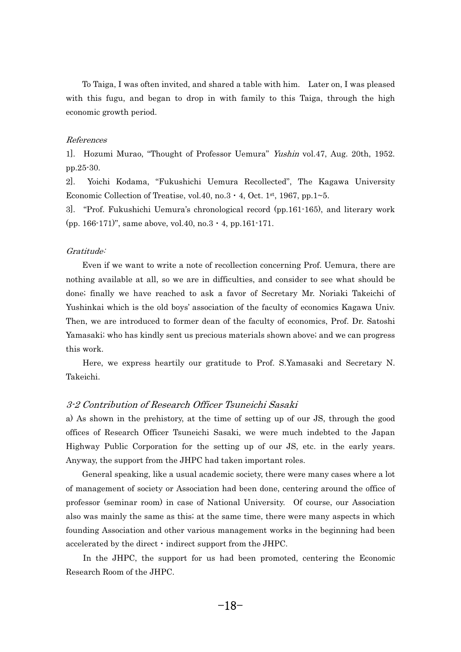To Taiga, I was often invited, and shared a table with him. Later on, I was pleased with this fugu, and began to drop in with family to this Taiga, through the high economic growth period.

#### References

1]. Hozumi Murao, "Thought of Professor Uemura" Yushin vol.47, Aug. 20th, 1952. pp.25-30.

2]. Yoichi Kodama, "Fukushichi Uemura Recollected", The Kagawa University Economic Collection of Treatise, vol.40, no.3  $\cdot$  4, Oct. 1st, 1967, pp.1~5.

3]. "Prof. Fukushichi Uemura's chronological record (pp.161-165), and literary work (pp. 166-171)", same above, vol.40, no.3  $\cdot$  4, pp.161-171.

## Gratitude: r:

 Even if we want to write a note of recollection concerning Prof. Uemura, there are nothing available at all, so we are in difficulties, and consider to see what should be done; finally we have reached to ask a favor of Secretary Mr. Noriaki Takeichi of Yushinkai which is the old boys' association of the faculty of economics Kagawa Univ. Then, we are introduced to former dean of the faculty of economics, Prof. Dr. Satoshi Yamasaki; who has kindly sent us precious materials shown above; and we can progress this work. is<br>.

 Here, we express heartily our gratitude to Prof. S.Yamasaki and Secretary N. Takeichi.

#### 3-2 Contribution of Research Officer Tsuneichi Sasaki

a) As shown in the prehistory, at the time of setting up of our JS, through the good offices of Research Officer Tsuneichi Sasaki, we were much indebted to the Japan Highway Public Corporation for the setting up of our JS, etc. in the early years. Anyway, the support from the JHPC had taken important roles. -.<br>2<br>|

 General speaking, like a usual academic society, there were many cases where a lot of management of society or Association had been done, centering around the office of professor (seminar room) in case of National University. Of course, our Association also was mainly the same as this; at the same time, there were many aspects in which founding Association and other various management works in the beginning had been accelerated by the direct  $\cdot$  indirect support from the JHPC. accelerated by the direct  $\cdot$  indirect support from the JHPC. <sup>c</sup>

 In the JHPC, the support for us had been promoted, centering the Economic Research Room of the JHPC.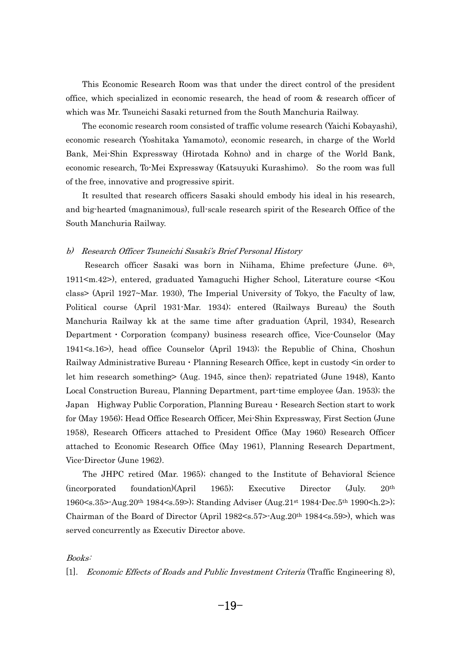This Economic Research Room was that under the direct control of the president office, which specialized in economic research, the head of room & research officer of which was Mr. Tsuneichi Sasaki returned from the South Manchuria Railway. n:<br>.

 The economic research room consisted of traffic volume research (Yaichi Kobayashi), economic research (Yoshitaka Yamamoto), economic research, in charge of the World Bank, Mei-Shin Expressway (Hirotada Kohno) and in charge of the World Bank, economic research, To-Mei Expressway (Katsuyuki Kurashimo). So the room was full of the free, innovative and progressive spirit. -

 It resulted that research officers Sasaki should embody his ideal in his research, and big-hearted (magnanimous), full-scale research spirit of the Research Office of the South Manchuria Railway.

## b) Research Officer Tsuneichi Sasaki's Brief Personal History

 Research officer Sasaki was born in Niihama, Ehime prefecture (June. 6th, 1911<m.42>), entered, graduated Yamaguchi Higher School, Literature course <Kou class> (April 1927~Mar. 1930), The Imperial University of Tokyo, the Faculty of law, Political course (April 1931-Mar. 1934); entered (Railways Bureau) the South Manchuria Railway kk at the same time after graduation (April, 1934), Research Department  $\cdot$  Corporation (company) business research office, Vice-Counselor (May 1941<s.16>), head office Counselor (April 1943); the Republic of China, Choshun Railway Administrative Bureau  $\cdot$  Planning Research Office, kept in custody  $\leq$ in order to let him research something> (Aug. 1945, since then); repatriated (June 1948), Kanto Local Construction Bureau, Planning Department, part-time employee (Jan. 1953); the Japan Highway Public Corporation, Planning Bureau  $\cdot$  Research Section start to work for (May 1956); Head Office Research Officer, Mei-Shin Expressway, First Section (June 1958), Research Officers attached to President Office (May 1960) Research Officer attached to Economic Research Office (May 1961), Planning Research Department, Vice-Director (June 1962). <sup>c</sup>

 The JHPC retired (Mar. 1965); changed to the Institute of Behavioral Science (incorporated foundation)(April 1965); Executive Director (July. 20th 1960<s.35>-Aug.20th 1984<s.59>); Standing Adviser (Aug.21st 1984-Dec.5th 1990<h.2>); Chairman of the Board of Director (April 1982<s.57>-Aug.20th 1984<s.59>), which was served concurrently as Executiv Director above.

#### Books:

[1]. Economic Effects of Roads and Public Investment Criteria (Traffic Engineering 8),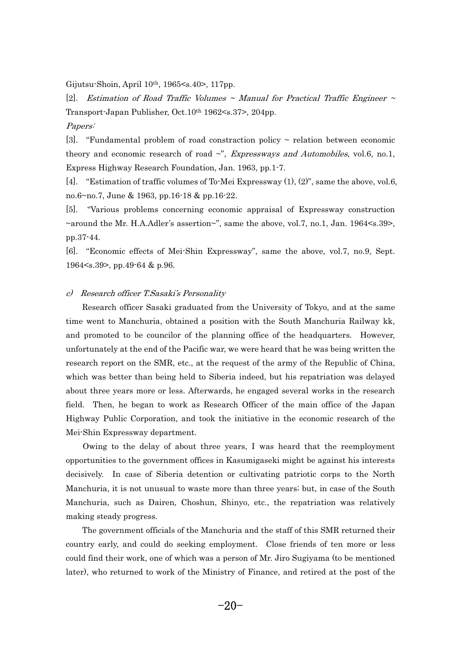Gijutsu-Shoin, April 10th, 1965<s.40>, 117pp.

[2]. Estimation of Road Traffic Volumes  $\sim$  Manual for Practical Traffic Engineer  $\sim$ Transport-Japan Publisher, Oct.10th 1962<s.37>, 204pp.

Papers:

[3]. "Fundamental problem of road constraction policy  $\sim$  relation between economic theory and economic research of road  $\sim$ ", *Expressways and Automobiles*, vol.6, no.1, Express Highway Research Foundation, Jan. 1963, pp.1-7.

[4]. "Estimation of traffic volumes of To-Mei Expressway (1), (2)", same the above, vol.6, no.6~no.7, June & 1963, pp.16-18 & pp.16-22.

[5]. "Various problems concerning economic appraisal of Expressway construction ~around the Mr. H.A.Adler's assertion~", same the above, vol.7, no.1, Jan. 1964<s.39>, pp.37-44.

[6]. "Economic effects of Mei-Shin Expressway", same the above, vol.7, no.9, Sept. 1964<s.39>, pp.49-64 & p.96.

## c) Research officer T.Sasaki's Personality

 Research officer Sasaki graduated from the University of Tokyo, and at the same time went to Manchuria, obtained a position with the South Manchuria Railway kk, and promoted to be councilor of the planning office of the headquarters. However, unfortunately at the end of the Pacific war, we were heard that he was being written the research report on the SMR, etc., at the request of the army of the Republic of China, which was better than being held to Siberia indeed, but his repatriation was delayed about three years more or less. Afterwards, he engaged several works in the research field. Then, he began to work as Research Officer of the main office of the Japan Highway Public Corporation, and took the initiative in the economic research of the Mei-Shin Expressway department. e:

 Owing to the delay of about three years, I was heard that the reemployment opportunities to the government offices in Kasumigaseki might be against his interests decisively. In case of Siberia detention or cultivating patriotic corps to the North Manchuria, it is not unusual to waste more than three years; but, in case of the South Manchuria, such as Dairen, Choshun, Shinyo, etc., the repatriation was relatively making steady progress. - $\mathbf{a}$ 

- The government officials of the Manchuria and the staff of this SMR returned their country early, and could do seeking employment. Close friends of ten more or less could find their work, one of which was a person of Mr. Jiro Sugiyama (to be mentioned later), who returned to work of the Ministry of Finance, and retired at the post of the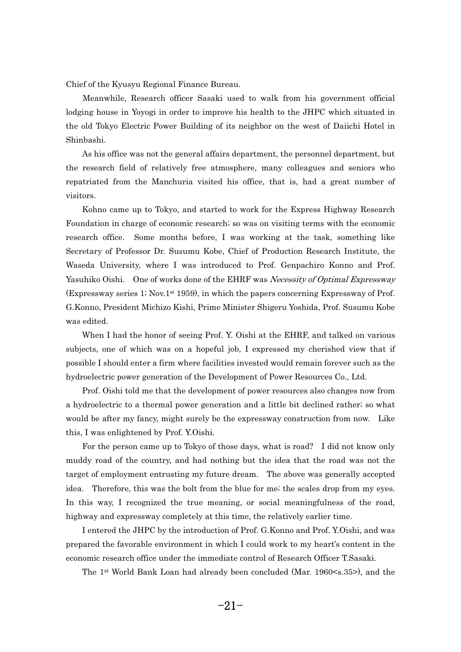Chief of the Kyusyu Regional Finance Bureau. -1i<br>1

 Meanwhile, Research officer Sasaki used to walk from his government official lodging house in Yoyogi in order to improve his health to the JHPC which situated in the old Tokyo Electric Power Building of its neighbor on the west of Daiichi Hotel in Shinbashi. ni<br>1

 As his office was not the general affairs department, the personnel department, but the research field of relatively free atmosphere, many colleagues and seniors who repatriated from the Manchuria visited his office, that is, had a great number of visitors. si<br>.

 Kohno came up to Tokyo, and started to work for the Express Highway Research Foundation in charge of economic research; so was on visiting terms with the economic research office. Some months before, I was working at the task, something like Secretary of Professor Dr. Susumu Kobe, Chief of Production Research Institute, the Waseda University, where I was introduced to Prof. Genpachiro Konno and Prof. Yasuhiko Oishi. One of works done of the EHRF was Necessity of Optimal Expressway (Expressway series 1; Nov.1st 1959), in which the papers concerning Expressway of Prof. G.Konno, President Michizo Kishi, Prime Minister Shigeru Yoshida, Prof. Susumu Kobe was edited. 1:<br>}

When I had the honor of seeing Prof. Y. Oishi at the EHRF, and talked on various subjects, one of which was on a hopeful job, I expressed my cherished view that if possible I should enter a firm where facilities invested would remain forever such as the hydroelectric power generation of the Development of Power Resources Co., Ltd.  $\overline{c}$ 

 Prof. Oishi told me that the development of power resources also changes now from a hydroelectric to a thermal power generation and a little bit declined rather; so what would be after my fancy, might surely be the expressway construction from now. Like this, I was enlightened by Prof. Y.Oishi. is<br>.

 For the person came up to Tokyo of those days, what is road? I did not know only muddy road of the country, and had nothing but the idea that the road was not the target of employment entrusting my future dream. The above was generally accepted idea. Therefore, this was the bolt from the blue for me; the scales drop from my eyes. In this way, I recognized the true meaning, or social meaningfulness of the road, highway and expressway completely at this time, the relatively earlier time. g

 I entered the JHPC by the introduction of Prof. G.Konno and Prof. Y.Oishi, and was prepared the favorable environment in which I could work to my heart's content in the economic research office under the immediate control of Research Officer T.Sasaki. <sup>0</sup>

---, ------<br>-The 1st World Bank Loan had already been concluded (Mar. 1960<s.35>), and the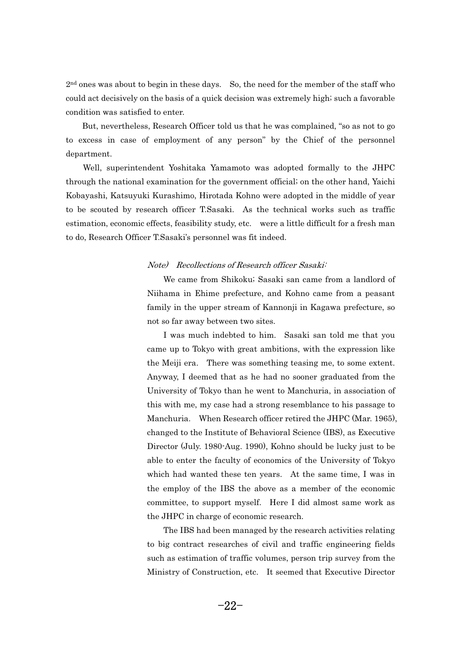$2<sup>nd</sup>$  ones was about to begin in these days. So, the need for the member of the staff who could act decisively on the basis of a quick decision was extremely high; such a favorable condition was satisfied to enter. n<br>.

 But, nevertheless, Research Officer told us that he was complained, "so as not to go to excess in case of employment of any person" by the Chief of the personnel department. p<br>1

 Well, superintendent Yoshitaka Yamamoto was adopted formally to the JHPC through the national examination for the government official; on the other hand, Yaichi Kobayashi, Katsuyuki Kurashimo, Hirotada Kohno were adopted in the middle of year to be scouted by research officer T.Sasaki. As the technical works such as traffic estimation, economic effects, feasibility study, etc. were a little difficult for a fresh man to do, Research Officer T.Sasaki's personnel was fit indeed.

## Note) Recollections of Research officer Sasaki<sup>:</sup>  $\overline{\mathcal{O}}$

 We came from Shikoku; Sasaki san came from a landlord of Niihama in Ehime prefecture, and Kohno came from a peasant family in the upper stream of Kannonji in Kagawa prefecture, so not so far away between two sites. -<sup>t</sup>

 I was much indebted to him. Sasaki san told me that you came up to Tokyo with great ambitions, with the expression like the Meiji era. There was something teasing me, to some extent. Anyway, I deemed that as he had no sooner graduated from the University of Tokyo than he went to Manchuria, in association of this with me, my case had a strong resemblance to his passage to Manchuria. When Research officer retired the JHPC (Mar. 1965), changed to the Institute of Behavioral Science (IBS), as Executive Director (July. 1980-Aug. 1990), Kohno should be lucky just to be able to enter the faculty of economics of the University of Tokyo which had wanted these ten years. At the same time, I was in the employ of the IBS the above as a member of the economic committee, to support myself. Here I did almost same work as the JHPC in charge of economic research. e<sub>.</sub>

- The IBS had been managed by the research activities relating to big contract researches of civil and traffic engineering fields such as estimation of traffic volumes, person trip survey from the Ministry of Construction, etc. It seemed that Executive Director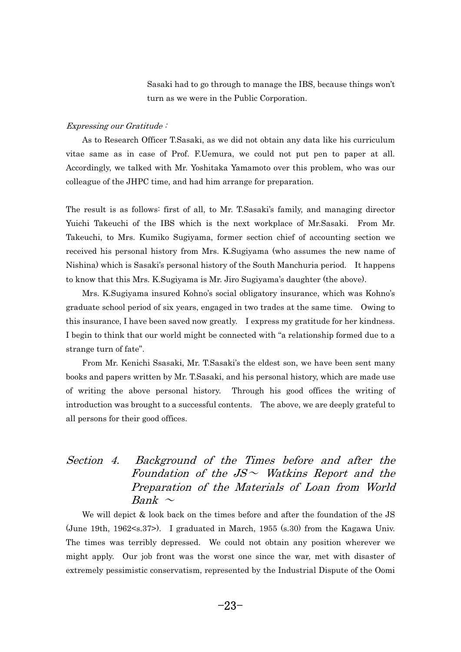Sasaki had to go through to manage the IBS, because things won't turn as we were in the Public Corporation.

## Expressing our Gratitude : - $\mathbf{r}_I$

 As to Research Officer T.Sasaki, as we did not obtain any data like his curriculum vitae same as in case of Prof. F.Uemura, we could not put pen to paper at all. Accordingly, we talked with Mr. Yoshitaka Yamamoto over this problem, who was our colleague of the JHPC time, and had him arrange for preparation.

The result is as follows: first of all, to Mr. T.Sasaki's family, and managing director Yuichi Takeuchi of the IBS which is the next workplace of Mr.Sasaki. From Mr. Takeuchi, to Mrs. Kumiko Sugiyama, former section chief of accounting section we received his personal history from Mrs. K.Sugiyama (who assumes the new name of Nishina) which is Sasaki's personal history of the South Manchuria period. It happens to know that this Mrs. K.Sugiyama is Mr. Jiro Sugiyama's daughter (the above). **1** 

 Mrs. K.Sugiyama insured Kohno's social obligatory insurance, which was Kohno's graduate school period of six years, engaged in two trades at the same time. Owing to this insurance, I have been saved now greatly. I express my gratitude for her kindness. I begin to think that our world might be connected with "a relationship formed due to a strange turn of fate".

From Mr. Kenichi Ssasaki, Mr. T.Sasaki's the eldest son, we have been sent many books and papers written by Mr. T.Sasaki, and his personal history, which are made use of writing the above personal history. Through his good offices the writing of introduction was brought to a successful contents. The above, we are deeply grateful to all persons for their good offices.

## Section 4. Background of the Times before and after the Foundation of the  $JS \sim$  Watkins Report and the Preparation of the Materials of Loan from World Bank  $\sim$

We will depict & look back on the times before and after the foundation of the JS (June 19th, 1962<s.37>). I graduated in March, 1955 (s.30) from the Kagawa Univ. The times was terribly depressed. We could not obtain any position wherever we might apply. Our job front was the worst one since the war, met with disaster of extremely pessimistic conservatism, represented by the Industrial Dispute of the Oomi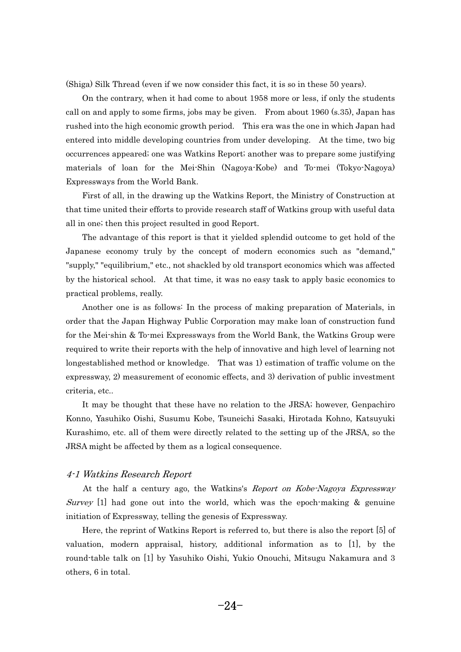(Shiga) Silk Thread (even if we now consider this fact, it is so in these 50 years). h<br>.

 On the contrary, when it had come to about 1958 more or less, if only the students call on and apply to some firms, jobs may be given. From about 1960 (s.35), Japan has rushed into the high economic growth period. This era was the one in which Japan had entered into middle developing countries from under developing. At the time, two big occurrences appeared; one was Watkins Report; another was to prepare some justifying materials of loan for the Mei-Shin (Nagoya-Kobe) and To-mei (Tokyo-Nagoya) Expressways from the World Bank. <sup>2</sup>

 First of all, in the drawing up the Watkins Report, the Ministry of Construction at that time united their efforts to provide research staff of Watkins group with useful data all in one; then this project resulted in good Report.  $\mathbf{I}$ 

 The advantage of this report is that it yielded splendid outcome to get hold of the Japanese economy truly by the concept of modern economics such as "demand," "supply," "equilibrium," etc., not shackled by old transport economics which was affected by the historical school. At that time, it was no easy task to apply basic economics to practical problems, really. a

 Another one is as follows: In the process of making preparation of Materials, in order that the Japan Highway Public Corporation may make loan of construction fund for the Mei-shin & To-mei Expressways from the World Bank, the Watkins Group were required to write their reports with the help of innovative and high level of learning not longestablished method or knowledge. That was 1) estimation of traffic volume on the expressway, 2) measurement of economic effects, and 3) derivation of public investment criteria, etc.. it

 It may be thought that these have no relation to the JRSA; however, Genpachiro Konno, Yasuhiko Oishi, Susumu Kobe, Tsuneichi Sasaki, Hirotada Kohno, Katsuyuki Kurashimo, etc. all of them were directly related to the setting up of the JRSA, so the JRSA might be affected by them as a logical consequence.

## 4-1 Watkins Research Report - $\overline{1}$

 At the half a century ago, the Watkins's Report on Kobe-Nagoya Expressway Survey  $[1]$  had gone out into the world, which was the epoch-making & genuine initiation of Expressway, telling the genesis of Expressway. it

 Here, the reprint of Watkins Report is referred to, but there is also the report [5] of valuation, modern appraisal, history, additional information as to [1], by the round-table talk on [1] by Yasuhiko Oishi, Yukio Onouchi, Mitsugu Nakamura and 3 others, 6 in total.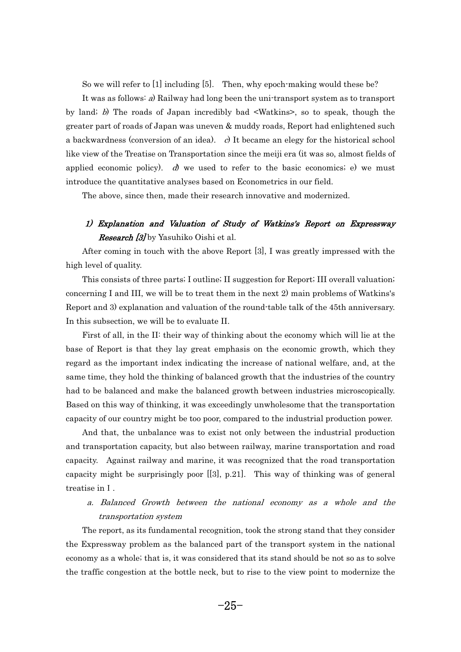So we will refer to  $[1]$  including  $[5]$ . Then, why epoch-making would these be?

 It was as follows: a) Railway had long been the uni-transport system as to transport by land; b) The roads of Japan incredibly bad <Watkins>, so to speak, though the greater part of roads of Japan was uneven & muddy roads, Report had enlightened such a backwardness (conversion of an idea). c) It became an elegy for the historical school like view of the Treatise on Transportation since the meiji era (it was so, almost fields of applied economic policy).  $d$  we used to refer to the basic economics; e) we must introduce the quantitative analyses based on Econometrics in our field. tı

The above, since then, made their research innovative and modernized.

## 1) Explanation and Valuation of Study of Watkins's Report on Expressway **Research [3]** by Yasuhiko Oishi et al.

 After coming in touch with the above Report [3], I was greatly impressed with the high level of quality. g

 This consists of three parts; I outline; II suggestion for Report; III overall valuation; concerning I and III, we will be to treat them in the next 2) main problems of Watkins's Report and 3) explanation and valuation of the round-table talk of the 45th anniversary. In this subsection, we will be to evaluate II. -

 First of all, in the II: their way of thinking about the economy which will lie at the base of Report is that they lay great emphasis on the economic growth, which they regard as the important index indicating the increase of national welfare, and, at the same time, they hold the thinking of balanced growth that the industries of the country had to be balanced and make the balanced growth between industries microscopically. Based on this way of thinking, it was exceedingly unwholesome that the transportation capacity of our country might be too poor, compared to the industrial production power. p<br>p

 And that, the unbalance was to exist not only between the industrial production and transportation capacity, but also between railway, marine transportation and road capacity. Against railway and marine, it was recognized that the road transportation capacity might be surprisingly poor [[3], p.21]. This way of thinking was of general treatise in I. treatise in I.  $a$ 

 a. Balanced Growth between the national economy as a whole and the transportation system

 The report, as its fundamental recognition, took the strong stand that they consider the Expressway problem as the balanced part of the transport system in the national economy as a whole; that is, it was considered that its stand should be not so as to solve the traffic congestion at the bottle neck, but to rise to the view point to modernize the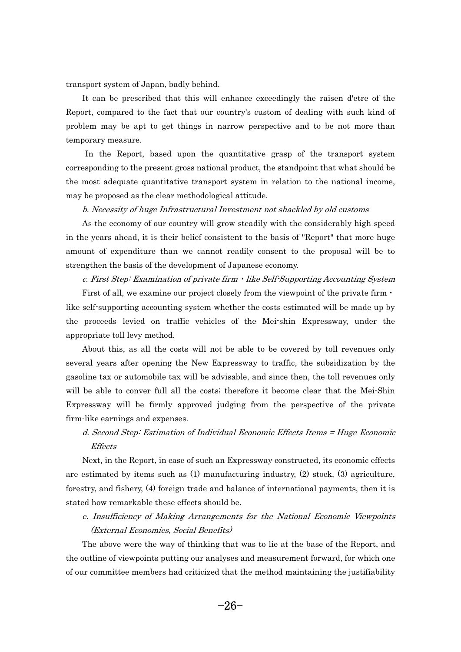transport system of Japan, badly behind. a:

 It can be prescribed that this will enhance exceedingly the raisen d'etre of the Report, compared to the fact that our country's custom of dealing with such kind of problem may be apt to get things in narrow perspective and to be not more than temporary measure. m<br>C

 In the Report, based upon the quantitative grasp of the transport system corresponding to the present gross national product, the standpoint that what should be the most adequate quantitative transport system in relation to the national income, may be proposed as the clear methodological attitude.  $a$ 

#### b. Necessity of huge Infrastructural Investment not shackled by old customs

 As the economy of our country will grow steadily with the considerably high speed in the years ahead, it is their belief consistent to the basis of "Report" that more huge amount of expenditure than we cannot readily consent to the proposal will be to strengthen the basis of the development of Japanese economy.

c. First Step: Examination of private firm  $\cdot$  like Self-Supporting Accounting System First of all, we examine our project closely from the viewpoint of the private firm  $\cdot$ like self-supporting accounting system whether the costs estimated will be made up by the proceeds levied on traffic vehicles of the Mei-shin Expressway, under the appropriate toll levy method. -<sub>l</sub>

 About this, as all the costs will not be able to be covered by toll revenues only several years after opening the New Expressway to traffic, the subsidization by the gasoline tax or automobile tax will be advisable, and since then, the toll revenues only will be able to conver full all the costs; therefore it become clear that the Mei-Shin Expressway will be firmly approved judging from the perspective of the private firm-like earnings and expenses. ·r

## d. Second Step: Estimation of Individual Economic Effects Items = Huge Economic Effects

 Next, in the Report, in case of such an Expressway constructed, its economic effects are estimated by items such as (1) manufacturing industry, (2) stock, (3) agriculture, forestry, and fishery, (4) foreign trade and balance of international payments, then it is stated how remarkable these effects should be. a<sup>.</sup>

 e. Insufficiency of Making Arrangements for the National Economic Viewpoints (External Economies, Social Benefits)

 The above were the way of thinking that was to lie at the base of the Report, and the outline of viewpoints putting our analyses and measurement forward, for which one of our committee members had criticized that the method maintaining the justifiability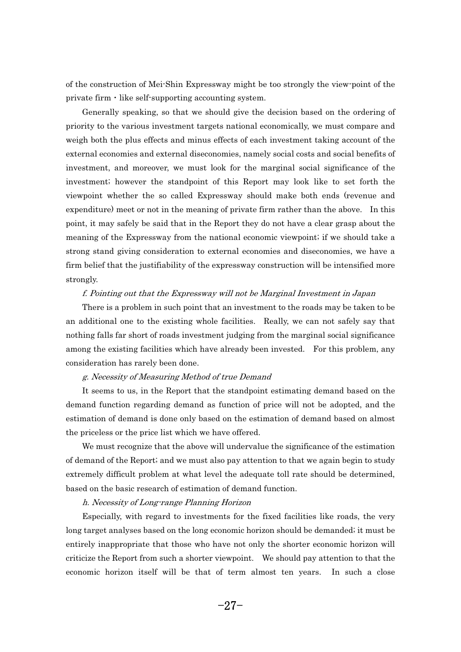of the construction of Mei-Shin Expressway might be too strongly the view-point of the of the construction of Mei-Shin Expressway might be<br>private firm  $\cdot$  like self-supporting accounting system. i<sup>.</sup>

 Generally speaking, so that we should give the decision based on the ordering of priority to the various investment targets national economically, we must compare and weigh both the plus effects and minus effects of each investment taking account of the external economies and external diseconomies, namely social costs and social benefits of investment, and moreover, we must look for the marginal social significance of the investment; however the standpoint of this Report may look like to set forth the viewpoint whether the so called Expressway should make both ends (revenue and expenditure) meet or not in the meaning of private firm rather than the above. In this point, it may safely be said that in the Report they do not have a clear grasp about the meaning of the Expressway from the national economic viewpoint; if we should take a strong stand giving consideration to external economies and diseconomies, we have a firm belief that the justifiability of the expressway construction will be intensified more strongly. r

#### f. Pointing out that the Expressway will not be Marginal Investment in Japan

 There is a problem in such point that an investment to the roads may be taken to be an additional one to the existing whole facilities. Really, we can not safely say that nothing falls far short of roads investment judging from the marginal social significance among the existing facilities which have already been invested. For this problem, any consideration has rarely been done. n<br>.

#### g. Necessity of Measuring Method of true Demand

 It seems to us, in the Report that the standpoint estimating demand based on the demand function regarding demand as function of price will not be adopted, and the estimation of demand is done only based on the estimation of demand based on almost the priceless or the price list which we have offered. e<sup>\*</sup>

 We must recognize that the above will undervalue the significance of the estimation of demand of the Report; and we must also pay attention to that we again begin to study extremely difficult problem at what level the adequate toll rate should be determined, based on the basic research of estimation of demand function. lS<br>-

#### h. Necessity of Long-range Planning Horizon

 Especially, with regard to investments for the fixed facilities like roads, the very long target analyses based on the long economic horizon should be demanded; it must be entirely inappropriate that those who have not only the shorter economic horizon will criticize the Report from such a shorter viewpoint. We should pay attention to that the economic horizon itself will be that of term almost ten years. In such a close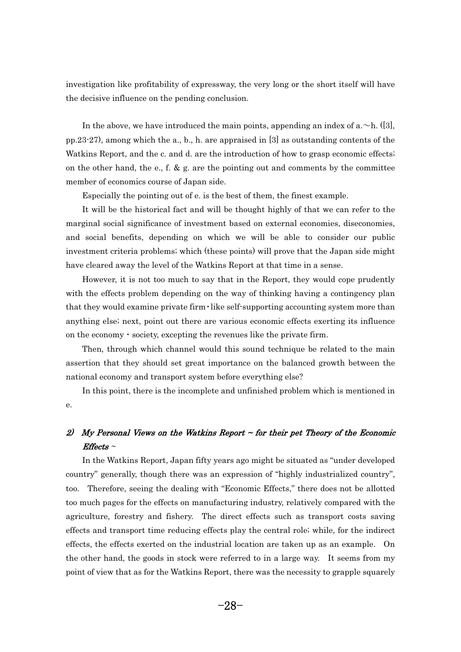investigation like profitability of expressway, the very long or the short itself will have the decisive influence on the pending conclusion. e

In the above, we have introduced the main points, appending an index of a.  $\sim$ h. ([3], pp.23-27), among which the a., b., h. are appraised in [3] as outstanding contents of the Watkins Report, and the c. and d. are the introduction of how to grasp economic effects; on the other hand, the e., f. & g. are the pointing out and comments by the committee member of economics course of Japan side.  $e<sub>i</sub>$ 

Especially the pointing out of e. is the best of them, the finest example.

 It will be the historical fact and will be thought highly of that we can refer to the marginal social significance of investment based on external economies, diseconomies, and social benefits, depending on which we will be able to consider our public investment criteria problems; which (these points) will prove that the Japan side might have cleared away the level of the Watkins Report at that time in a sense.  $\mathfrak{a}$ 

 However, it is not too much to say that in the Report, they would cope prudently with the effects problem depending on the way of thinking having a contingency plan<br>that they would examine private firm · like self-supporting accounting system more than anything else; next, point out there are various economic effects exerting its influence anything else; next, point out there are various economic effects exer<br>on the economy  $\cdot$  society, excepting the revenues like the private firm. -

 Then, through which channel would this sound technique be related to the main assertion that they should set great importance on the balanced growth between the national economy and transport system before everything else? <sup>t</sup>

 In this point, there is the incomplete and unfinished problem which is mentioned in e.

## 2)- My Personal Views on the Watkins Report ~ for their pet Theory of the Economic  $Effects \sim$

---, -----<br>- In the Watkins Report, Japan fifty years ago might be situated as "under developed country" generally, though there was an expression of "highly industrialized country", too. Therefore, seeing the dealing with "Economic Effects," there does not be allotted too much pages for the effects on manufacturing industry, relatively compared with the agriculture, forestry and fishery. The direct effects such as transport costs saving effects and transport time reducing effects play the central role; while, for the indirect effects, the effects exerted on the industrial location are taken up as an example. On the other hand, the goods in stock were referred to in a large way. It seems from my point of view that as for the Watkins Report, there was the necessity to grapple squarely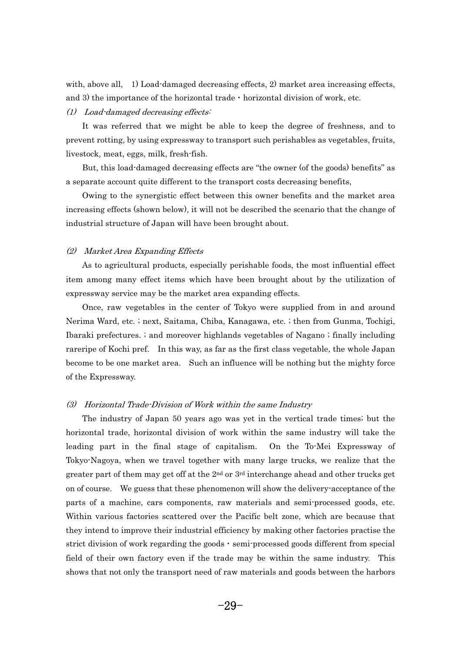with, above all, 1) Load-damaged decreasing effects, 2) market area increasing effects, and 3) the importance of the horizontal trade  $\cdot$  horizontal division of work, etc.

## (1) Load-damaged decreasing effects: - $\big)$

 It was referred that we might be able to keep the degree of freshness, and to prevent rotting, by using expressway to transport such perishables as vegetables, fruits, livestock, meat, eggs, milk, fresh-fish.  $\overline{\epsilon}$ 

 But, this load-damaged decreasing effects are "the owner (of the goods) benefits" as a separate account quite different to the transport costs decreasing benefits, 5)

 Owing to the synergistic effect between this owner benefits and the market area increasing effects (shown below), it will not be described the scenario that the change of industrial structure of Japan will have been brought about.

## (2) Market Area Expanding Effects  $\big)$

 As to agricultural products, especially perishable foods, the most influential effect item among many effect items which have been brought about by the utilization of expressway service may be the market area expanding effects. p:<br>P

 Once, raw vegetables in the center of Tokyo were supplied from in and around Nerima Ward, etc. ; next, Saitama, Chiba, Kanagawa, etc. ; then from Gunma, Tochigi, Ibaraki prefectures. ; and moreover highlands vegetables of Nagano ; finally including rareripe of Kochi pref. In this way, as far as the first class vegetable, the whole Japan become to be one market area. Such an influence will be nothing but the mighty force of the Expressway.

## (3) Horizontal Trade-Division of Work within the same Industry - $\big)$

 The industry of Japan 50 years ago was yet in the vertical trade times; but the horizontal trade, horizontal division of work within the same industry will take the leading part in the final stage of capitalism. On the To-Mei Expressway of Tokyo-Nagoya, when we travel together with many large trucks, we realize that the greater part of them may get off at the  $2<sup>nd</sup>$  or  $3<sup>rd</sup>$  interchange ahead and other trucks get on of course. We guess that these phenomenon will show the delivery-acceptance of the parts of a machine, cars components, raw materials and semi-processed goods, etc. Within various factories scattered over the Pacific belt zone, which are because that they intend to improve their industrial efficiency by making other factories practise the strict division of work regarding the goods  $\cdot$  semi-processed goods different from special field of their own factory even if the trade may be within the same industry. This shows that not only the transport need of raw materials and goods between the harbors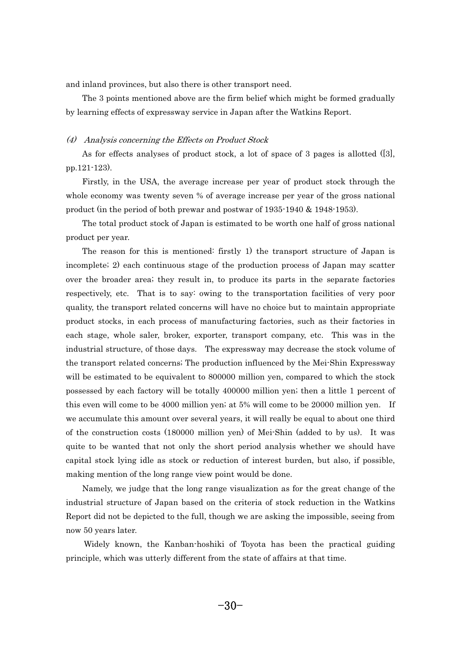and inland provinces, but also there is other transport need.  $\frac{1}{2}$ 

 The 3 points mentioned above are the firm belief which might be formed gradually by learning effects of expressway service in Japan after the Watkins Report.

## (4) Analysis concerning the Effects on Product Stock - $\big)$

 As for effects analyses of product stock, a lot of space of 3 pages is allotted ([3], pp.121-123). - $\cdot$ 

 Firstly, in the USA, the average increase per year of product stock through the whole economy was twenty seven % of average increase per year of the gross national product (in the period of both prewar and postwar of 1935-1940 & 1948-1953). <sup>0</sup>

 The total product stock of Japan is estimated to be worth one half of gross national product per year. -<sup>0</sup>

 The reason for this is mentioned: firstly 1) the transport structure of Japan is incomplete; 2) each continuous stage of the production process of Japan may scatter over the broader area; they result in, to produce its parts in the separate factories respectively, etc. That is to say: owing to the transportation facilities of very poor quality, the transport related concerns will have no choice but to maintain appropriate product stocks, in each process of manufacturing factories, such as their factories in each stage, whole saler, broker, exporter, transport company, etc. This was in the industrial structure, of those days. The expressway may decrease the stock volume of the transport related concerns; The production influenced by the Mei-Shin Expressway will be estimated to be equivalent to 800000 million yen, compared to which the stock possessed by each factory will be totally 400000 million yen; then a little 1 percent of this even will come to be 4000 million yen; at 5% will come to be 20000 million yen. If we accumulate this amount over several years, it will really be equal to about one third of the construction costs (180000 million yen) of Mei-Shin (added to by us). It was quite to be wanted that not only the short period analysis whether we should have capital stock lying idle as stock or reduction of interest burden, but also, if possible, making mention of the long range view point would be done.  $\mathbf{a}$ 

 Namely, we judge that the long range visualization as for the great change of the industrial structure of Japan based on the criteria of stock reduction in the Watkins Report did not be depicted to the full, though we are asking the impossible, seeing from now 50 years later. **v** 

 Widely known, the Kanban-hoshiki of Toyota has been the practical guiding principle, which was utterly different from the state of affairs at that time.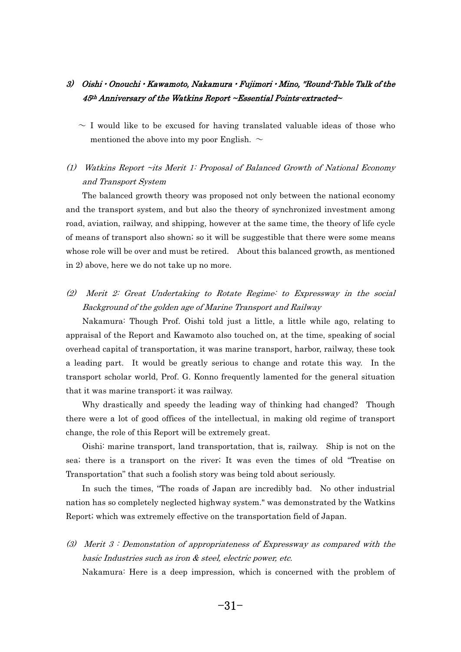## 3) Oishi • Onouchi • Kawamoto, Nakamura • Fujimori • Mino, "Round-Table Talk of the  $45<sup>th</sup>$  Anniversary of the Watkins Report ~Essential Points-extracted~

 $\sim$  I would like to be excused for having translated valuable ideas of those who mentioned the above into my poor English.  $\sim$ 

## (1) Watkins Report ~its Merit 1: Proposal of Balanced Growth of National Economy and Transport System

 The balanced growth theory was proposed not only between the national economy and the transport system, and but also the theory of synchronized investment among road, aviation, railway, and shipping, however at the same time, the theory of life cycle of means of transport also shown; so it will be suggestible that there were some means whose role will be over and must be retired. About this balanced growth, as mentioned in 2) above, here we do not take up no more.

## (2) Merit 2: Great Undertaking to Rotate Regime: to Expressway in the social Background of the golden age of Marine Transport and Railway

 Nakamura: Though Prof. Oishi told just a little, a little while ago, relating to appraisal of the Report and Kawamoto also touched on, at the time, speaking of social overhead capital of transportation, it was marine transport, harbor, railway, these took a leading part. It would be greatly serious to change and rotate this way. In the transport scholar world, Prof. G. Konno frequently lamented for the general situation that it was marine transport; it was railway. a

 Why drastically and speedy the leading way of thinking had changed? Though there were a lot of good offices of the intellectual, in making old regime of transport change, the role of this Report will be extremely great.  $\ddot{a}$ 

 Oishi: marine transport, land transportation, that is, railway. Ship is not on the sea; there is a transport on the river; It was even the times of old "Treatise on Transportation" that such a foolish story was being told about seriously.

In such the times, "The roads of Japan are incredibly bad. No other industrial nation has so completely neglected highway system." was demonstrated by the Watkins Report; which was extremely effective on the transportation field of Japan.

(3) Merit 3 : Demonstation of appropriateness of Expressway as compared with the basic Industries such as iron & steel, electric power, etc.

-, ... Nakamura: Here is a deep impression, which is concerned with the problem of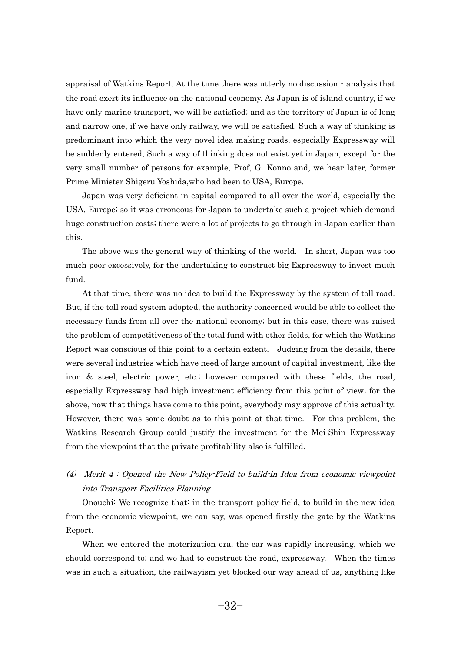appraisal of Watkins Report. At the time there was utterly no discussion  $\cdot$  analysis that the road exert its influence on the national economy. As Japan is of island country, if we have only marine transport, we will be satisfied; and as the territory of Japan is of long and narrow one, if we have only railway, we will be satisfied. Such a way of thinking is predominant into which the very novel idea making roads, especially Expressway will be suddenly entered, Such a way of thinking does not exist yet in Japan, except for the very small number of persons for example, Prof, G. Konno and, we hear later, former Prime Minister Shigeru Yoshida,who had been to USA, Europe. i<br>.

 Japan was very deficient in capital compared to all over the world, especially the USA, Europe; so it was erroneous for Japan to undertake such a project which demand huge construction costs; there were a lot of projects to go through in Japan earlier than this. is<br>1

 The above was the general way of thinking of the world. In short, Japan was too much poor excessively, for the undertaking to construct big Expressway to invest much fund. n<br>.

 At that time, there was no idea to build the Expressway by the system of toll road. But, if the toll road system adopted, the authority concerned would be able to collect the necessary funds from all over the national economy; but in this case, there was raised the problem of competitiveness of the total fund with other fields, for which the Watkins Report was conscious of this point to a certain extent. Judging from the details, there were several industries which have need of large amount of capital investment, like the iron & steel, electric power, etc.; however compared with these fields, the road, especially Expressway had high investment efficiency from this point of view; for the above, now that things have come to this point, everybody may approve of this actuality. However, there was some doubt as to this point at that time. For this problem, the Watkins Research Group could justify the investment for the Mei-Shin Expressway from the viewpoint that the private profitability also is fulfilled.

## (4) Merit 4 : Opened the New Policy-Field to build-in Idea from economic viewpoint into Transport Facilities Planning

 Onouchi: We recognize that: in the transport policy field, to build-in the new idea from the economic viewpoint, we can say, was opened firstly the gate by the Watkins Report.  $\mathbf{e}$ 

 $\frac{1}{2}$  When we entered the moterization era, the car was rapidly increasing, which we should correspond to; and we had to construct the road, expressway. When the times was in such a situation, the railwayism yet blocked our way ahead of us, anything like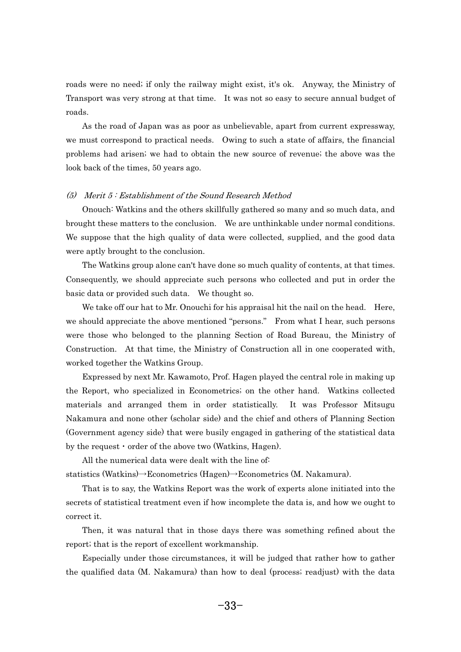roads were no need; if only the railway might exist, it's ok. Anyway, the Ministry of Transport was very strong at that time. It was not so easy to secure annual budget of roads. a

 As the road of Japan was as poor as unbelievable, apart from current expressway, we must correspond to practical needs. Owing to such a state of affairs, the financial problems had arisen; we had to obtain the new source of revenue; the above was the look back of the times, 50 years ago.

## (5) Merit 5 : Establishment of the Sound Research Method - $\big)$

 Onouch: Watkins and the others skillfully gathered so many and so much data, and brought these matters to the conclusion. We are unthinkable under normal conditions. We suppose that the high quality of data were collected, supplied, and the good data were aptly brought to the conclusion. el<br>1

 The Watkins group alone can't have done so much quality of contents, at that times. Consequently, we should appreciate such persons who collected and put in order the basic data or provided such data. We thought so. l<br>S

We take off our hat to Mr. Onouchi for his appraisal hit the nail on the head. Here, we should appreciate the above mentioned "persons." From what I hear, such persons were those who belonged to the planning Section of Road Bureau, the Ministry of Construction. At that time, the Ministry of Construction all in one cooperated with, worked together the Watkins Group. -וכ<br>**-**

 Expressed by next Mr. Kawamoto, Prof. Hagen played the central role in making up the Report, who specialized in Econometrics; on the other hand. Watkins collected materials and arranged them in order statistically. It was Professor Mitsugu Nakamura and none other (scholar side) and the chief and others of Planning Section (Government agency side) that were busily engaged in gathering of the statistical data<br>by the request  $\cdot$  order of the above two (Watkins, Hagen). by the request  $\cdot$  order of the above two (Watkins, Hagen). -

 All the numerical data were dealt with the line of: All the numerical data were dealt with the line of:<br>statistics (Watkins) $\rightarrow$ Econometrics (Hagen) $\rightarrow$ Econometrics (M. Nakamura).

a<sup>.</sup>

 That is to say, the Watkins Report was the work of experts alone initiated into the secrets of statistical treatment even if how incomplete the data is, and how we ought to correct it. r:

 Then, it was natural that in those days there was something refined about the report; that is the report of excellent workmanship. p<br>1

 Especially under those circumstances, it will be judged that rather how to gather the qualified data (M. Nakamura) than how to deal (process; readjust) with the data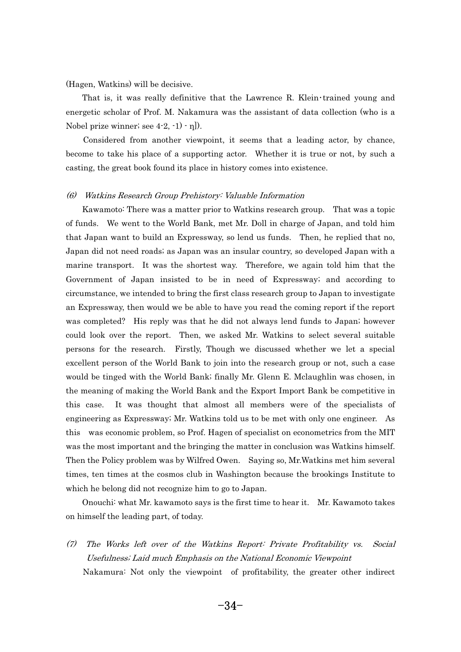(Hagen, Watkins) will be decisive. - $\mathfrak{g}$ 

That is, it was really definitive that the Lawrence R. Klein $\cdot$  trained young and energetic scholar of Prof. M. Nakamura was the assistant of data collection (who is a Nobel prize winner; see  $4-2, -1) - \eta$ .  $\mathbf{R}$ 

 Considered from another viewpoint, it seems that a leading actor, by chance, become to take his place of a supporting actor. Whether it is true or not, by such a casting, the great book found its place in history comes into existence.

## (6) Watkins Research Group Prehistory: Valuable Information - $\big)$

 Kawamoto: There was a matter prior to Watkins research group. That was a topic of funds. We went to the World Bank, met Mr. Doll in charge of Japan, and told him that Japan want to build an Expressway, so lend us funds. Then, he replied that no, Japan did not need roads; as Japan was an insular country, so developed Japan with a marine transport. It was the shortest way. Therefore, we again told him that the Government of Japan insisted to be in need of Expressway; and according to circumstance, we intended to bring the first class research group to Japan to investigate an Expressway, then would we be able to have you read the coming report if the report was completed? His reply was that he did not always lend funds to Japan; however could look over the report. Then, we asked Mr. Watkins to select several suitable persons for the research. Firstly, Though we discussed whether we let a special excellent person of the World Bank to join into the research group or not, such a case would be tinged with the World Bank; finally Mr. Glenn E. Mclaughlin was chosen, in the meaning of making the World Bank and the Export Import Bank be competitive in this case. It was thought that almost all members were of the specialists of engineering as Expressway; Mr. Watkins told us to be met with only one engineer. As this was economic problem, so Prof. Hagen of specialist on econometrics from the MIT was the most important and the bringing the matter in conclusion was Watkins himself. Then the Policy problem was by Wilfred Owen. Saying so, Mr.Watkins met him several times, ten times at the cosmos club in Washington because the brookings Institute to which he belong did not recognize him to go to Japan. n:<br>.

 Onouchi: what Mr. kawamoto says is the first time to hear it. Mr. Kawamoto takes on himself the leading part, of today.

-(7) The Works left over of the Watkins Report: Private Profitability vs. Social Usefulness; Laid much Emphasis on the National Economic Viewpoint Nakamura: Not only the viewpoint of profitability, the greater other indirect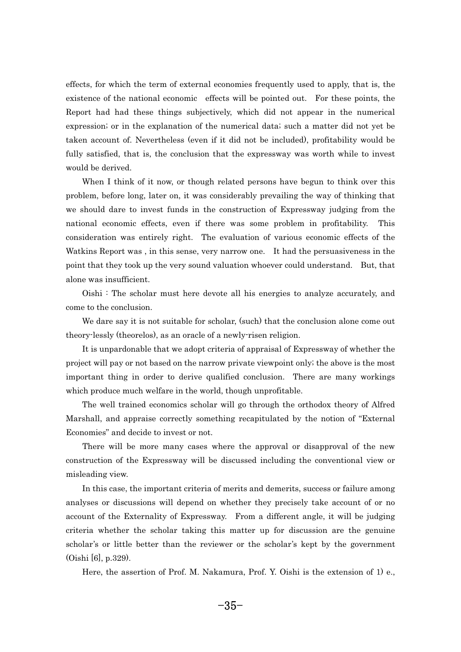effects, for which the term of external economies frequently used to apply, that is, the existence of the national economic effects will be pointed out. For these points, the Report had had these things subjectively, which did not appear in the numerical expression; or in the explanation of the numerical data; such a matter did not yet be taken account of. Nevertheless (even if it did not be included), profitability would be fully satisfied, that is, the conclusion that the expressway was worth while to invest would be derived.  $\overline{\phantom{a}}$ 

When I think of it now, or though related persons have begun to think over this problem, before long, later on, it was considerably prevailing the way of thinking that we should dare to invest funds in the construction of Expressway judging from the national economic effects, even if there was some problem in profitability. This consideration was entirely right. The evaluation of various economic effects of the Watkins Report was , in this sense, very narrow one. It had the persuasiveness in the point that they took up the very sound valuation whoever could understand. But, that alone was insufficient.  $\overline{0}$ 

 Oishi : The scholar must here devote all his energies to analyze accurately, and come to the conclusion. n<br>.

We dare say it is not suitable for scholar, (such) that the conclusion alone come out theory-lessly (theorelos), as an oracle of a newly-risen religion. e<sup>\*</sup>

 It is unpardonable that we adopt criteria of appraisal of Expressway of whether the project will pay or not based on the narrow private viewpoint only; the above is the most important thing in order to derive qualified conclusion. There are many workings which produce much welfare in the world, though unprofitable. n:<br>.

 The well trained economics scholar will go through the orthodox theory of Alfred Marshall, and appraise correctly something recapitulated by the notion of "External Economies" and decide to invest or not.  $\infty$ 

 There will be more many cases where the approval or disapproval of the new construction of the Expressway will be discussed including the conventional view or misleading view. is<br>.

 In this case, the important criteria of merits and demerits, success or failure among analyses or discussions will depend on whether they precisely take account of or no account of the Externality of Expressway. From a different angle, it will be judging criteria whether the scholar taking this matter up for discussion are the genuine scholar's or little better than the reviewer or the scholar's kept by the government (Oishi [6], p.329). i<br>i

-Here, the assertion of Prof. M. Nakamura, Prof. Y. Oishi is the extension of 1) e.,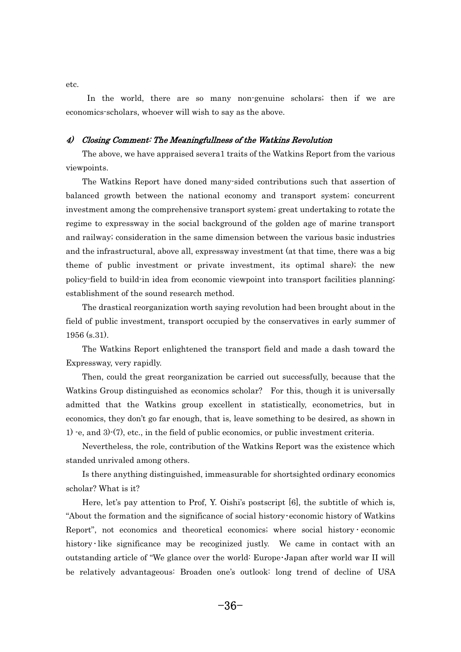- In the world, there are so many non-genuine scholars; then if we are economics-scholars, whoever will wish to say as the above.

## 4) Closing Comment: The Meaningfullness of the Watkins Revolution -

 The above, we have appraised severa1 traits of the Watkins Report from the various viewpoints. e<sup>r</sup>

 The Watkins Report have doned many-sided contributions such that assertion of balanced growth between the national economy and transport system; concurrent investment among the comprehensive transport system; great undertaking to rotate the regime to expressway in the social background of the golden age of marine transport and railway; consideration in the same dimension between the various basic industries and the infrastructural, above all, expressway investment (at that time, there was a big theme of public investment or private investment, its optimal share); the new policy-field to build-in idea from economic viewpoint into transport facilities planning; establishment of the sound research method. t:

 The drastical reorganization worth saying revolution had been brought about in the field of public investment, transport occupied by the conservatives in early summer of  $1956$  (s.31). -

 The Watkins Report enlightened the transport field and made a dash toward the Expressway, very rapidly. -<sup>2</sup>

 Then, could the great reorganization be carried out successfully, because that the Watkins Group distinguished as economics scholar? For this, though it is universally admitted that the Watkins group excellent in statistically, econometrics, but in economics, they don't go far enough, that is, leave something to be desired, as shown in 1) e, and 3) $(7)$ , etc., in the field of public economics, or public investment criteria. -

 Nevertheless, the role, contribution of the Watkins Report was the existence which standed unrivaled among others.  $a$ 

 Is there anything distinguished, immeasurable for shortsighted ordinary economics scholar? What is it? h<br>.

 Here, let's pay attention to Prof, Y. Oishi's postscript [6], the subtitle of which is, Here, let's pay attention to Prof, Y. Oishi's postscript [6], the subtitle of which is, "About the formation and the significance of social history economic history of Watkins "About the formation and the significance of social history economic history of Watkins<br>Report", not economics and theoretical economics; where social history economic Report", not economics and theoretical economics; where social history economic history like significance may be recoginized justly. We came in contact with an<br>outstanding article of "We glance over the world: Europe Japan after world war II will be relatively advantageous: Broaden one's outlook: long trend of decline of USA

etc.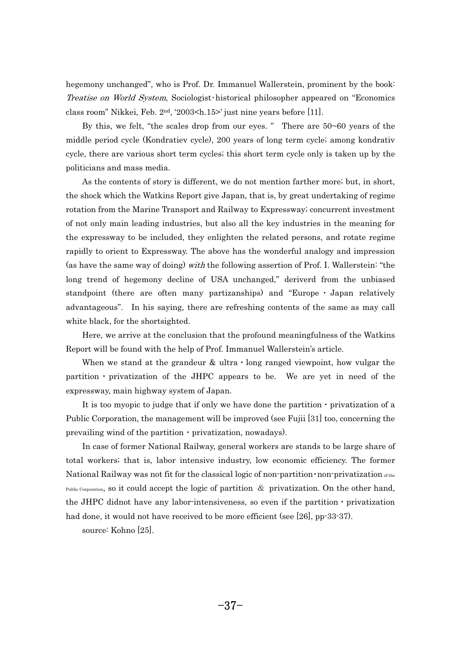hegemony unchanged", who is Prof. Dr. Immanuel Wallerstein, prominent by the book: Treatise on World System, Sociologist historical philosopher appeared on "Economics" class room" Nikkei, Feb. 2<sup>nd</sup>, '2003<h.15>' just nine years before [11]. 18<br>1

By this, we felt, "the scales drop from our eyes." There are  $50 \sim 60$  years of the middle period cycle (Kondratiev cycle), 200 years of long term cycle; among kondrativ cycle, there are various short term cycles; this short term cycle only is taken up by the politicians and mass media. - $\frac{1}{2}$ 

 As the contents of story is different, we do not mention farther more; but, in short, the shock which the Watkins Report give Japan, that is, by great undertaking of regime rotation from the Marine Transport and Railway to Expressway; concurrent investment of not only main leading industries, but also all the key industries in the meaning for the expressway to be included, they enlighten the related persons, and rotate regime rapidly to orient to Expressway. The above has the wonderful analogy and impression (as have the same way of doing) with the following assertion of Prof. I. Wallerstein: "the long trend of hegemony decline of USA unchanged," deriverd from the unbiased standpoint (there are often many partizanships) and "Europe  $\cdot$  Japan relatively advantageous". In his saying, there are refreshing contents of the same as may call white black, for the shortsighted. n:<br>.

 Here, we arrive at the conclusion that the profound meaningfulness of the Watkins Report will be found with the help of Prof. Immanuel Wallerstein's article. --

When we stand at the grandeur & ultra  $\cdot$  long ranged viewpoint, how vulgar the partition  $\cdot$  privatization of the JHPC appears to be. We are yet in need of the expressway, main highway system of Japan. p<br>p

It is too myopic to judge that if only we have done the partition  $\cdot$  privatization of a Public Corporation, the management will be improved (see Fujii [31] too, concerning the prevailing wind of the partition  $\cdot$  privatization, nowadays). prevailing wind of the partition  $\cdot$  privatization, nowadays). e<br>e

 In case of former National Railway, general workers are stands to be large share of total workers; that is, labor intensive industry, low economic efficiency. The former<br>National Railway was not fit for the classical logic of non-partition non-privatization of the National Railway was not fit for the classical logic of non-partition • non-privatization  $\sigma_{\text{the}}$ <br>Public Corporation, so it could accept the logic of partition & privatization. On the other hand, the JHPC didnot have any labor-intensiveness, so even if the partition  $\cdot$  privatization had done, it would not have received to be more efficient (see [26], pp-33-37).

source: Kohno [25].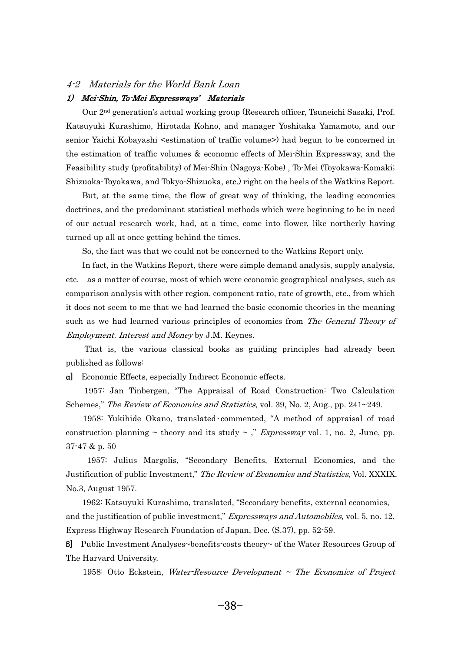#### 4-2 Materials for the World Bank Loan

## 1) Mei-Shin, To-Mei Expressways' Materials -

 Our 2nd generation's actual working group (Research officer, Tsuneichi Sasaki, Prof. Katsuyuki Kurashimo, Hirotada Kohno, and manager Yoshitaka Yamamoto, and our senior Yaichi Kobayashi <estimation of traffic volume>) had begun to be concerned in the estimation of traffic volumes & economic effects of Mei-Shin Expressway, and the Feasibility study (profitability) of Mei-Shin (Nagoya-Kobe) , To-Mei (Toyokawa-Komaki; Shizuoka-Toyokawa, and Tokyo-Shizuoka, etc.) right on the heels of the Watkins Report. ni<br>1

 But, at the same time, the flow of great way of thinking, the leading economics doctrines, and the predominant statistical methods which were beginning to be in need of our actual research work, had, at a time, come into flower, like northerly having turned up all at once getting behind the times. r

So, the fact was that we could not be concerned to the Watkins Report only.

 In fact, in the Watkins Report, there were simple demand analysis, supply analysis, etc. as a matter of course, most of which were economic geographical analyses, such as comparison analysis with other region, component ratio, rate of growth, etc., from which it does not seem to me that we had learned the basic economic theories in the meaning such as we had learned various principles of economics from The General Theory of Employment. Interest and Money by J.M. Keynes.  $\frac{1}{2}$ 

 That is, the various classical books as guiding principles had already been published as follows:

a] Economic Effects, especially Indirect Economic effects.

 1957: Jan Tinbergen, "The Appraisal of Road Construction: Two Calculation Schemes," The Review of Economics and Statistics, vol. 39, No. 2, Aug., pp. 241~249. h<br>h

1958: Yukihide Okano, translated commented, "A method of appraisal of road construction planning  $\sim$  theory and its study  $\sim$ ," *Expressway* vol. 1, no. 2, June, pp.  $37 - 47$  & p.  $50$ -

 1957: Julius Margolis, "Secondary Benefits, External Economies, and the Justification of public Investment," The Review of Economics and Statistics, Vol. XXXIX, No.3, August 1957. -.c

 1962: Katsuyuki Kurashimo, translated, "Secondary benefits, external economies, and the justification of public investment," *Expressways and Automobiles*, vol. 5, no. 12, Express Highway Research Foundation of Japan, Dec. (S.37), pp. 52-59.

] Public Investment Analyses~benefits-costs theory~ of the Water Resources Group of The Harvard University.  $\mathbf{e}$ 

1958: Otto Eckstein, Water-Resource Development  $\sim$  The Economics of Project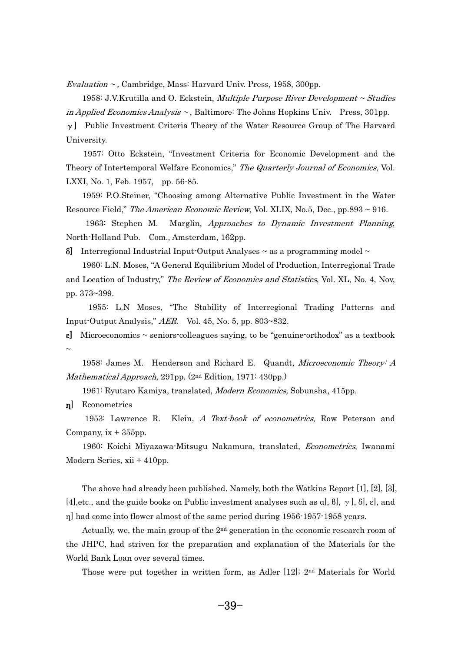Evaluation  $\sim$ , Cambridge, Mass: Harvard Univ. Press, 1958, 300pp. Vi<br>.

 1958: J.V.Krutilla and O. Eckstein, Multiple Purpose River Development ~ Studies in Applied Economics Analysis  $\sim$ , Baltimore: The Johns Hopkins Univ. Press, 301pp.

 $\gamma$ ] Public Investment Criteria Theory of the Water Resource Group of The Harvard University. ni<br>1

 1957: Otto Eckstein, "Investment Criteria for Economic Development and the Theory of Intertemporal Welfare Economics," The Quarterly Journal of Economics, Vol. LXXI, No. 1, Feb. 1957, pp. 56-85.  $\zeta$ 

 1959: P.O.Steiner, "Choosing among Alternative Public Investment in the Water Resource Field," The American Economic Review, Vol. XLIX, No.5, Dec., pp.893 ~ 916. s

 1963: Stephen M. Marglin, Approaches to Dynamic Investment Planning, North-Holland Pub. Com., Amsterdam, 162pp.

 $\delta$  Interregional Industrial Input-Output Analyses  $\sim$  as a programming model  $\sim$ 

 1960: L.N. Moses, "A General Equilibrium Model of Production, Interregional Trade and Location of Industry," The Review of Economics and Statistics, Vol. XL, No. 4, Nov, pp. 373~399. --

 1955: L.N Moses, "The Stability of Interregional Trading Patterns and Input-Output Analysis," AER. Vol. 45, No. 5, pp. 803~832.

**e** Microeconomics  $\sim$  seniors-colleagues saying, to be "genuine-orthodox" as a textbook  $\sim$  $\overline{a}$ 

 1958: James M. Henderson and Richard E. Quandt, Microeconomic Theory: A Mathematical Approach, 291pp. (2<sup>nd</sup> Edition, 1971: 430pp.) r<sub>a</sub>

1961: Ryutaro Kamiya, translated, *Modern Economics*, Sobunsha, 415pp.

n<sup>]</sup> Econometrics

 1953: Lawrence R. Klein, A Text-book of econometrics, Row Peterson and Company,  $ix + 355$ pp.  $\overline{\phantom{a}}$ 

1960: Koichi Miyazawa-Mitsugu Nakamura, translated, Econometrics, Iwanami Modern Series, xii + 410pp.

The above had already been published. Namely, both the Watkins Report [1], [2], [3], [4], etc., and the guide books on Public investment analyses such as  $a, \beta, \gamma, \delta, \epsilon$ ], and n had come into flower almost of the same period during 1956-1957-1958 years. -

Actually, we, the main group of the  $2<sup>nd</sup>$  generation in the economic research room of the JHPC, had striven for the preparation and explanation of the Materials for the World Bank Loan over several times.  $\mathbf{o}$ 

-Those were put together in written form, as Adler [12]; 2nd Materials for World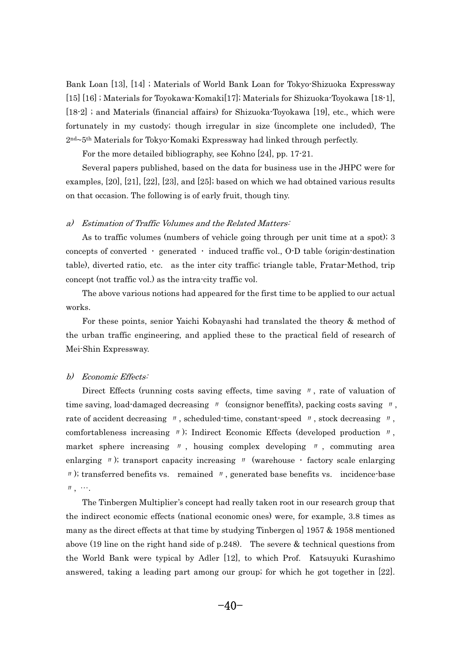Bank Loan [13], [14] ; Materials of World Bank Loan for Tokyo-Shizuoka Expressway [15] [16] ; Materials for Toyokawa-Komaki[17]; Materials for Shizuoka-Toyokawa [18-1], [18-2] ; and Materials (financial affairs) for Shizuoka-Toyokawa [19], etc., which were fortunately in my custody; though irregular in size (incomplete one included), The 2<sup>nd</sup>~5<sup>th</sup> Materials for Tokyo-Komaki Expressway had linked through perfectly. d.

For the more detailed bibliography, see Kohno [24], pp. 17-21.

 Several papers published, based on the data for business use in the JHPC were for examples, [20], [21], [22], [23], and [25]; based on which we had obtained various results on that occasion. The following is of early fruit, though tiny.

# a) Estimation of Traffic Volumes and the Related Matters:

As to traffic volumes (numbers of vehicle going through per unit time at a spot); 3 concepts of converted  $\cdot$  generated  $\cdot$  induced traffic vol., O-D table (origin-destination table), diverted ratio, etc. as the inter city traffic; triangle table, Fratar-Method, trip concept (not traffic vol.) as the intra-city traffic vol. n<br>.

 The above various notions had appeared for the first time to be applied to our actual works. - $\overline{a}$ 

 For these points, senior Yaichi Kobayashi had translated the theory & method of the urban traffic engineering, and applied these to the practical field of research of Mei-Shin Expressway.

# b) Economic Effects:

Direct Effects (running costs saving effects, time saving  $\theta$ , rate of valuation of Direct Effects (running costs saving effects, time saving  $\theta$ , rate of valuation of time saving, load-damaged decreasing  $\theta$  (consignor beneffits), packing costs saving  $\theta$ , time saving, load-damaged decreasing  $\pi$  (consignor beneffits), packing costs saving  $\pi$ , stock decreasing  $\pi$ , scheduled-time, constant-speed  $\pi$ , stock decreasing  $\pi$ , rate of accident decreasing  $\pi$ , scheduled time, constant speed  $\pi$ , stock decreasing  $\pi$ , comfortableness increasing  $\pi$ ); Indirect Economic Effects (developed production  $\pi$ , market sphere increasing  $\sqrt{n}$ , housing complex developing  $\sqrt{n}$ , commuting area market sphere increasing  $\prime\prime$ , housing complex developing  $\prime\prime$ , commuting area enlarging  $\prime\prime$ ); transport capacity increasing  $\prime\prime$  (warehouse  $\cdot$  factory scale enlarging  $\prime\prime$ ); transferred benefits vs. remained  $\,$  ); tra  $\,$  ,  $\,$   $\cdots$  .  $\mathbb{F}$ ,  $\cdots$ . -

 $-5$  The Tinbergen Multiplier's concept had really taken root in our research group that the indirect economic effects (national economic ones) were, for example, 3.8 times as many as the direct effects at that time by studying Tinbergen  $\alpha$  1957 & 1958 mentioned above (19 line on the right hand side of p.248). The severe & technical questions from the World Bank were typical by Adler [12], to which Prof. Katsuyuki Kurashimo answered, taking a leading part among our group; for which he got together in [22].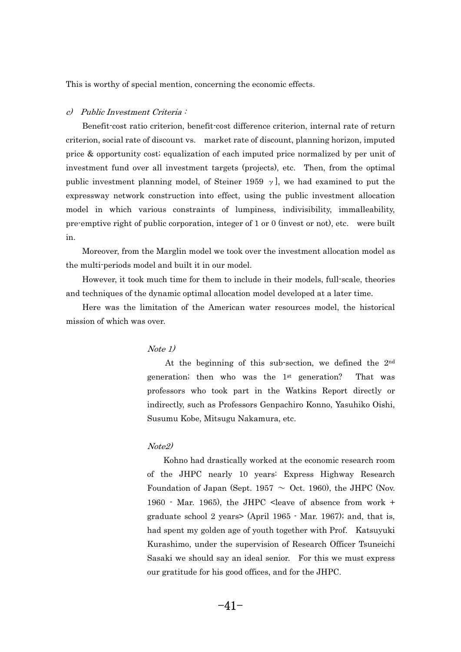This is worthy of special mention, concerning the economic effects.

# c) Public Investment Criteria:

 Benefit-cost ratio criterion, benefit-cost difference criterion, internal rate of return criterion, social rate of discount vs. market rate of discount, planning horizon, imputed price & opportunity cost; equalization of each imputed price normalized by per unit of investment fund over all investment targets (projects), etc. Then, from the optimal public investment planning model, of Steiner 1959  $\gamma$ ], we had examined to put the expressway network construction into effect, using the public investment allocation model in which various constraints of lumpiness, indivisibility, immalleability, pre-emptive right of public corporation, integer of 1 or 0 (invest or not), etc. were built in. -

 Moreover, from the Marglin model we took over the investment allocation model as the multi-periods model and built it in our model. e

 However, it took much time for them to include in their models, full-scale, theories and techniques of the dynamic optimal allocation model developed at a later time. - $\frac{1}{2}$ 

 Here was the limitation of the American water resources model, the historical mission of which was over.

## $Note 1)$  $\overline{\phantom{a}}$

 At the beginning of this sub-section, we defined the 2nd generation; then who was the 1st generation? That was professors who took part in the Watkins Report directly or indirectly, such as Professors Genpachiro Konno, Yasuhiko Oishi, Susumu Kobe, Mitsugu Nakamura, etc.

## Note<sub>2</sub>  $\overline{\mathcal{O}}$

-- *8* - - - -<br>- Kohno had drastically worked at the economic research room of the JHPC nearly 10 years: Express Highway Research Foundation of Japan (Sept. 1957  $\sim$  Oct. 1960), the JHPC (Nov. 1960 - Mar. 1965), the JHPC <leave of absence from work + graduate school 2 years> (April 1965 - Mar. 1967); and, that is, had spent my golden age of youth together with Prof. Katsuyuki Kurashimo, under the supervision of Research Officer Tsuneichi Sasaki we should say an ideal senior. For this we must express our gratitude for his good offices, and for the JHPC.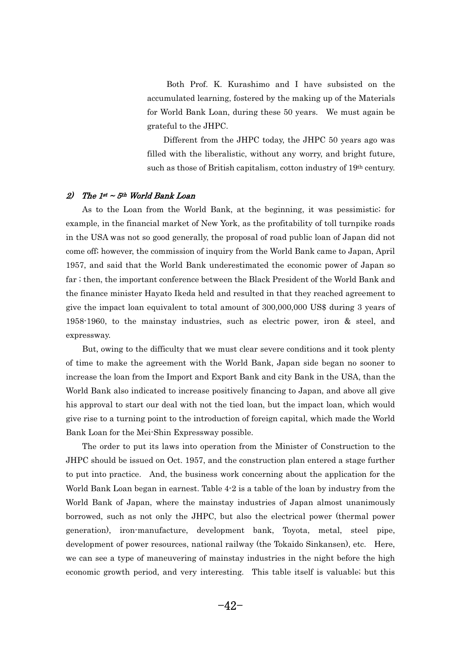Both Prof. K. Kurashimo and I have subsisted on the accumulated learning, fostered by the making up of the Materials for World Bank Loan, during these 50 years. We must again be grateful to the JHPC. a

 Different from the JHPC today, the JHPC 50 years ago was filled with the liberalistic, without any worry, and bright future, such as those of British capitalism, cotton industry of 19th century.

## 2) The  $1^{st} \sim 5^{th}$  World Bank Loan -

 As to the Loan from the World Bank, at the beginning, it was pessimistic; for example, in the financial market of New York, as the profitability of toll turnpike roads in the USA was not so good generally, the proposal of road public loan of Japan did not come off; however, the commission of inquiry from the World Bank came to Japan, April 1957, and said that the World Bank underestimated the economic power of Japan so far ; then, the important conference between the Black President of the World Bank and the finance minister Hayato Ikeda held and resulted in that they reached agreement to give the impact loan equivalent to total amount of 300,000,000 US\$ during 3 years of 1958-1960, to the mainstay industries, such as electric power, iron & steel, and expressway. p:<br>P

 But, owing to the difficulty that we must clear severe conditions and it took plenty of time to make the agreement with the World Bank, Japan side began no sooner to increase the loan from the Import and Export Bank and city Bank in the USA, than the World Bank also indicated to increase positively financing to Japan, and above all give his approval to start our deal with not the tied loan, but the impact loan, which would give rise to a turning point to the introduction of foreign capital, which made the World Bank Loan for the Mei-Shin Expressway possible. -11<br>1

-------o<sup>.</sup> The order to put its laws into operation from the Minister of Construction to the JHPC should be issued on Oct. 1957, and the construction plan entered a stage further to put into practice. And, the business work concerning about the application for the World Bank Loan began in earnest. Table 4-2 is a table of the loan by industry from the World Bank of Japan, where the mainstay industries of Japan almost unanimously borrowed, such as not only the JHPC, but also the electrical power (thermal power generation), iron-manufacture, development bank, Toyota, metal, steel pipe, development of power resources, national railway (the Tokaido Sinkansen), etc. Here, we can see a type of maneuvering of mainstay industries in the night before the high economic growth period, and very interesting. This table itself is valuable; but this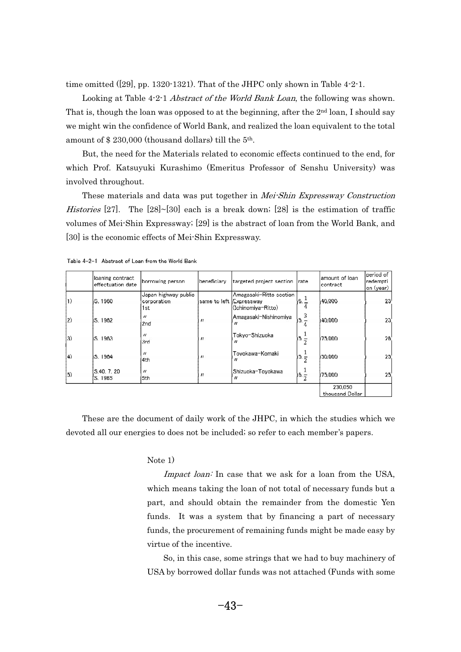time omitted  $([29], pp. 1320-1321)$ . That of the JHPC only shown in Table 4-2-1. m<br>C

Looking at Table 4-2-1 *Abstract of the World Bank Loan*, the following was shown. That is, though the loan was opposed to at the beginning, after the 2<sup>nd</sup> loan, I should say we might win the confidence of World Bank, and realized the loan equivalent to the total amount of \$230,000 (thousand dollars) till the 5<sup>th</sup>. n

 But, the need for the Materials related to economic effects continued to the end, for which Prof. Katsuyuki Kurashimo (Emeritus Professor of Senshu University) was involved throughout. v<br>V

These materials and data was put together in Mei-Shin Expressway Construction Histories [27]. The [28]~[30] each is a break down; [28] is the estimation of traffic volumes of Mei-Shin Expressway; [29] is the abstract of loan from the World Bank, and [30] is the economic effects of Mei-Shin Expressway.

|             | loaning contract<br>effectuation date | borrowing person                           | beneficiary             | targeted project section                      | Irate     | lamount of Ioan<br>contract | period of<br>redempti<br>on (year) |
|-------------|---------------------------------------|--------------------------------------------|-------------------------|-----------------------------------------------|-----------|-----------------------------|------------------------------------|
| $ 1\rangle$ | S. 1960                               | Japan highway public<br>corporation<br>1st | same to left Expressway | Amagasaki-Ritto section<br>(Ichinomiya-Ritto) | $6. -$    | 40,000                      | 23                                 |
| $ 2\rangle$ | S. 1962                               | $^{\prime\prime}$<br>2 <sub>nd</sub>       | $^{\prime\prime}$       | Amagasaki-Nishinomiya<br>$^{\prime\prime}$    | 3<br> 5.7 | 40,000                      | 23                                 |
| 3)          | S. 1963                               | $^{\prime\prime}$<br>3rd                   | $^{\prime\prime}$       | Tokyo-Shizuoka                                | $15. -$   | 75,000                      | 26                                 |
| (4)         | S. 1964                               | $^{\prime\prime}$<br>4th                   | $^{\prime\prime}$       | Toyokawa-Komaki<br>"                          | $15. -$   | 50,000                      | 25 <sub>1</sub>                    |
| (5)         | S.40, 7, 20<br>S. 1965                | $^{\prime\prime}$<br>5th                   | $^{\prime\prime}$       | Shizuoka-Toyokawa                             | $16. - 2$ | 75,000                      | 25 <sub>1</sub>                    |
|             |                                       |                                            |                         |                                               |           | 230.050<br>thousand Dollar  |                                    |

Table 4-2-1 Abstract of Loan from the World Bank

 These are the document of daily work of the JHPC, in which the studies which we devoted all our energies to does not be included; so refer to each member's papers.

## Note  $1)$ tc<br>1

Impact loan: In case that we ask for a loan from the USA, which means taking the loan of not total of necessary funds but a part, and should obtain the remainder from the domestic Yen funds. It was a system that by financing a part of necessary funds, the procurement of remaining funds might be made easy by virtue of the incentive. r1

 So, in this case, some strings that we had to buy machinery of USA by borrowed dollar funds was not attached (Funds with some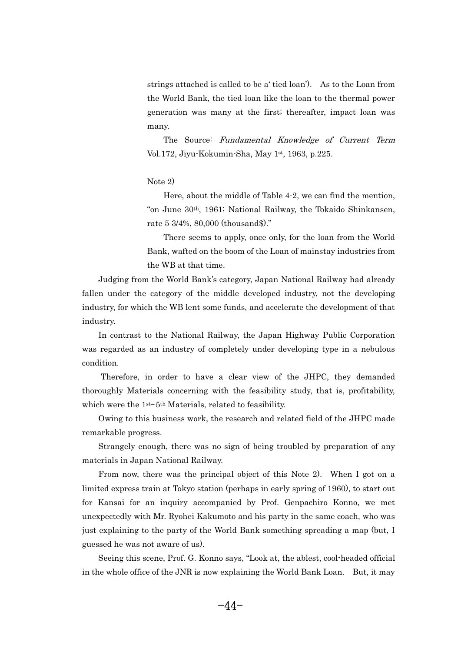strings attached is called to be a' tied loan'). As to the Loan from the World Bank, the tied loan like the loan to the thermal power generation was many at the first; thereafter, impact loan was many.

The Source: Fundamental Knowledge of Current Term Vol.172, Jiyu-Kokumin-Sha, May 1st, 1963, p.225.

## Note  $2)$ tc<br>1

 Here, about the middle of Table 4-2, we can find the mention, "on June 30th, 1961; National Railway, the Tokaido Shinkansen, rate 5 3/4%, 80,000 (thousand\$)." t<sup>,</sup>

 There seems to apply, once only, for the loan from the World Bank, wafted on the boom of the Loan of mainstay industries from the WB at that time.

 Judging from the World Bank's category, Japan National Railway had already fallen under the category of the middle developed industry, not the developing industry, for which the WB lent some funds, and accelerate the development of that industry. - $\mathbf{d}$ 

 In contrast to the National Railway, the Japan Highway Public Corporation was regarded as an industry of completely under developing type in a nebulous condition. n<br>.

 Therefore, in order to have a clear view of the JHPC, they demanded thoroughly Materials concerning with the feasibility study, that is, profitability, which were the  $1<sup>st</sup>~5<sup>th</sup>$  Materials, related to feasibility. n:<br>.

 Owing to this business work, the research and related field of the JHPC made remarkable progress. n<br>.

 Strangely enough, there was no sign of being troubled by preparation of any materials in Japan National Railway. - $\mathbf{a}$ 

 From now, there was the principal object of this Note 2). When I got on a limited express train at Tokyo station (perhaps in early spring of 1960), to start out for Kansai for an inquiry accompanied by Prof. Genpachiro Konno, we met unexpectedly with Mr. Ryohei Kakumoto and his party in the same coach, who was just explaining to the party of the World Bank something spreading a map (but, I guessed he was not aware of us). - $\mathsf{I}\in$ 

- Seeing this scene, Prof. G. Konno says, "Look at, the ablest, cool-headed official in the whole office of the JNR is now explaining the World Bank Loan. But, it may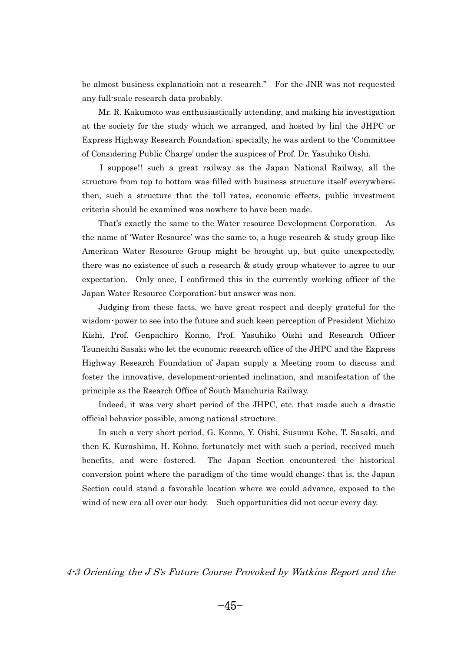be almost business explanatioin not a research." For the JNR was not requested any full-scale research data probably. - $\frac{1}{2}$ 

 Mr. R. Kakumoto was enthusiastically attending, and making his investigation at the society for the study which we arranged, and hosted by [in] the JHPC or Express Highway Research Foundation; specially, he was ardent to the 'Committee of Considering Public Charge' under the auspices of Prof. Dr. Yasuhiko Oishi. - $\overline{\phantom{a}}$ 

 I suppose!! such a great railway as the Japan National Railway, all the structure from top to bottom was filled with business structure itself everywhere; then, such a structure that the toll rates, economic effects, public investment criteria should be examined was nowhere to have been made. it

 That's exactly the same to the Water resource Development Corporation. As the name of 'Water Resource' was the same to, a huge research & study group like American Water Resource Group might be brought up, but quite unexpectedly, there was no existence of such a research & study group whatever to agree to our expectation. Only once, I confirmed this in the currently working officer of the Japan Water Resource Corporation; but answer was non. r<br>با

Judging from these facts, we have great respect and deeply grateful for the wisdom power to see into the future and such keen perception of President Michizo Kishi, Prof. Genpachiro Konno, Prof. Yasuhiko Oishi and Research Officer Tsuneichi Sasaki who let the economic research office of the JHPC and the Express Highway Research Foundation of Japan supply a Meeting room to discuss and foster the innovative, development-oriented inclination, and manifestation of the principle as the Rsearch Office of South Manchuria Railway. il<br>i

 Indeed, it was very short period of the JHPC, etc. that made such a drastic official behavior possible, among national structure. fi<br>.

 In such a very short period, G. Konno, Y. Oishi, Susumu Kobe, T. Sasaki, and then K. Kurashimo, H. Kohno, fortunately met with such a period, received much benefits, and were fostered. The Japan Section encountered the historical conversion point where the paradigm of the time would change; that is, the Japan Section could stand a favorable location where we could advance, exposed to the wind of new era all over our body. Such opportunities did not occur every day.

 $188118$ 4-3 Orienting the J S's Future Course Provoked by Watkins Report and the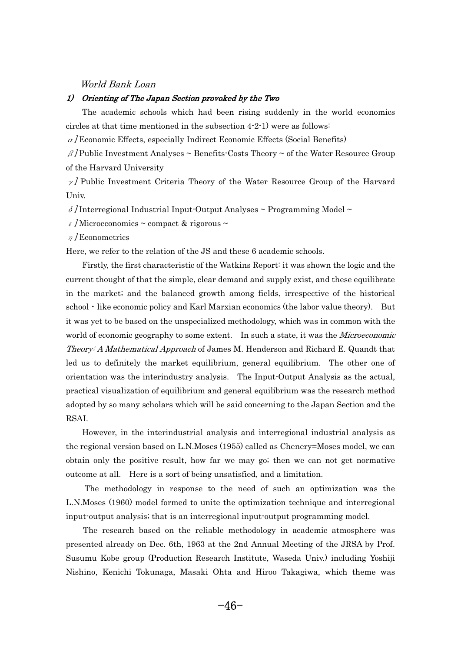#### World Bank Loan

#### 1) Orienting of The Japan Section provoked by the Two

 The academic schools which had been rising suddenly in the world economics circles at that time mentioned in the subsection 4-2-1) were as follows:

 $\alpha$  Economic Effects, especially Indirect Economic Effects (Social Benefits)

 $\beta$ /Public Investment Analyses ~ Benefits-Costs Theory ~ of the Water Resource Group of the Harvard University

 $\nu$  Public Investment Criteria Theory of the Water Resource Group of the Harvard Univ.

 $\delta$ /Interregional Industrial Input-Output Analyses ~ Programming Model ~

 $\epsilon$  /Microeconomics ~ compact & rigorous ~

 $n$  / Econometrics

Here, we refer to the relation of the JS and these 6 academic schools. e:

 Firstly, the first characteristic of the Watkins Report: it was shown the logic and the current thought of that the simple, clear demand and supply exist, and these equilibrate in the market; and the balanced growth among fields, irrespective of the historical school  $\cdot$  like economic policy and Karl Marxian economics (the labor value theory). But it was yet to be based on the unspecialized methodology, which was in common with the world of economic geography to some extent. In such a state, it was the *Microeconomic* Theory: A Mathematical Approach of James M. Henderson and Richard E. Quandt that led us to definitely the market equilibrium, general equilibrium. The other one of orientation was the interindustry analysis. The Input-Output Analysis as the actual, practical visualization of equilibrium and general equilibrium was the research method adopted by so many scholars which will be said concerning to the Japan Section and the RSAI. .<br>5

 However, in the interindustrial analysis and interregional industrial analysis as the regional version based on L.N.Moses (1955) called as Chenery=Moses model, we can obtain only the positive result, how far we may go; then we can not get normative outcome at all. Here is a sort of being unsatisfied, and a limitation. t<sup>d</sup>

 The methodology in response to the need of such an optimization was the L.N.Moses (1960) model formed to unite the optimization technique and interregional input-output analysis; that is an interregional input-output programming model. p

 The research based on the reliable methodology in academic atmosphere was presented already on Dec. 6th, 1963 at the 2nd Annual Meeting of the JRSA by Prof. Susumu Kobe group (Production Research Institute, Waseda Univ.) including Yoshiji Nishino, Kenichi Tokunaga, Masaki Ohta and Hiroo Takagiwa, which theme was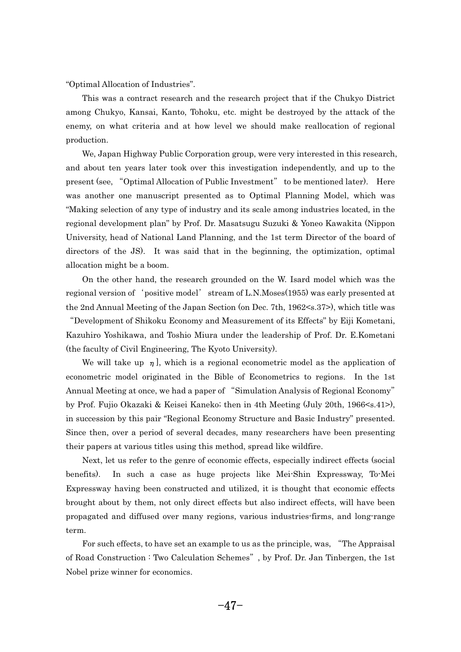"Optimal Allocation of Industries". - $\mathbf{r}$ 

 This was a contract research and the research project that if the Chukyo District among Chukyo, Kansai, Kanto, Tohoku, etc. might be destroyed by the attack of the enemy, on what criteria and at how level we should make reallocation of regional production. <sup>0</sup>

 We, Japan Highway Public Corporation group, were very interested in this research, and about ten years later took over this investigation independently, and up to the present (see, "Optimal Allocation of Public Investment" to be mentioned later). Here was another one manuscript presented as to Optimal Planning Model, which was "Making selection of any type of industry and its scale among industries located, in the regional development plan" by Prof. Dr. Masatsugu Suzuki & Yoneo Kawakita (Nippon University, head of National Land Planning, and the 1st term Director of the board of directors of the JS). It was said that in the beginning, the optimization, optimal allocation might be a boom. lc<br>-

 On the other hand, the research grounded on the W. Isard model which was the regional version of 'positive model' stream of L.N.Moses(1955) was early presented at the 2nd Annual Meeting of the Japan Section (on Dec. 7th, 1962<s.37>), which title was Development of Shikoku Economy and Measurement of its Effects" by Eiji Kometani, Kazuhiro Yoshikawa, and Toshio Miura under the leadership of Prof. Dr. E.Kometani (the faculty of Civil Engineering, The Kyoto University). -า<br>1

We will take up  $\eta$ , which is a regional econometric model as the application of econometric model originated in the Bible of Econometrics to regions. In the 1st Annual Meeting at once, we had a paper of "Simulation Analysis of Regional Economy" by Prof. Fujio Okazaki & Keisei Kaneko; then in 4th Meeting (July 20th, 1966<s.41>), in succession by this pair "Regional Economy Structure and Basic Industry" presented. Since then, over a period of several decades, many researchers have been presenting their papers at various titles using this method, spread like wildfire. e<sup>\*</sup>

 Next, let us refer to the genre of economic effects, especially indirect effects (social benefits). In such a case as huge projects like Mei-Shin Expressway, To-Mei Expressway having been constructed and utilized, it is thought that economic effects brought about by them, not only direct effects but also indirect effects, will have been propagated and diffused over many regions, various industries-firms, and long-range term. r: rm.<br>For such effects, to have set an example to us as the principle, was, "The Appraisal

For such effects, to have set an example to us as the principle, was, "The Appraisal of Road Construction : Two Calculation Schemes", by Prof. Dr. Jan Tinbergen, the 1st Nobel prize winner for economics.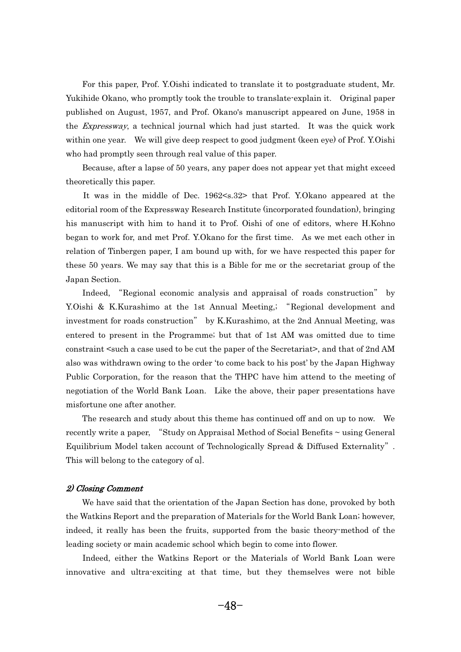For this paper, Prof. Y.Oishi indicated to translate it to postgraduate student, Mr. Yukihide Okano, who promptly took the trouble to translate-explain it. Original paper published on August, 1957, and Prof. Okano's manuscript appeared on June, 1958 in the Expressway, a technical journal which had just started. It was the quick work within one year. We will give deep respect to good judgment (keen eye) of Prof. Y.Oishi who had promptly seen through real value of this paper. -**า** 

 Because, after a lapse of 50 years, any paper does not appear yet that might exceed theoretically this paper. e<sup>1</sup>

 It was in the middle of Dec. 1962<s.32> that Prof. Y.Okano appeared at the editorial room of the Expressway Research Institute (incorporated foundation), bringing his manuscript with him to hand it to Prof. Oishi of one of editors, where H.Kohno began to work for, and met Prof. Y.Okano for the first time. As we met each other in relation of Tinbergen paper, I am bound up with, for we have respected this paper for these 50 years. We may say that this is a Bible for me or the secretariat group of the Japan Section. r.

Indeed, "Regional economic analysis and appraisal of roads construction" by Y.Oishi & K.Kurashimo at the 1st Annual Meeting, "Regional development and investment for roads construction" by K.Kurashimo, at the 2nd Annual Meeting, was entered to present in the Programme; but that of 1st AM was omitted due to time constraint <such a case used to be cut the paper of the Secretariat>, and that of 2nd AM also was withdrawn owing to the order 'to come back to his post' by the Japan Highway Public Corporation, for the reason that the THPC have him attend to the meeting of negotiation of the World Bank Loan. Like the above, their paper presentations have misfortune one after another. is<br>.

 The research and study about this theme has continued off and on up to now. We The research and study about this theme has continued off and on up to now. We recently write a paper, "Study on Appraisal Method of Social Benefits  $\sim$  using General recently write a paper, "Study on Appraisal Method of Social Benefits ~ using General<br>Equilibrium Model taken account of Technologically Spread & Diffused Externality". This will belong to the category of  $a$ .

## 2) Closing Comment -

 We have said that the orientation of the Japan Section has done, provoked by both the Watkins Report and the preparation of Materials for the World Bank Loan; however, indeed, it really has been the fruits, supported from the basic theory-method of the leading society or main academic school which begin to come into flower. a<br>1

- Indeed, either the Watkins Report or the Materials of World Bank Loan were innovative and ultra-exciting at that time, but they themselves were not bible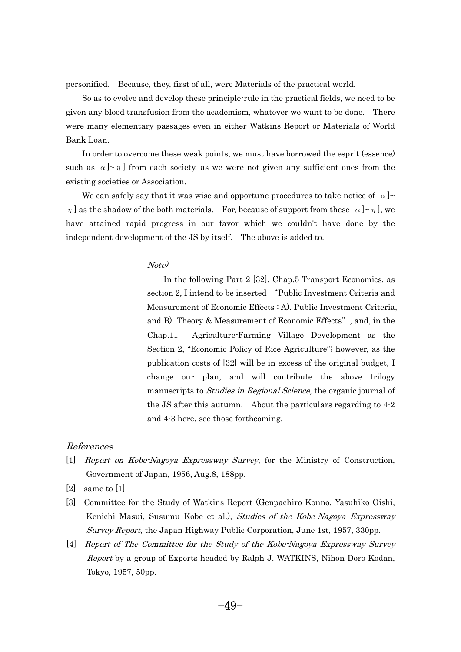personified. Because, they, first of all, were Materials of the practical world. n.

 So as to evolve and develop these principle-rule in the practical fields, we need to be given any blood transfusion from the academism, whatever we want to be done. There were many elementary passages even in either Watkins Report or Materials of World Bank Loan. 11<br>1

 In order to overcome these weak points, we must have borrowed the esprit (essence) such as  $\alpha$   $\sim \pi$  from each society, as we were not given any sufficient ones from the existing societies or Association. i:

We can safely say that it was wise and opportune procedures to take notice of  $\alpha$   $\sim$  $\eta$  as the shadow of the both materials. For, because of support from these  $\alpha$   $\sim \eta$  , we have attained rapid progress in our favor which we couldn't have done by the independent development of the JS by itself. The above is added to.

## Note) - $\overline{\mathcal{O}}$

In the following Part 2 [32], Chap.5 Transport Economics, as section 2, I intend to be inserted "Public Investment Criteria and Measurement of Economic Effects : A). Public Investment Criteria, and B). Theory & Measurement of Economic Effects", and, in the Chap.11 Agriculture-Farming Village Development as the Section 2, "Economic Policy of Rice Agriculture"; however, as the publication costs of [32] will be in excess of the original budget, I change our plan, and will contribute the above trilogy manuscripts to *Studies in Regional Science*, the organic journal of the JS after this autumn. About the particulars regarding to 4-2 and 4-3 here, see those forthcoming.

#### References

- [1] Report on Kobe-Nagoya Expressway Survey, for the Ministry of Construction, Government of Japan, 1956, Aug.8, 188pp.
- [2] same to [1]
- [3] Committee for the Study of Watkins Report (Genpachiro Konno, Yasuhiko Oishi, Kenichi Masui, Susumu Kobe et al.), Studies of the Kobe-Nagoya Expressway Survey Report, the Japan Highway Public Corporation, June 1st, 1957, 330pp.
- [4] Report of The Committee for the Study of the Kobe-Nagoya Expressway Survey Report by a group of Experts headed by Ralph J. WATKINS, Nihon Doro Kodan, Tokyo, 1957, 50pp.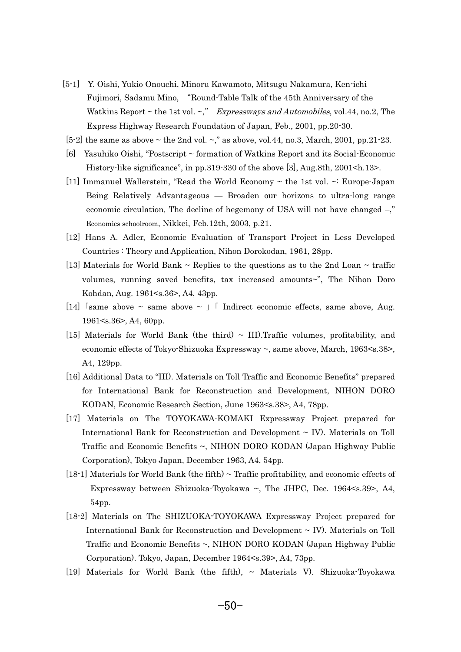- [5-1] Y. Oishi, Yukio Onouchi, Minoru Kawamoto, Mitsugu Nakamura, Ken-ichi Fujimori, Sadamu Mino, "Round-Table Talk of the 45th Anniversary of the Watkins Report  $\sim$  the 1st vol.  $\sim$ ," Expressways and Automobiles, vol.44, no.2, The Express Highway Research Foundation of Japan, Feb., 2001, pp.20-30.
- [5-2] the same as above  $\sim$  the 2nd vol.  $\sim$ ," as above, vol.44, no.3, March, 2001, pp.21-23.
- [6] Yasuhiko Oishi, "Postscript ~ formation of Watkins Report and its Social-Economic History-like significance", in pp.319-330 of the above [3], Aug.8th, 2001<h.13>.
- [11] Immanuel Wallerstein, "Read the World Economy  $\sim$  the 1st vol.  $\sim$ : Europe-Japan Being Relatively Advantageous — Broaden our horizons to ultra-long range economic circulation, The decline of hegemony of USA will not have changed –," Economics schoolroom, Nikkei, Feb.12th, 2003, p.21.
- [12] Hans A. Adler, Economic Evaluation of Transport Project in Less Developed Countries : Theory and Application, Nihon Dorokodan, 1961, 28pp.
- [13] Materials for World Bank  $\sim$  Replies to the questions as to the 2nd Loan  $\sim$  traffic volumes, running saved benefits, tax increased amounts~", The Nihon Doro Kohdan, Aug. 1961<s.36>, A4, 43pp. Kohdan, Aug. 1961<s.36>, A4, 43pp.<br>[14]  $\lceil$ same above ~ same above ~  $\rfloor$   $\lceil$  Indirect economic effects, same above, Aug.
- $\lceil$ same above ~ same:<br>1961<s.36>, A4, 60pp.
- [15] Materials for World Bank (the third)  $\sim$  III). Traffic volumes, profitability, and economic effects of Tokyo-Shizuoka Expressway ~, same above, March, 1963<s.38>, A4, 129pp.
- [16] Additional Data to "III). Materials on Toll Traffic and Economic Benefits" prepared for International Bank for Reconstruction and Development, NIHON DORO KODAN, Economic Research Section, June 1963<s.38>, A4, 78pp.
- [17] Materials on The TOYOKAWA-KOMAKI Expressway Project prepared for International Bank for Reconstruction and Development  $\sim$  IV). Materials on Toll Traffic and Economic Benefits ~, NIHON DORO KODAN (Japan Highway Public Corporation), Tokyo Japan, December 1963, A4, 54pp.
- $[18-1]$  Materials for World Bank (the fifth)  $\sim$  Traffic profitability, and economic effects of Expressway between Shizuoka-Toyokawa  $\sim$ , The JHPC, Dec. 1964 $\leq$ s.39 $\geq$ , A4, 54pp.
- [18-2] Materials on The SHIZUOKA-TOYOKAWA Expressway Project prepared for International Bank for Reconstruction and Development  $\sim$  IV). Materials on Toll Traffic and Economic Benefits ~, NIHON DORO KODAN (Japan Highway Public Corporation). Tokyo, Japan, December 1964<s.39>, A4, 73pp.
- -[19] Materials for World Bank (the fifth),  $\sim$  Materials V). Shizuoka-Toyokawa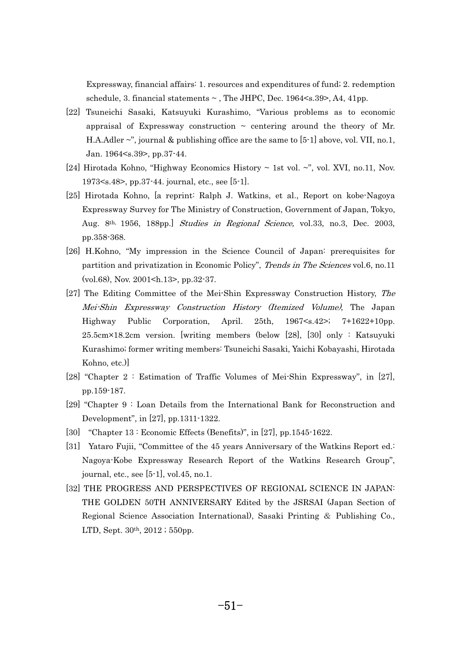Expressway, financial affairs: 1. resources and expenditures of fund; 2. redemption schedule, 3. financial statements  $\sim$ , The JHPC, Dec. 1964 $\leq$ s. 39 $>$ , A4, 41pp.

- [22] Tsuneichi Sasaki, Katsuyuki Kurashimo, "Various problems as to economic appraisal of Expressway construction  $\sim$  centering around the theory of Mr. H.A.Adler ~", journal & publishing office are the same to [5-1] above, vol. VII, no.1, Jan. 1964<s.39>, pp.37-44.
- [24] Hirotada Kohno, "Highway Economics History  $\sim$  1st vol.  $\sim$ ", vol. XVI, no.11, Nov. 1973<s.48>, pp.37-44. journal, etc., see [5-1].
- [25] Hirotada Kohno, [a reprint: Ralph J. Watkins, et al., Report on kobe-Nagoya Expressway Survey for The Ministry of Construction, Government of Japan, Tokyo, Aug. 8th, 1956, 188pp.] Studies in Regional Science, vol.33, no.3, Dec. 2003, pp.358-368.
- [26] H.Kohno, "My impression in the Science Council of Japan: prerequisites for partition and privatization in Economic Policy", Trends in The Sciences vol.6, no.11 (vol.68), Nov. 2001<h.13>, pp.32-37.
- [27] The Editing Committee of the Mei-Shin Expressway Construction History, The Mei-Shin Expressway Construction History (Itemized Volume), The Japan Highway Public Corporation, April. 25th, 1967<s.42>; 7+1622+10pp. 25.5cm×18.2cm version. [writing members (below [28], [30] only : Katsuyuki Kurashimo; former writing members: Tsuneichi Sasaki, Yaichi Kobayashi, Hirotada Kohno, etc.)]
- [28] "Chapter 2 : Estimation of Traffic Volumes of Mei-Shin Expressway", in [27], pp.159-187.
- [29] "Chapter 9 : Loan Details from the International Bank for Reconstruction and Development", in [27], pp.1311-1322.
- [30] "Chapter 13 : Economic Effects (Benefits)", in [27], pp.1545-1622.
- [31] Yataro Fujii, "Committee of the 45 years Anniversary of the Watkins Report ed.: Nagoya-Kobe Expressway Research Report of the Watkins Research Group", journal, etc., see [5-1], vol.45, no.1.
- [32] THE PROGRESS AND PERSPECTIVES OF REGIONAL SCIENCE IN JAPAN: THE GOLDEN 50TH ANNIVERSARY Edited by the JSRSAI (Japan Section of Regional Science Association International), Sasaki Printing & Publishing Co., LTD, Sept. 30th, 2012 ; 550pp.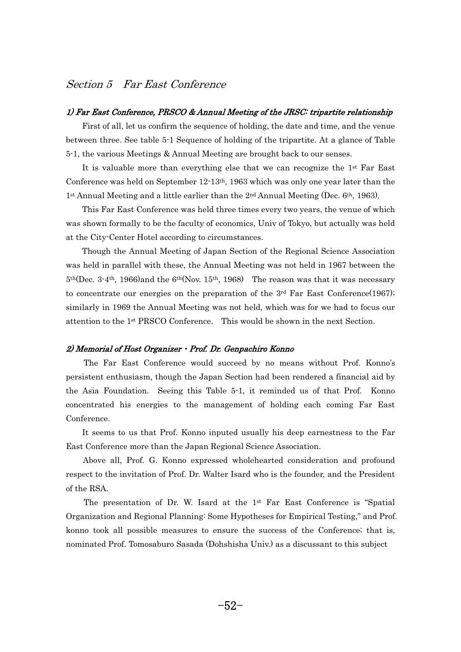# Section 5 Far East Conference

## 1) Far East Conference, PRSCO & Annual Meeting of the JRSC: tripartite relationship <u>ا</u><br>ا

 First of all, let us confirm the sequence of holding, the date and time, and the venue between three. See table 5-1 Sequence of holding of the tripartite. At a glance of Table 5-1, the various Meetings & Annual Meeting are brought back to our senses. -

 It is valuable more than everything else that we can recognize the 1st Far East Conference was held on September 12-13th, 1963 which was only one year later than the  $1<sup>st</sup>$  Annual Meeting and a little earlier than the  $2<sup>nd</sup>$  Annual Meeting (Dec. 6<sup>th</sup>, 1963). -

 This Far East Conference was held three times every two years, the venue of which was shown formally to be the faculty of economics, Univ of Tokyo, but actually was held at the City-Center Hotel according to circumstances. -

 Though the Annual Meeting of Japan Section of the Regional Science Association was held in parallel with these, the Annual Meeting was not held in 1967 between the  $5<sup>th</sup>(Dec. 3-4<sup>th</sup>, 1966)$  and the  $6<sup>th</sup>(Nov. 15<sup>th</sup>, 1968)$  The reason was that it was necessary to concentrate our energies on the preparation of the  $3<sup>rd</sup>$  Far East Conference (1967); similarly in 1969 the Annual Meeting was not held, which was for we had to focus our attention to the 1st PRSCO Conference. This would be shown in the next Section.

## 2) Memorial of Host Organizer • Prof. Dr. Genpachiro Konno  $\overline{a}$

 The Far East Conference would succeed by no means without Prof. Konno's persistent enthusiasm, though the Japan Section had been rendered a financial aid by the Asia Foundation. Seeing this Table 5-1, it reminded us of that Prof. Konno concentrated his energies to the management of holding each coming Far East Conference.  $\overline{a}$ 

 It seems to us that Prof. Konno inputed usually his deep earnestness to the Far East Conference more than the Japan Regional Science Association. us<br>.

 Above all, Prof. G. Konno expressed wholehearted consideration and profound respect to the invitation of Prof. Dr. Walter Isard who is the founder, and the President of the RSA. t.

The presentation of Dr. W. Isard at the  $1<sup>st</sup>$  Far East Conference is "Spatial" Organization and Regional Planning: Some Hypotheses for Empirical Testing," and Prof. konno took all possible measures to ensure the success of the Conference; that is, nominated Prof. Tomosaburo Sasada (Dohshisha Univ.) as a discussant to this subject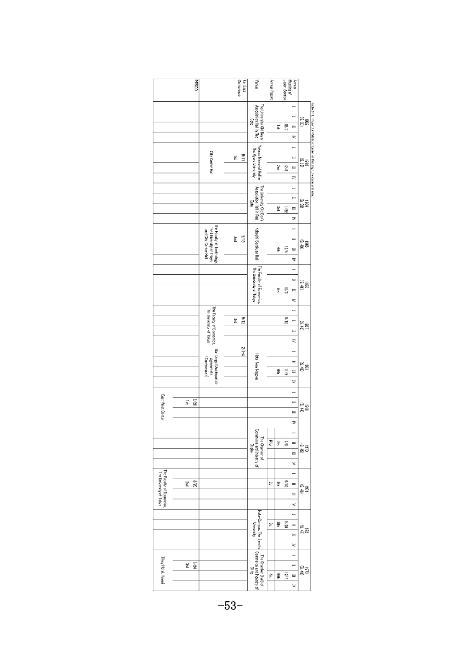|                                                      | <b>DOS3d</b> |                                                                               | Conference<br>Far East | Venue                                                       | Annual Report | Japan Section<br>Meeting of | Annual                                            |                                                                      |
|------------------------------------------------------|--------------|-------------------------------------------------------------------------------|------------------------|-------------------------------------------------------------|---------------|-----------------------------|---------------------------------------------------|----------------------------------------------------------------------|
|                                                      |              |                                                                               |                        | The University Old Boy's<br>Association Hall in Red<br>Gate |               | g<br>冨                      | Η<br>Ξ<br>1982<br>SS 37)<br>⊟<br>z                |                                                                      |
|                                                      |              | City Center Hall                                                              | 11/6<br>算              | Yukawa Memorial Hall in<br>The Kyere University             |               | 9/31<br>2nc                 | Ħ<br>1963<br>(S. 38)<br>$\equiv$<br>₹             | Table 5-1. Triper les Relation: Order of Holding (Ure date and site) |
|                                                      |              |                                                                               |                        | The Uriversity Old Boy's<br>Association Hall in Red<br>Gate |               | 11/22<br>ã                  | $\equiv$<br>1954<br>RS 39)<br>≡<br>Z              |                                                                      |
|                                                      |              | The Faculty of Technology,<br>The University of Tokyo<br>and City Center Hall | $\frac{8}{12}$<br>Žnd  | Kabeshi-Sorakuen Hall                                       |               | $\frac{1}{2}$<br>章          | ≕<br>(5.40)<br>\$961<br>$\equiv$<br>₹             |                                                                      |
|                                                      |              |                                                                               |                        | The Faculty of Economics,<br>The University of Tokyo        |               | 12/3<br>g                   | Ĥ<br>$\equiv$<br>1956<br>36<br>E<br>₹             |                                                                      |
|                                                      |              | The Faculty of Economics,<br>The University of Tokyo                          | 31/6<br>ă              |                                                             |               | $rac{6}{5}$                 | -<br>$\equiv$<br>(5.42)<br>≣                      |                                                                      |
|                                                      |              | San Diego (Quadripartite<br><conference><br/>Agreements</conference>          | $2/1-4$                | Hote New Nagoya                                             |               | 11/5<br>ទ្ធ                 | ₹<br>-<br>$=$<br>.<br>දි සි<br>E<br>₹             |                                                                      |
| East-West Center                                     | 02/8<br>Ã    |                                                                               |                        |                                                             |               |                             | -<br>Н<br>(5.44)<br>6961<br>Ħ<br>₹                |                                                                      |
|                                                      |              |                                                                               |                        | <b>Commerce and Industry of</b><br>The Chamber of<br>Osaka  | 词             | 8/0<br>ਤੋਂ                  | $\equiv$<br>ິຮ<br>ອ້ອ<br>$\equiv$<br>ξ            |                                                                      |
| The Faculty of Economics.<br>The University of Tokyo | 3/25<br>ξm   |                                                                               |                        |                                                             | 5             | $\frac{8}{16}$<br>≌         | $\blacksquare$<br>$\frac{1971}{(5.46)}$<br>≡<br>₹ |                                                                      |
|                                                      |              |                                                                               |                        | Ikuta-Campus, The Senshu<br>University                      | Ş             | 82/5<br>拏                   | $\overline{a}$<br>$=$<br>(2, 47)<br>$\equiv$<br>₹ |                                                                      |
| <b>Ilikay Hotel, Hawaii</b>                          | 2/24<br>ξ    |                                                                               |                        | Commerce and Industry of<br>The Chamber (Hall) of<br>Orita  | ₹             | 1/2<br>Ş                    | $\equiv$<br>1973<br>(S. 48)<br>ᆸ<br>$\ddot{}$     |                                                                      |

 $-53-$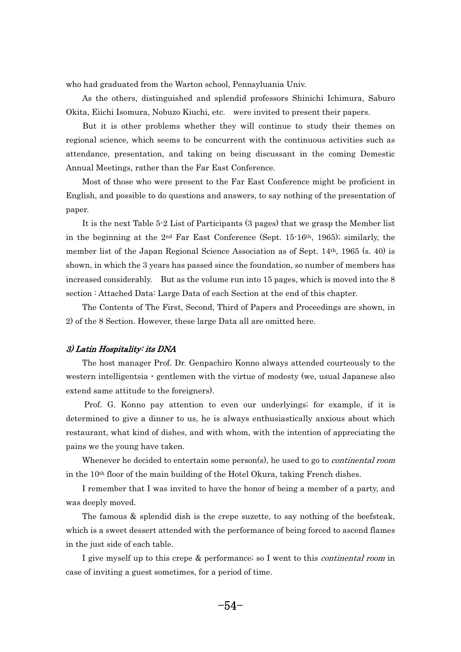who had graduated from the Warton school, Pennsyluania Univ. -**า** 

 As the others, distinguished and splendid professors Shinichi Ichimura, Saburo Okita, Eiichi Isomura, Nobuzo Kiuchi, etc. were invited to present their papers.  $\vec{r}$ 

 But it is other problems whether they will continue to study their themes on regional science, which seems to be concurrent with the continuous activities such as attendance, presentation, and taking on being discussant in the coming Demestic Annual Meetings, rather than the Far East Conference. -า<br>1

 Most of those who were present to the Far East Conference might be proficient in English, and possible to do questions and answers, to say nothing of the presentation of paper. ا<br>}

 It is the next Table 5-2 List of Participants (3 pages) that we grasp the Member list in the beginning at the  $2<sup>nd</sup>$  Far East Conference (Sept. 15-16<sup>th</sup>, 1965); similarly, the member list of the Japan Regional Science Association as of Sept. 14th, 1965 (s. 40) is shown, in which the 3 years has passed since the foundation, so number of members has increased considerably. But as the volume run into 15 pages, which is moved into the 8 section : Attached Data: Large Data of each Section at the end of this chapter. <sup>c</sup>

 The Contents of The First, Second, Third of Papers and Proceedings are shown, in 2) of the 8 Section. However, these large Data all are omitted here.

## 3) Latin Hospitality: its DNA <u>ا</u><br>ا

 The host manager Prof. Dr. Genpachiro Konno always attended courteously to the western intelligentsia  $\cdot$  gentlemen with the virtue of modesty (we, usual Japanese also extend same attitude to the foreigners). t<br>
<sup>t</sup>

 Prof. G. Konno pay attention to even our underlyings; for example, if it is determined to give a dinner to us, he is always enthusiastically anxious about which restaurant, what kind of dishes, and with whom, with the intention of appreciating the pains we the young have taken. i<br>i

Whenever he decided to entertain some person(s), he used to go to *continental room* in the 10<sup>th</sup> floor of the main building of the Hotel Okura, taking French dishes. -

 I remember that I was invited to have the honor of being a member of a party, and was deeply moved. 1:<br>}

 The famous & splendid dish is the crepe suzette, to say nothing of the beefsteak, which is a sweet dessert attended with the performance of being forced to ascend flames in the just side of each table. -

--------<br>-- I give myself up to this crepe & performance; so I went to this continental room in case of inviting a guest sometimes, for a period of time.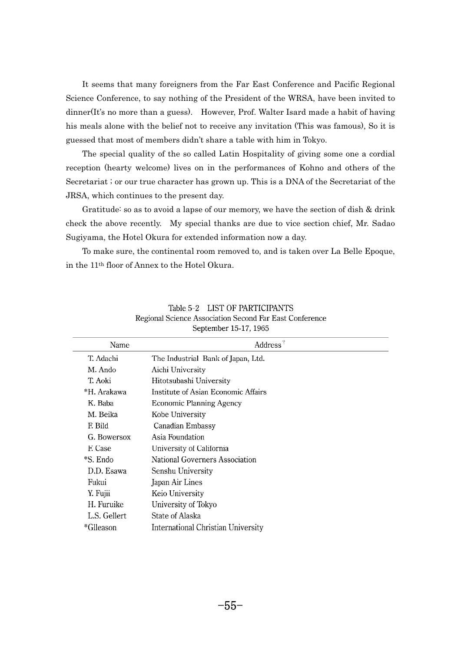It seems that many foreigners from the Far East Conference and Pacific Regional Science Conference, to say nothing of the President of the WRSA, have been invited to dinner(It's no more than a guess). However, Prof. Walter Isard made a habit of having his meals alone with the belief not to receive any invitation (This was famous), So it is guessed that most of members didn't share a table with him in Tokyo. - $\mathsf{R}$ 

 The special quality of the so called Latin Hospitality of giving some one a cordial reception (hearty welcome) lives on in the performances of Kohno and others of the Secretariat ; or our true character has grown up. This is a DNA of the Secretariat of the JRSA, which continues to the present day.  $\alpha$ 

 Gratitude: so as to avoid a lapse of our memory, we have the section of dish & drink check the above recently. My special thanks are due to vice section chief, Mr. Sadao Sugiyama, the Hotel Okura for extended information now a day. 1g

 To make sure, the continental room removed to, and is taken over La Belle Epoque, in the 11th floor of Annex to the Hotel Okura.

| Name         | $Address^{\dagger}$                   |  |  |  |  |
|--------------|---------------------------------------|--|--|--|--|
| T. Adachi    | The Industrial Bank of Japan, Ltd.    |  |  |  |  |
| M. Ando      | Aichi University                      |  |  |  |  |
| T. Aoki      | Hitotsubashi University               |  |  |  |  |
| *H. Arakawa  | Institute of Asian Economic Affairs   |  |  |  |  |
| K. Baba      | <b>Economic Planning Agency</b>       |  |  |  |  |
| M. Beika     | Kobe University                       |  |  |  |  |
| F. Bild      | Canadian Embassy                      |  |  |  |  |
| G. Bowersox  | Asia Foundation                       |  |  |  |  |
| F. Case      | University of California              |  |  |  |  |
| *S. Endo     | <b>National Governers Association</b> |  |  |  |  |
| D.D. Esawa   | Senshu University                     |  |  |  |  |
| Fukui        | Japan Air Lines                       |  |  |  |  |
| Y. Fujii     | Keio University                       |  |  |  |  |
| H. Furuike   | University of Tokyo                   |  |  |  |  |
| L.S. Gellert | State of Alaska                       |  |  |  |  |
| *Glleason    | International Christian University    |  |  |  |  |
|              |                                       |  |  |  |  |

Table 5-2 LIST OF PARTICIPANTS Regional Science Association Second Far East Conference September 15-17, 1965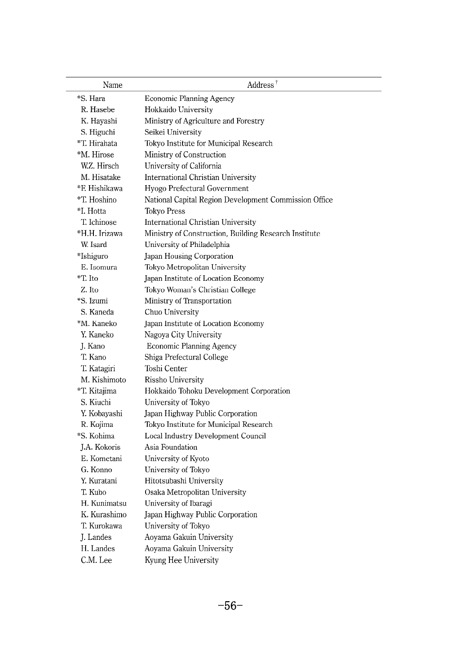| Name          | Address <sup>†</sup>                                  |  |  |
|---------------|-------------------------------------------------------|--|--|
| *S. Hara      | <b>Economic Planning Agency</b>                       |  |  |
| R. Hasebe     | Hokkaido University                                   |  |  |
| K. Hayashi    | Ministry of Agriculture and Forestry                  |  |  |
| S. Higuchi    | Seikei University                                     |  |  |
| *T. Hirahata  | Tokyo Institute for Municipal Research                |  |  |
| *M. Hirose    | Ministry of Construction                              |  |  |
| W.Z. Hirsch   | University of California                              |  |  |
| M. Hisatake   | <b>International Christian University</b>             |  |  |
| *F. Hishikawa | Hyogo Prefectural Government                          |  |  |
| *T. Hoshino   | National Capital Region Development Commission Office |  |  |
| *I. Hotta     | <b>Tokyo Press</b>                                    |  |  |
| T. Ichinose   | <b>International Christian University</b>             |  |  |
| *H.H. Irizawa | Ministry of Construction, Building Research Institute |  |  |
| W. Isard      | University of Philadelphia                            |  |  |
| *Ishiguro     | Japan Housing Corporation                             |  |  |
| E. Isomura    | Tokyo Metropolitan University                         |  |  |
| *T. Ito       | Japan Institute of Location Economy                   |  |  |
| Z. Ito        | Tokyo Woman's Christian College                       |  |  |
| *S. Izumi     | Ministry of Transportation                            |  |  |
| S. Kaneda     | Chuo University                                       |  |  |
| *M. Kaneko    | Japan Institute of Location Economy                   |  |  |
| Y. Kaneko     | Nagoya City University                                |  |  |
| J. Kano       | <b>Economic Planning Agency</b>                       |  |  |
| T. Kano       | Shiga Prefectural College                             |  |  |
| T. Katagiri   | Toshi Center                                          |  |  |
| M. Kishimoto  | Rissho University                                     |  |  |
| *T. Kitajima  | Hokkaido Tohoku Development Corporation               |  |  |
| S. Kiuchi     | University of Tokyo                                   |  |  |
| Y. Kobayashi  | Japan Highway Public Corporation                      |  |  |
| R. Kojima     | Tokyo Institute for Municipal Research                |  |  |
| *S. Kohima    | <b>Local Industry Development Council</b>             |  |  |
| J.A. Kokoris  | Asia Foundation                                       |  |  |
| E. Kometani   | University of Kyoto                                   |  |  |
| G. Konno      | University of Tokyo                                   |  |  |
| Y. Kuratani   | Hitotsubashi University                               |  |  |
| T. Kubo       | Osaka Metropolitan University                         |  |  |
| H. Kunimatsu  | University of Ibaragi                                 |  |  |
| K. Kurashimo  | Japan Highway Public Corporation                      |  |  |
| T. Kurokawa   | University of Tokyo                                   |  |  |
| J. Landes     | Aoyama Gakuin University                              |  |  |
| H. Landes     | Aoyama Gakuin University                              |  |  |
| C.M. Lee      | Kyung Hee University                                  |  |  |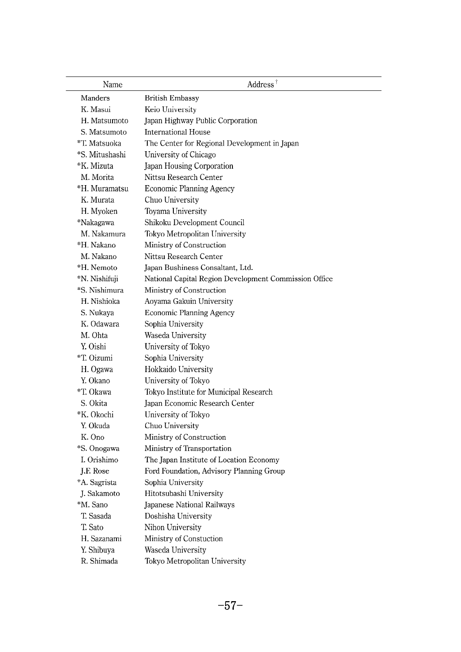| Name           | Address <sup>†</sup>                                  |
|----------------|-------------------------------------------------------|
| Manders        | <b>British Embassy</b>                                |
| K. Masui       | Keio University                                       |
| H. Matsumoto   | Japan Highway Public Corporation                      |
| S. Matsumoto   | <b>International House</b>                            |
| *T. Matsuoka   | The Center for Regional Development in Japan          |
| *S. Mitushashi | University of Chicago                                 |
| *K. Mizuta     | Japan Housing Corporation                             |
| M. Morita      | Nittsu Research Center                                |
| *H. Muramatsu  | <b>Economic Planning Agency</b>                       |
| K. Murata      | Chuo University                                       |
| H. Myoken      | Toyama University                                     |
| *Nakagawa      | Shikoku Development Council                           |
| M. Nakamura    | Tokyo Metropolitan University                         |
| *H. Nakano     | Ministry of Construction                              |
| M. Nakano      | Nittsu Research Center                                |
| *H. Nemoto     | Japan Bushiness Consaltant, Ltd.                      |
| *N. Nishifuji  | National Capital Region Development Commission Office |
| *S. Nishimura  | Ministry of Construction                              |
| H. Nishioka    | Aoyama Gakuin University                              |
| S. Nukaya      | <b>Economic Planning Agency</b>                       |
| K. Odawara     | Sophia University                                     |
| M. Ohta        | Waseda University                                     |
| Y. Oishi       | University of Tokyo                                   |
| *T. Oizumi     | Sophia University                                     |
| H. Ogawa       | Hokkaido University                                   |
| Y. Okano       | University of Tokyo                                   |
| *T. Okawa      | Tokyo Institute for Municipal Research                |
| S. Okita       | Japan Economic Research Center                        |
| *K. Okochi     | University of Tokyo                                   |
| Y. Okuda       | Chuo University                                       |
| K. Ono         | Ministry of Construction                              |
| *S. Onogawa    | Ministry of Transportation                            |
| I. Orishimo    | The Japan Institute of Location Economy               |
| J.F. Rose      | Ford Foundation, Advisory Planning Group              |
| *A. Sagrista   | Sophia University                                     |
| J. Sakamoto    | Hitotsubashi University                               |
| *M. Sano       | Japanese National Railways                            |
| T. Sasada      | Doshisha University                                   |
| T. Sato        | Nihon University                                      |
| H. Sazanami    | Ministry of Constuction                               |
| Y. Shibuya     | Waseda University                                     |
| R. Shimada     | Tokyo Metropolitan University                         |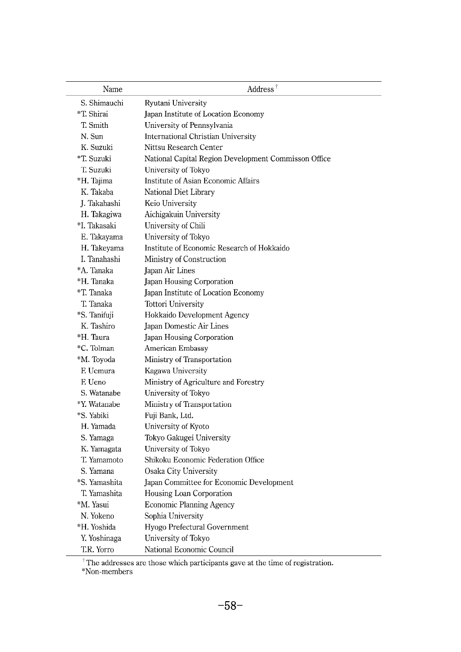| Name          | Address <sup>†</sup>                                 |  |  |
|---------------|------------------------------------------------------|--|--|
| S. Shimauchi  | Ryutani University                                   |  |  |
| *T. Shirai    | Japan Institute of Location Economy                  |  |  |
| T. Smith      | University of Pennsylvania                           |  |  |
| N. Sun        | International Christian University                   |  |  |
| K. Suzuki     | Nittsu Research Center                               |  |  |
| *T. Suzuki    | National Capital Region Development Commisson Office |  |  |
| T. Suzuki     | University of Tokyo                                  |  |  |
| *H. Tajima    | Institute of Asian Economic Affairs                  |  |  |
| K. Takaba     | National Diet Library                                |  |  |
| J. Takahashi  | Keio University                                      |  |  |
| H. Takagiwa   | Aichigakuin University                               |  |  |
| *I. Takasaki  | University of Chili                                  |  |  |
| E. Takayama   | University of Tokyo                                  |  |  |
| H. Takeyama   | Institute of Economic Research of Hokkaido           |  |  |
| I. Tanahashi  | Ministry of Construction                             |  |  |
| *A. Tanaka    | Japan Air Lines                                      |  |  |
| *H. Tanaka    | Japan Housing Corporation                            |  |  |
| *T. Tanaka    | Japan Institute of Location Economy                  |  |  |
| T. Tanaka     | Tottori University                                   |  |  |
| *S. Tanifuji  | Hokkaido Development Agency                          |  |  |
| K. Tashiro    | Japan Domestic Air Lines                             |  |  |
| *H. Taura     | Japan Housing Corporation                            |  |  |
| *C. Tolman    | American Embassy                                     |  |  |
| *M. Toyoda    | Ministry of Transportation                           |  |  |
| F. Uemura     | Kagawa University                                    |  |  |
| F. Ueno       | Ministry of Agriculture and Forestry                 |  |  |
| S. Watanabe   | University of Tokyo                                  |  |  |
| *Y. Watanabe  | Ministry of Transportation                           |  |  |
| *S. Yabiki    | Fuji Bank, Ltd.                                      |  |  |
| H. Yamada     | University of Kyoto                                  |  |  |
| S. Yamaga     | Tokyo Gakugei University                             |  |  |
| K. Yamagata   | University of Tokyo                                  |  |  |
| T. Yamamoto   | Shikoku Economic Federation Office                   |  |  |
| S. Yamana     | Osaka City University                                |  |  |
| *S. Yamashita | Japan Committee for Economic Development             |  |  |
| T. Yamashita  | Housing Loan Corporation                             |  |  |
| *M. Yasui     | <b>Economic Planning Agency</b>                      |  |  |
| N. Yokeno     | Sophia University                                    |  |  |
| *H. Yoshida   | Hyogo Prefectural Government                         |  |  |
| Y. Yoshinaga  | University of Tokyo                                  |  |  |
| T.R. Yorro    | National Economic Council                            |  |  |

 $^\dagger$  The addresses are those which participants gave at the time of registration. \*Non-members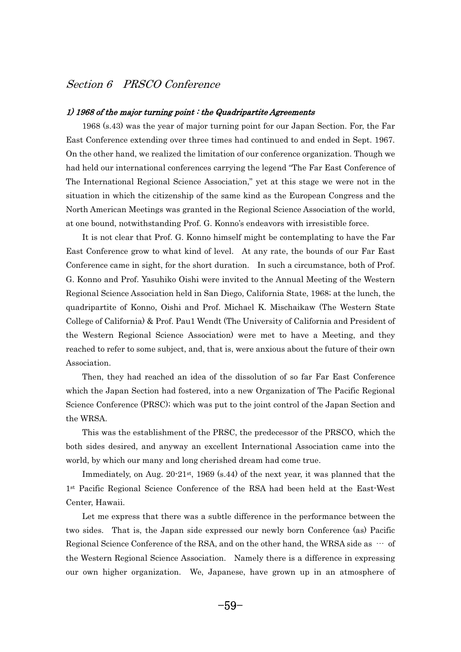# Section 6 PRSCO Conference

## $1)$  1968 of the major turning point  $:$  the Quadripartite Agreements -

 1968 (s.43) was the year of major turning point for our Japan Section. For, the Far East Conference extending over three times had continued to and ended in Sept. 1967. On the other hand, we realized the limitation of our conference organization. Though we had held our international conferences carrying the legend "The Far East Conference of The International Regional Science Association," yet at this stage we were not in the situation in which the citizenship of the same kind as the European Congress and the North American Meetings was granted in the Regional Science Association of the world, at one bound, notwithstanding Prof. G. Konno's endeavors with irresistible force. -

 It is not clear that Prof. G. Konno himself might be contemplating to have the Far East Conference grow to what kind of level. At any rate, the bounds of our Far East Conference came in sight, for the short duration. In such a circumstance, both of Prof. G. Konno and Prof. Yasuhiko Oishi were invited to the Annual Meeting of the Western Regional Science Association held in San Diego, California State, 1968; at the lunch, the quadripartite of Konno, Oishi and Prof. Michael K. Mischaikaw (The Western State College of California) & Prof. Pau1 Wendt (The University of California and President of the Western Regional Science Association) were met to have a Meeting, and they reached to refer to some subject, and, that is, were anxious about the future of their own Association. s<br>-

 Then, they had reached an idea of the dissolution of so far Far East Conference which the Japan Section had fostered, into a new Organization of The Pacific Regional Science Conference (PRSC); which was put to the joint control of the Japan Section and the WRSA. e<sup>\*</sup>

 This was the establishment of the PRSC, the predecessor of the PRSCO, which the both sides desired, and anyway an excellent International Association came into the world, by which our many and long cherished dream had come true. וכ<br>**-**

Immediately, on Aug.  $20.21$ <sup>st</sup>, 1969 (s.44) of the next year, it was planned that the 1st Pacific Regional Science Conference of the RSA had been held at the East-West Center, Hawaii.  $\mathbf{e}$ 

r.......<sub>.</sub> Let me express that there was a subtle difference in the performance between the two sides. That is, the Japan side expressed our newly born Conference (as) Pacific Regional Science Conference of the RSA, and on the other hand, the WRSA side as  $\cdots$  of the Western Regional Science Association. Namely there is a difference in expressing our own higher organization. We, Japanese, have grown up in an atmosphere of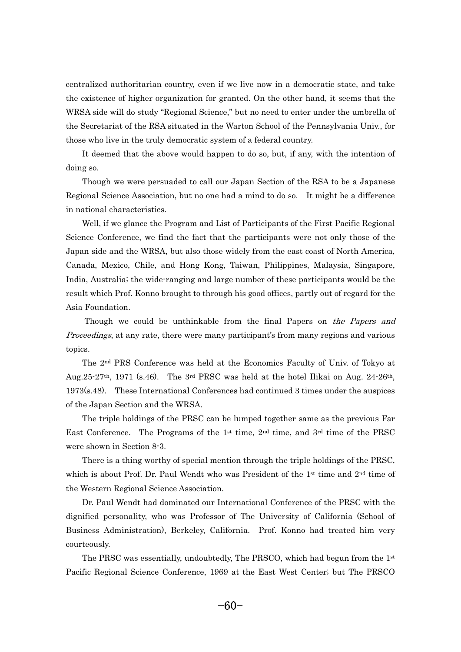centralized authoritarian country, even if we live now in a democratic state, and take the existence of higher organization for granted. On the other hand, it seems that the WRSA side will do study "Regional Science," but no need to enter under the umbrella of the Secretariat of the RSA situated in the Warton School of the Pennsylvania Univ., for those who live in the truly democratic system of a federal country. <sup>0</sup>

 It deemed that the above would happen to do so, but, if any, with the intention of doing so. i:<br>i

 Though we were persuaded to call our Japan Section of the RSA to be a Japanese Regional Science Association, but no one had a mind to do so. It might be a difference in national characteristics. **1** 

 Well, if we glance the Program and List of Participants of the First Pacific Regional Science Conference, we find the fact that the participants were not only those of the Japan side and the WRSA, but also those widely from the east coast of North America, Canada, Mexico, Chile, and Hong Kong, Taiwan, Philippines, Malaysia, Singapore, India, Australia; the wide-ranging and large number of these participants would be the result which Prof. Konno brought to through his good offices, partly out of regard for the Asia Foundation. i:

Though we could be unthinkable from the final Papers on the Papers and *Proceedings*, at any rate, there were many participant's from many regions and various topics. p<br>1

 The 2nd PRS Conference was held at the Economics Faculty of Univ. of Tokyo at Aug.25-27th, 1971 (s.46). The 3rd PRSC was held at the hotel Ilikai on Aug. 24-26th, 1973(s.48). These International Conferences had continued 3 times under the auspices of the Japan Section and the WRSA. -

 The triple holdings of the PRSC can be lumped together same as the previous Far East Conference. The Programs of the 1<sup>st</sup> time,  $2<sup>nd</sup>$  time, and  $3<sup>rd</sup>$  time of the PRSC were shown in Section 8-3. e1

 There is a thing worthy of special mention through the triple holdings of the PRSC, which is about Prof. Dr. Paul Wendt who was President of the  $1<sup>st</sup>$  time and  $2<sup>nd</sup>$  time of the Western Regional Science Association. e<sup>\*</sup>

 Dr. Paul Wendt had dominated our International Conference of the PRSC with the dignified personality, who was Professor of The University of California (School of Business Administration), Berkeley, California. Prof. Konno had treated him very courteously. u<br>u

The PRSC was essentially, undoubtedly, The PRSCO, which had begun from the  $1<sup>st</sup>$ Pacific Regional Science Conference, 1969 at the East West Center; but The PRSCO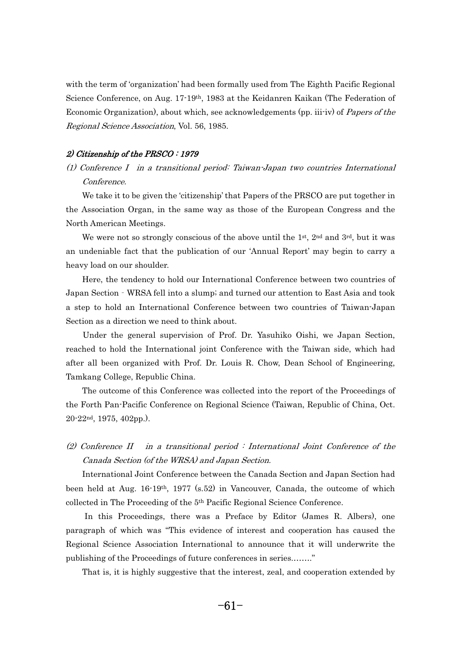with the term of 'organization' had been formally used from The Eighth Pacific Regional Science Conference, on Aug. 17-19<sup>th</sup>, 1983 at the Keidanren Kaikan (The Federation of Economic Organization), about which, see acknowledgements (pp. iii-iv) of *Papers of the* Regional Science Association, Vol. 56, 1985.

#### 2) Citizenship of the PRSCO : 1979

(1) Conference I in a transitional period: Taiwan-Japan two countries International Conference.

 We take it to be given the 'citizenship' that Papers of the PRSCO are put together in the Association Organ, in the same way as those of the European Congress and the North American Meetings.  $\overline{c}$ 

We were not so strongly conscious of the above until the  $1<sup>st</sup>$ ,  $2<sup>nd</sup>$  and  $3<sup>rd</sup>$ , but it was an undeniable fact that the publication of our 'Annual Report' may begin to carry a heavy load on our shoulder. - $\mathcal{E}$ 

 Here, the tendency to hold our International Conference between two countries of Japan Section - WRSA fell into a slump; and turned our attention to East Asia and took a step to hold an International Conference between two countries of Taiwan-Japan Section as a direction we need to think about. e<br>C

 Under the general supervision of Prof. Dr. Yasuhiko Oishi, we Japan Section, reached to hold the International joint Conference with the Taiwan side, which had after all been organized with Prof. Dr. Louis R. Chow, Dean School of Engineering, Tamkang College, Republic China. -<sup>u</sup>

 The outcome of this Conference was collected into the report of the Proceedings of the Forth Pan-Pacific Conference on Regional Science (Taiwan, Republic of China, Oct. 20-22nd, 1975, 402pp.).

(2) Conference II in a transitional period : International Joint Conference of the Canada Section (of the WRSA) and Japan Section.

 International Joint Conference between the Canada Section and Japan Section had been held at Aug. 16-19th, 1977 (s.52) in Vancouver, Canada, the outcome of which collected in The Proceeding of the 5<sup>th</sup> Pacific Regional Science Conference.  $\mathbf{I}$ 

 In this Proceedings, there was a Preface by Editor (James R. Albers), one paragraph of which was "This evidence of interest and cooperation has caused the Regional Science Association International to announce that it will underwrite the publishing of the Proceedings of future conferences in series........" l<br>}

That is, it is highly suggestive that the interest, zeal, and cooperation extended by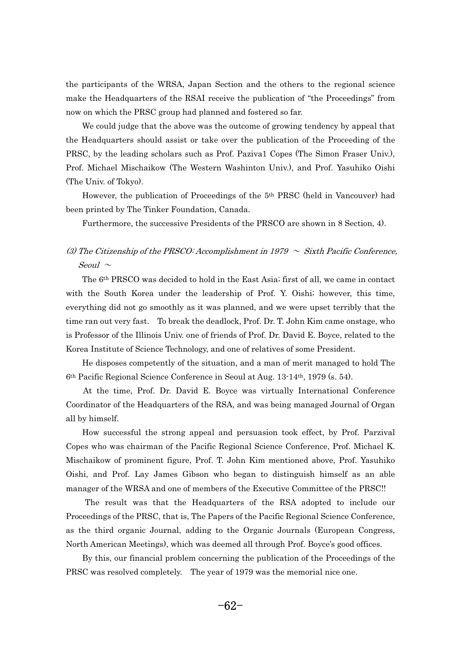the participants of the WRSA, Japan Section and the others to the regional science make the Headquarters of the RSAI receive the publication of "the Proceedings" from now on which the PRSC group had planned and fostered so far. v<br>J

 We could judge that the above was the outcome of growing tendency by appeal that the Headquarters should assist or take over the publication of the Proceeding of the PRSC, by the leading scholars such as Prof. Paziva1 Copes (The Simon Fraser Univ.), Prof. Michael Mischaikow (The Western Washinton Univ.), and Prof. Yasuhiko Oishi (The Univ. of Tokyo). h<br>h

 However, the publication of Proceedings of the 5th PRSC (held in Vancouver) had been printed by The Tinker Foundation, Canada.

Furthermore, the successive Presidents of the PRSCO are shown in 8 Section, 4).

# (3) The Citizenship of the PRSCO: Accomplishment in 1979  $\sim$  Sixth Pacific Conference, Seoul  $\sim$

 The 6th PRSCO was decided to hold in the East Asia; first of all, we came in contact with the South Korea under the leadership of Prof. Y. Oishi; however, this time, everything did not go smoothly as it was planned, and we were upset terribly that the time ran out very fast. To break the deadlock, Prof. Dr. T. John Kim came onstage, who is Professor of the Illinois Univ. one of friends of Prof. Dr. David E. Boyce, related to the Korea Institute of Science Technology, and one of relatives of some President. -וכ<br>**-**

 He disposes competently of the situation, and a man of merit managed to hold The 6th Pacific Regional Science Conference in Seoul at Aug. 13-14th, 1979 (s. 54). - $\mathbf{r}$ 

 At the time, Prof. Dr. David E. Boyce was virtually International Conference Coordinator of the Headquarters of the RSA, and was being managed Journal of Organ all by himself.  $\mathbf{I}$ 

 How successful the strong appeal and persuasion took effect, by Prof. Parzival Copes who was chairman of the Pacific Regional Science Conference, Prof. Michael K. Mischaikow of prominent figure, Prof. T. John Kim mentioned above, Prof. Yasuhiko Oishi, and Prof. Lay James Gibson who began to distinguish himself as an able manager of the WRSA and one of members of the Executive Committee of the PRSC!! 11<br>1

 The result was that the Headquarters of the RSA adopted to include our Proceedings of the PRSC, that is, The Papers of the Pacific Regional Science Conference, as the third organic Journal, adding to the Organic Journals (European Congress, North American Meetings), which was deemed all through Prof. Boyce's good offices. -.<br>נכ

 By this, our financial problem concerning the publication of the Proceedings of the PRSC was resolved completely. The year of 1979 was the memorial nice one.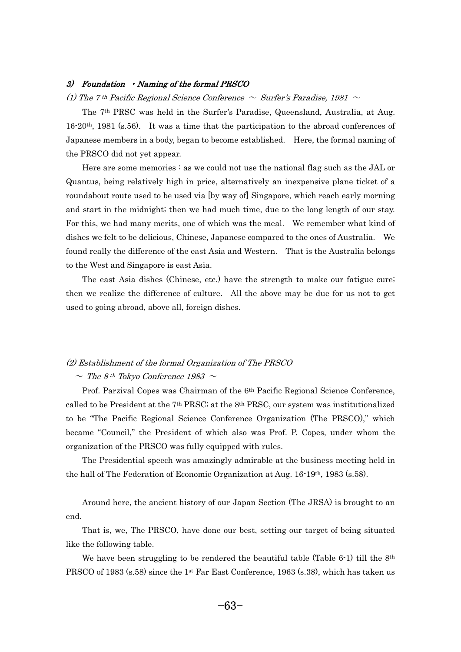#### 3) Foundation • Naming of the formal PRSCO

(1) The 7<sup>th</sup> Pacific Regional Science Conference  $\sim$  Surfer's Paradise, 1981  $\sim$  $\big)$ 

 The 7th PRSC was held in the Surfer's Paradise, Queensland, Australia, at Aug. 16-20th, 1981 (s.56). It was a time that the participation to the abroad conferences of Japanese members in a body, began to become established. Here, the formal naming of the PRSCO did not yet appear. e

Here are some memories : as we could not use the national flag such as the JAL or Quantus, being relatively high in price, alternatively an inexpensive plane ticket of a roundabout route used to be used via [by way of] Singapore, which reach early morning and start in the midnight; then we had much time, due to the long length of our stay. For this, we had many merits, one of which was the meal. We remember what kind of dishes we felt to be delicious, Chinese, Japanese compared to the ones of Australia. We found really the difference of the east Asia and Western. That is the Australia belongs to the West and Singapore is east Asia. -

 The east Asia dishes (Chinese, etc.) have the strength to make our fatigue cure; then we realize the difference of culture. All the above may be due for us not to get used to going abroad, above all, foreign dishes.

#### (2) Establishment of the formal Organization of The PRSCO

## $\sim$  The 8<sup>th</sup> Tokyo Conference 1983  $\sim$ -

 Prof. Parzival Copes was Chairman of the 6th Pacific Regional Science Conference, called to be President at the 7th PRSC; at the 8th PRSC, our system was institutionalized to be "The Pacific Regional Science Conference Organization (The PRSCO)," which became "Council," the President of which also was Prof. P. Copes, under whom the organization of the PRSCO was fully equipped with rules. g

 The Presidential speech was amazingly admirable at the business meeting held in the hall of The Federation of Economic Organization at Aug. 16-19th, 1983 (s.58).

 Around here, the ancient history of our Japan Section (The JRSA) is brought to an end. .<br>م

 That is, we, The PRSCO, have done our best, setting our target of being situated like the following table.  $\epsilon$ 

 $\frac{1}{2}$ We have been struggling to be rendered the beautiful table (Table 6-1) till the 8<sup>th</sup> PRSCO of 1983 (s.58) since the 1st Far East Conference, 1963 (s.38), which has taken us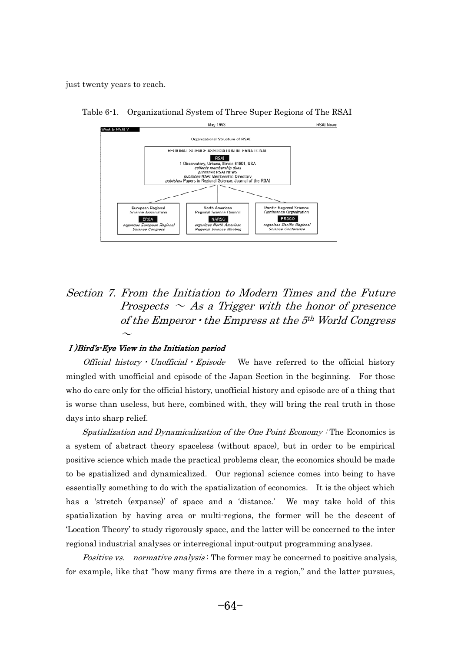just twenty years to reach.



Table 6-1. Organizational System of Three Super Regions of The RSAI

# Section 7. From the Initiation to Modern Times and the Future Prospects  $\sim$  As a Trigger with the honor of presence of the Emperor  $\cdot$  the Empress at the  $5<sup>th</sup>$  World Congress

#### )Bird's-Eye View in the Initiation period

 $\sim$ 

*Official history*  $\cdot$  *Unofficial*  $\cdot$  *Episode* We have referred to the official history mingled with unofficial and episode of the Japan Section in the beginning. For those who do care only for the official history, unofficial history and episode are of a thing that is worse than useless, but here, combined with, they will bring the real truth in those days into sharp relief.  $\overline{y}$ 

 Spatialization and Dynamicalization of the One Point Economy : The Economics is a system of abstract theory spaceless (without space), but in order to be empirical positive science which made the practical problems clear, the economics should be made to be spatialized and dynamicalized. Our regional science comes into being to have essentially something to do with the spatialization of economics. It is the object which has a 'stretch (expanse)' of space and a 'distance.' We may take hold of this spatialization by having area or multi-regions, the former will be the descent of 'Location Theory' to study rigorously space, and the latter will be concerned to the inter regional industrial analyses or interregional input-output programming analyses. g

*Positive vs. normative analysis*: The former may be concerned to positive analysis, for example, like that "how many firms are there in a region," and the latter pursues,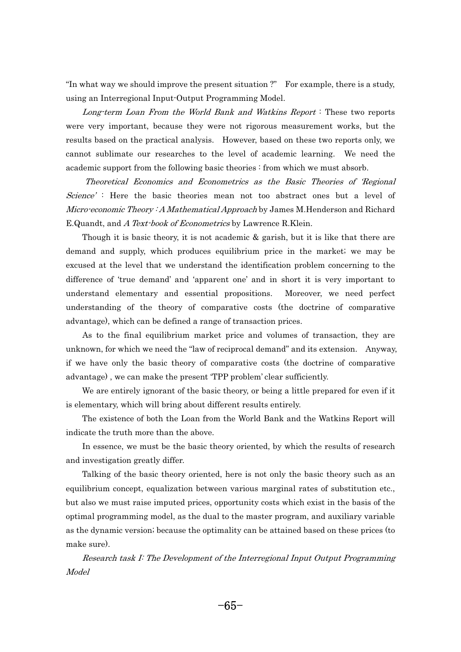"In what way we should improve the present situation ?" For example, there is a study, using an Interregional Input-Output Programming Model.

 Long-term Loan From the World Bank and Watkins Report : These two reports were very important, because they were not rigorous measurement works, but the results based on the practical analysis. However, based on these two reports only, we cannot sublimate our researches to the level of academic learning. We need the academic support from the following basic theories : from which we must absorb. a<br>.

 Theoretical Economics and Econometrics as the Basic Theories of 'Regional Science': Here the basic theories mean not too abstract ones but a level of Micro-economic Theory : A Mathematical Approach by James M. Henderson and Richard E.Quandt, and A Text-book of Econometrics by Lawrence R.Klein.  $\epsilon$ 

 Though it is basic theory, it is not academic & garish, but it is like that there are demand and supply, which produces equilibrium price in the market; we may be excused at the level that we understand the identification problem concerning to the difference of 'true demand' and 'apparent one' and in short it is very important to understand elementary and essential propositions. Moreover, we need perfect understanding of the theory of comparative costs (the doctrine of comparative advantage), which can be defined a range of transaction prices. <sup>v</sup>

 As to the final equilibrium market price and volumes of transaction, they are unknown, for which we need the "law of reciprocal demand" and its extension. Anyway, if we have only the basic theory of comparative costs (the doctrine of comparative advantage), we can make the present 'TPP problem' clear sufficiently.  $\overline{\mathbf{r}}$ 

 We are entirely ignorant of the basic theory, or being a little prepared for even if it is elementary, which will bring about different results entirely. e<sup>1</sup>

 The existence of both the Loan from the World Bank and the Watkins Report will indicate the truth more than the above.  $\mathbf d$ 

 In essence, we must be the basic theory oriented, by which the results of research and investigation greatly differ. - $\frac{1}{2}$ 

 Talking of the basic theory oriented, here is not only the basic theory such as an equilibrium concept, equalization between various marginal rates of substitution etc., but also we must raise imputed prices, opportunity costs which exist in the basis of the optimal programming model, as the dual to the master program, and auxiliary variable as the dynamic version; because the optimality can be attained based on these prices (to make sure).

 Research task I: The Development of the Interregional Input Output Programming Model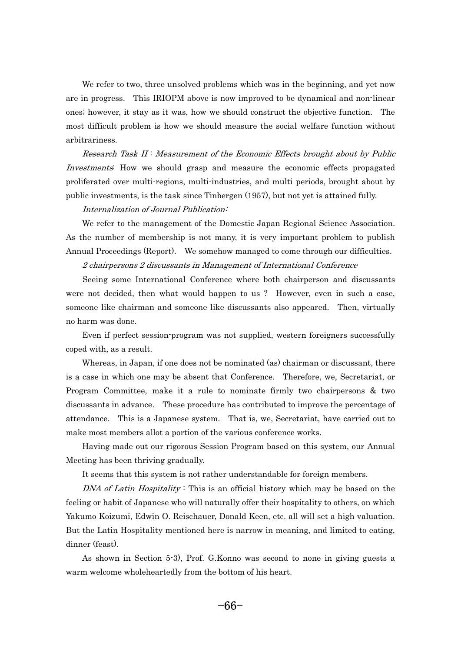We refer to two, three unsolved problems which was in the beginning, and yet now are in progress. This IRIOPM above is now improved to be dynamical and non-linear ones; however, it stay as it was, how we should construct the objective function. The most difficult problem is how we should measure the social welfare function without arbitrariness.

 Research Task II : Measurement of the Economic Effects brought about by Public Investments: How we should grasp and measure the economic effects propagated proliferated over multi-regions, multi-industries, and multi periods, brought about by public investments, is the task since Tinbergen (1957), but not yet is attained fully.

#### Internalization of Journal Publication:

 We refer to the management of the Domestic Japan Regional Science Association. As the number of membership is not many, it is very important problem to publish Annual Proceedings (Report). We somehow managed to come through our difficulties.

#### 2 chairpersons 2 discussants in Management of International Conference

 Seeing some International Conference where both chairperson and discussants were not decided, then what would happen to us ? However, even in such a case, someone like chairman and someone like discussants also appeared. Then, virtually no harm was done. - $\frac{1}{2}$ 

 Even if perfect session-program was not supplied, western foreigners successfully coped with, as a result. p<br>1

 Whereas, in Japan, if one does not be nominated (as) chairman or discussant, there is a case in which one may be absent that Conference. Therefore, we, Secretariat, or Program Committee, make it a rule to nominate firmly two chairpersons & two discussants in advance. These procedure has contributed to improve the percentage of attendance. This is a Japanese system. That is, we, Secretariat, have carried out to make most members allot a portion of the various conference works.  $\mathbf{a}$ 

 Having made out our rigorous Session Program based on this system, our Annual Meeting has been thriving gradually. e

It seems that this system is not rather understandable for foreign members.

DNA of Latin Hospitality: This is an official history which may be based on the feeling or habit of Japanese who will naturally offer their hospitality to others, on which Yakumo Koizumi, Edwin O. Reischauer, Donald Keen, etc. all will set a high valuation. But the Latin Hospitality mentioned here is narrow in meaning, and limited to eating, dinner (feast). n

 As shown in Section 5-3), Prof. G.Konno was second to none in giving guests a warm welcome wholeheartedly from the bottom of his heart.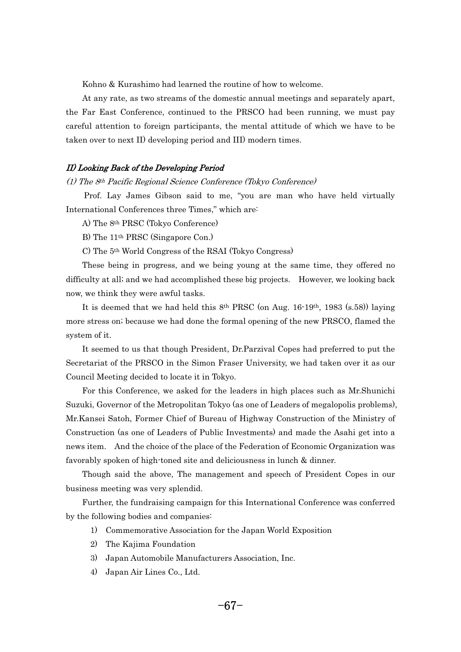Kohno & Kurashimo had learned the routine of how to welcome.

 At any rate, as two streams of the domestic annual meetings and separately apart, the Far East Conference, continued to the PRSCO had been running, we must pay careful attention to foreign participants, the mental attitude of which we have to be taken over to next II) developing period and III) modern times.

#### II) Looking Back of the Developing Period

(1) The 8th Pacific Regional Science Conference (Tokyo Conference) - $\overline{\phantom{a}}$ 

 Prof. Lay James Gibson said to me, "you are man who have held virtually International Conferences three Times," which are: t<sup>t</sup>

A) The 8th PRSC (Tokyo Conference)

B) The 11th PRSC (Singapore Con.)

C) The 5th World Congress of the RSAI (Tokyo Congress)

 These being in progress, and we being young at the same time, they offered no difficulty at all; and we had accomplished these big projects. However, we looking back now, we think they were awful tasks. v<br>J

It is deemed that we had held this  $8<sup>th</sup> PRSC$  (on Aug. 16-19<sup>th</sup>, 1983 (s.58)) laying more stress on; because we had done the formal opening of the new PRSCO, flamed the system of it.  $\mathbf{s}$ 

 It seemed to us that though President, Dr.Parzival Copes had preferred to put the Secretariat of the PRSCO in the Simon Fraser University, we had taken over it as our Council Meeting decided to locate it in Tokyo. - $\overline{\phantom{a}}$ 

 For this Conference, we asked for the leaders in high places such as Mr.Shunichi Suzuki, Governor of the Metropolitan Tokyo (as one of Leaders of megalopolis problems), Mr.Kansei Satoh, Former Chief of Bureau of Highway Construction of the Ministry of Construction (as one of Leaders of Public Investments) and made the Asahi get into a news item. And the choice of the place of the Federation of Economic Organization was favorably spoken of high-toned site and deliciousness in lunch & dinner. **v** 

 Though said the above, The management and speech of President Copes in our business meeting was very splendid. ls<br>-

 Further, the fundraising campaign for this International Conference was conferred by the following bodies and companies:

- 1) Commemorative Association for the Japan World Exposition
- 2) The Kajima Foundation
- 3) Japan Automobile Manufacturers Association, Inc.
- 4) Japan Air Lines Co., Ltd.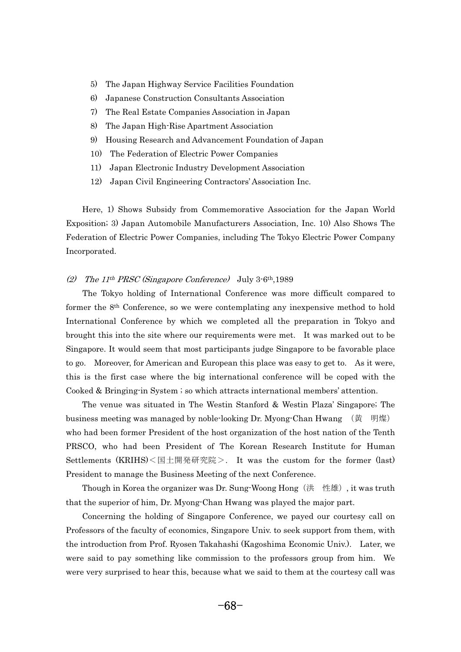- 5) The Japan Highway Service Facilities Foundation
- 6) Japanese Construction Consultants Association
- 7) The Real Estate Companies Association in Japan
- 8) The Japan High-Rise Apartment Association
- 9) Housing Research and Advancement Foundation of Japan
- 10) The Federation of Electric Power Companies
- 11) Japan Electronic Industry Development Association
- 12) Japan Civil Engineering Contractors' Association Inc.

 Here, 1) Shows Subsidy from Commemorative Association for the Japan World Exposition; 3) Japan Automobile Manufacturers Association, Inc. 10) Also Shows The Federation of Electric Power Companies, including The Tokyo Electric Power Company Incorporated.

## (2) The 11<sup>th</sup> PRSC (Singapore Conference) July  $3-6th$ , 1989  $\big)$

 The Tokyo holding of International Conference was more difficult compared to former the 8th Conference, so we were contemplating any inexpensive method to hold International Conference by which we completed all the preparation in Tokyo and brought this into the site where our requirements were met. It was marked out to be Singapore. It would seem that most participants judge Singapore to be favorable place to go. Moreover, for American and European this place was easy to get to. As it were, this is the first case where the big international conference will be coped with the Cooked & Bringing-in System ; so which attracts international members' attention. - $\overline{a}$ 

The venue was situated in The Westin Stanford & Westin Plaza' Singapore; The siness meeting was managed by noble-looking Dr Myong-Chan Hwang ( $\#$  明極) The venue was situated in The Westin Stanford & Westin Plaza' Singapore; The business meeting was managed by noble-looking Dr. Myong-Chan Hwang  $(\# \#)$ who had been former President of the host organization of the host nation of the Tenth PRSCO, who had been President of The Korean Research Institute for Human<br>Settlements (KRIHS)<国土開発研究院>. It was the custom for the former (last) President to manage the Business Meeting of the next Conference.<br>Though in Korea the organizer was Dr. Sung-Woong Hong (洪  $\epsilon$ 

Though in Korea the organizer was Dr. Sung Woong Hong  $(\# \# \# \#)$ , it was truth that the superior of him, Dr. Myong-Chan Hwang was played the major part. a

 Concerning the holding of Singapore Conference, we payed our courtesy call on Professors of the faculty of economics, Singapore Univ. to seek support from them, with the introduction from Prof. Ryosen Takahashi (Kagoshima Economic Univ.). Later, we were said to pay something like commission to the professors group from him. We were very surprised to hear this, because what we said to them at the courtesy call was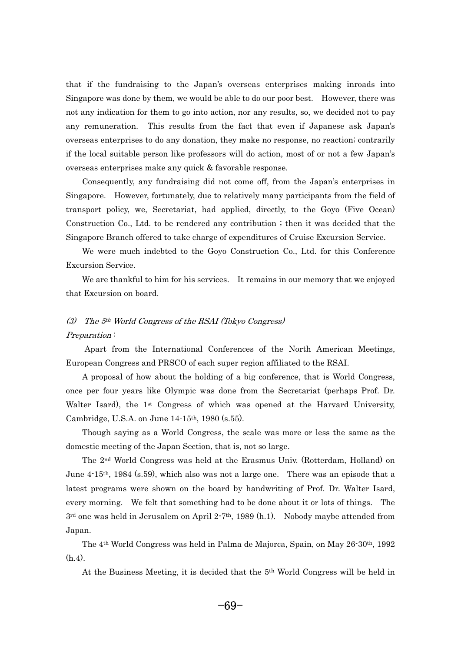that if the fundraising to the Japan's overseas enterprises making inroads into Singapore was done by them, we would be able to do our poor best. However, there was not any indication for them to go into action, nor any results, so, we decided not to pay any remuneration. This results from the fact that even if Japanese ask Japan's overseas enterprises to do any donation, they make no response, no reaction; contrarily if the local suitable person like professors will do action, most of or not a few Japan's overseas enterprises make any quick & favorable response. e<br>e

 Consequently, any fundraising did not come off, from the Japan's enterprises in Singapore. However, fortunately, due to relatively many participants from the field of transport policy, we, Secretariat, had applied, directly, to the Goyo (Five Ocean) Construction Co., Ltd. to be rendered any contribution ; then it was decided that the Singapore Branch offered to take charge of expenditures of Cruise Excursion Service. n<br>.

 We were much indebted to the Goyo Construction Co., Ltd. for this Conference Excursion Service.

We are thankful to him for his services. It remains in our memory that we enjoyed that Excursion on board.

# (3) The 5th World Congress of the RSAI (Tokyo Congress) Preparation: -

 Apart from the International Conferences of the North American Meetings, European Congress and PRSCO of each super region affiliated to the RSAI. -11<br>1

 A proposal of how about the holding of a big conference, that is World Congress, once per four years like Olympic was done from the Secretariat (perhaps Prof. Dr. Walter Isard), the  $1<sup>st</sup>$  Congress of which was opened at the Harvard University, Cambridge, U.S.A. on June 14-15<sup>th</sup>, 1980 (s.55). 11<br>1

 Though saying as a World Congress, the scale was more or less the same as the domestic meeting of the Japan Section, that is, not so large. n<br>I

 The 2nd World Congress was held at the Erasmus Univ. (Rotterdam, Holland) on June 4-15th, 1984 (s.59), which also was not a large one. There was an episode that a latest programs were shown on the board by handwriting of Prof. Dr. Walter Isard, every morning. We felt that something had to be done about it or lots of things. The  $3<sup>rd</sup>$  one was held in Jerusalem on April 2-7<sup>th</sup>, 1989 (h.1). Nobody maybe attended from Japan.  $\mathfrak{r}$ 

 The 4th World Congress was held in Palma de Majorca, Spain, on May 26-30th, 1992  $(h.4)$ .  $\cdot$ <sup>2</sup>

At the Business Meeting, it is decided that the 5th World Congress will be held in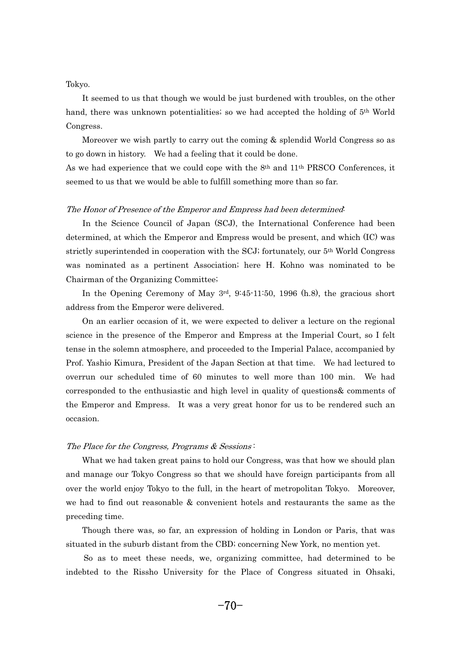# Tokyo.  $\frac{1}{2}$

 It seemed to us that though we would be just burdened with troubles, on the other hand, there was unknown potentialities; so we had accepted the holding of 5th World Congress.  $\overline{a}$ 

 Moreover we wish partly to carry out the coming & splendid World Congress so as to go down in history. We had a feeling that it could be done.

As we had experience that we could cope with the 8th and 11th PRSCO Conferences, it seemed to us that we would be able to fulfill something more than so far.

# The Honor of Presence of the Emperor and Empress had been determined:  $\frac{1}{2}$

 In the Science Council of Japan (SCJ), the International Conference had been determined, at which the Emperor and Empress would be present, and which (IC) was strictly superintended in cooperation with the SCJ; fortunately, our 5th World Congress was nominated as a pertinent Association; here H. Kohno was nominated to be Chairman of the Organizing Committee; -า:<br>-

In the Opening Ceremony of May  $3<sup>rd</sup>$ ,  $9:45-11:50$ , 1996 (h.8), the gracious short address from the Emperor were delivered.  $\overline{c}$ 

 On an earlier occasion of it, we were expected to deliver a lecture on the regional science in the presence of the Emperor and Empress at the Imperial Court, so I felt tense in the solemn atmosphere, and proceeded to the Imperial Palace, accompanied by Prof. Yashio Kimura, President of the Japan Section at that time. We had lectured to overrun our scheduled time of 60 minutes to well more than 100 min. We had corresponded to the enthusiastic and high level in quality of questions& comments of the Emperor and Empress. It was a very great honor for us to be rendered such an occasion.

# The Place for the Congress, Programs & Sessions: h<br>1

 What we had taken great pains to hold our Congress, was that how we should plan and manage our Tokyo Congress so that we should have foreign participants from all over the world enjoy Tokyo to the full, in the heart of metropolitan Tokyo. Moreover, we had to find out reasonable & convenient hotels and restaurants the same as the preceding time. e<br>e

 Though there was, so far, an expression of holding in London or Paris, that was situated in the suburb distant from the CBD; concerning New York, no mention yet. rc

 So as to meet these needs, we, organizing committee, had determined to be indebted to the Rissho University for the Place of Congress situated in Ohsaki,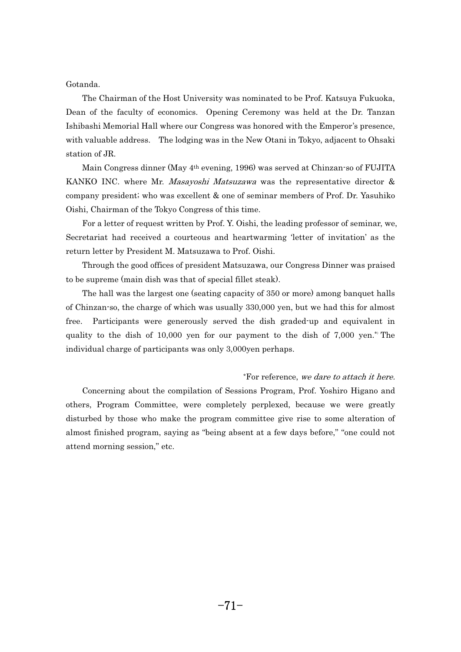Gotanda.  $\mathfrak{b}$ 

 The Chairman of the Host University was nominated to be Prof. Katsuya Fukuoka, Dean of the faculty of economics. Opening Ceremony was held at the Dr. Tanzan Ishibashi Memorial Hall where our Congress was honored with the Emperor's presence, with valuable address. The lodging was in the New Otani in Tokyo, adjacent to Ohsaki station of JR. a<sup>.</sup>

 Main Congress dinner (May 4th evening, 1996) was served at Chinzan-so of FUJITA KANKO INC. where Mr. *Masayoshi Matsuzawa* was the representative director & company president; who was excellent & one of seminar members of Prof. Dr. Yasuhiko Oishi, Chairman of the Tokyo Congress of this time. .<br>S

 For a letter of request written by Prof. Y. Oishi, the leading professor of seminar, we, Secretariat had received a courteous and heartwarming 'letter of invitation' as the return letter by President M. Matsuzawa to Prof. Oishi. t<sup>i</sup>

 Through the good offices of president Matsuzawa, our Congress Dinner was praised to be supreme (main dish was that of special fillet steak). -

 The hall was the largest one (seating capacity of 350 or more) among banquet halls of Chinzan-so, the charge of which was usually 330,000 yen, but we had this for almost free. Participants were generously served the dish graded-up and equivalent in quality to the dish of 10,000 yen for our payment to the dish of 7,000 yen.\*) The individual charge of participants was only 3,000yen perhaps.

\*For reference, we dare to attach it here.

 Concerning about the compilation of Sessions Program, Prof. Yoshiro Higano and others, Program Committee, were completely perplexed, because we were greatly disturbed by those who make the program committee give rise to some alteration of almost finished program, saying as "being absent at a few days before," "one could not attend morning session," etc.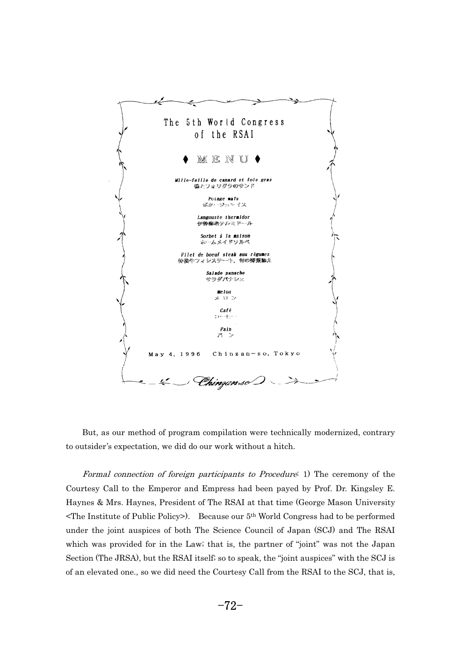

 But, as our method of program compilation were technically modernized, contrary to outsider's expectation, we did do our work without a hitch.

- Formal connection of foreign participants to Procedure: 1) The ceremony of the Courtesy Call to the Emperor and Empress had been payed by Prof. Dr. Kingsley E. Haynes & Mrs. Haynes, President of The RSAI at that time (George Mason University <The Institute of Public Policy>). Because our 5th World Congress had to be performed under the joint auspices of both The Science Council of Japan (SCJ) and The RSAI which was provided for in the Law; that is, the partner of "joint" was not the Japan Section (The JRSA), but the RSAI itself; so to speak, the "joint auspices" with the SCJ is of an elevated one., so we did need the Courtesy Call from the RSAI to the SCJ, that is,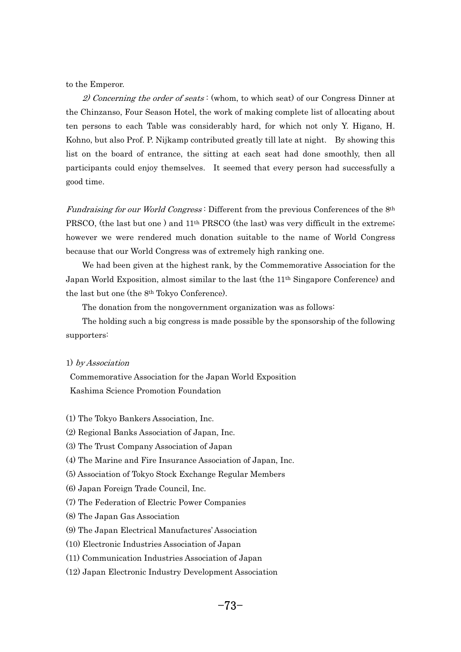to the Emperor.

2) Concerning the order of seats: (whom, to which seat) of our Congress Dinner at the Chinzanso, Four Season Hotel, the work of making complete list of allocating about ten persons to each Table was considerably hard, for which not only Y. Higano, H. Kohno, but also Prof. P. Nijkamp contributed greatly till late at night. By showing this list on the board of entrance, the sitting at each seat had done smoothly, then all participants could enjoy themselves. It seemed that every person had successfully a good time.

Fundraising for our World Congress: Different from the previous Conferences of the 8<sup>th</sup> PRSCO, (the last but one) and 11<sup>th</sup> PRSCO (the last) was very difficult in the extreme; however we were rendered much donation suitable to the name of World Congress because that our World Congress was of extremely high ranking one. <sup>c</sup>

 We had been given at the highest rank, by the Commemorative Association for the Japan World Exposition, almost similar to the last (the 11th Singapore Conference) and the last but one (the 8<sup>th</sup> Tokyo Conference). e

The donation from the nongovernment organization was as follows:

 The holding such a big congress is made possible by the sponsorship of the following supporters:

#### 1) by Association

Commemorative Association for the Japan World Exposition Kashima Science Promotion Foundation

- (1) The Tokyo Bankers Association, Inc.
- (2) Regional Banks Association of Japan, Inc.
- (3) The Trust Company Association of Japan
- (4) The Marine and Fire Insurance Association of Japan, Inc.
- (5) Association of Tokyo Stock Exchange Regular Members
- (6) Japan Foreign Trade Council, Inc.
- (7) The Federation of Electric Power Companies
- (8) The Japan Gas Association
- (9) The Japan Electrical Manufactures' Association
- (10) Electronic Industries Association of Japan
- (11) Communication Industries Association of Japan
- (12) Japan Electronic Industry Development Association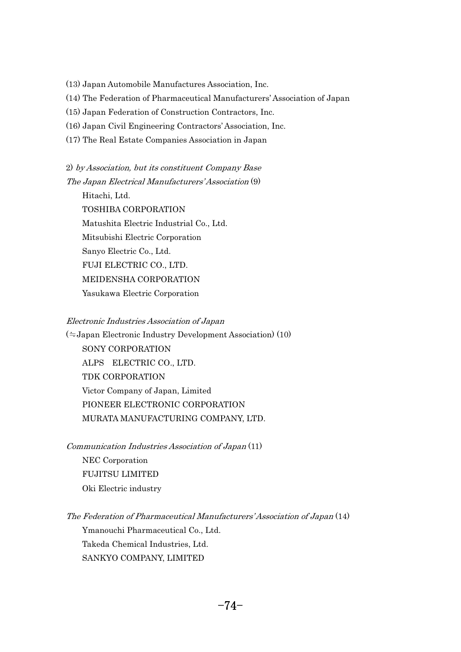(13) Japan Automobile Manufactures Association, Inc.

(14) The Federation of Pharmaceutical Manufacturers' Association of Japan

(15) Japan Federation of Construction Contractors, Inc.

(16) Japan Civil Engineering Contractors' Association, Inc.

(17) The Real Estate Companies Association in Japan

2) by Association, but its constituent Company Base The Japan Electrical Manufacturers' Association (9) h<br>1

 Hitachi, Ltd. TOSHIBA CORPORATION Matushita Electric Industrial Co., Ltd. Mitsubishi Electric Corporation Sanyo Electric Co., Ltd. FUJI ELECTRIC CO., LTD. MEIDENSHA CORPORATION Yasukawa Electric Corporation

Electronic Industries Association of Japan

*Electronic Industries Association of Japan*<br>(≒Japan Electronic Industry Development Association) (10) - SONY CORPORATION ALPS ELECTRIC CO., LTD. TDK CORPORATION Victor Company of Japan, Limited PIONEER ELECTRONIC CORPORATION MURATA MANUFACTURING COMPANY, LTD.

Communication Industries Association of Japan (11) -.<br>ג NEC Corporation FUJITSU LIMITED Oki Electric industry

The Federation of Pharmaceutical Manufacturers' Association of Japan (14) h<br>1 Ymanouchi Pharmaceutical Co., Ltd. Takeda Chemical Industries, Ltd. SANKYO COMPANY, LIMITED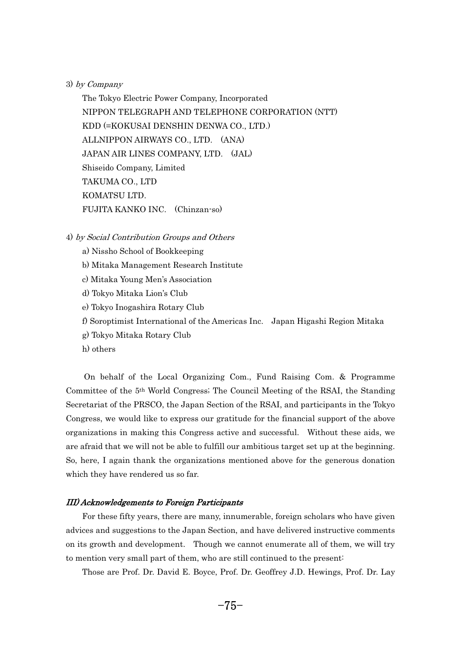3) by Company - $\frac{1}{2}$ 

 The Tokyo Electric Power Company, Incorporated NIPPON TELEGRAPH AND TELEPHONE CORPORATION (NTT) KDD (=KOKUSAI DENSHIN DENWA CO., LTD.) ALLNIPPON AIRWAYS CO., LTD. (ANA) JAPAN AIR LINES COMPANY, LTD. (JAL) Shiseido Company, Limited TAKUMA CO., LTD KOMATSU LTD. FUJITA KANKO INC. (Chinzan-so)

4) by Social Contribution Groups and Others - $\frac{1}{2}$ 

- a) Nissho School of Bookkeeping
- b) Mitaka Management Research Institute
- c) Mitaka Young Men's Association
- d) Tokyo Mitaka Lion's Club
- e) Tokyo Inogashira Rotary Club
- f) Soroptimist International of the Americas Inc. Japan Higashi Region Mitaka
- g) Tokyo Mitaka Rotary Club
- h) others

 On behalf of the Local Organizing Com., Fund Raising Com. & Programme Committee of the 5th World Congress; The Council Meeting of the RSAI, the Standing Secretariat of the PRSCO, the Japan Section of the RSAI, and participants in the Tokyo Congress, we would like to express our gratitude for the financial support of the above organizations in making this Congress active and successful. Without these aids, we are afraid that we will not be able to fulfill our ambitious target set up at the beginning. So, here, I again thank the organizations mentioned above for the generous donation which they have rendered us so far.

# III) Acknowledgements to Foreign Participants - $\overline{\iota}$

 For these fifty years, there are many, innumerable, foreign scholars who have given advices and suggestions to the Japan Section, and have delivered instructive comments on its growth and development. Though we cannot enumerate all of them, we will try to mention very small part of them, who are still continued to the present: **r** 

Those are Prof. Dr. David E. Boyce, Prof. Dr. Geoffrey J.D. Hewings, Prof. Dr. Lay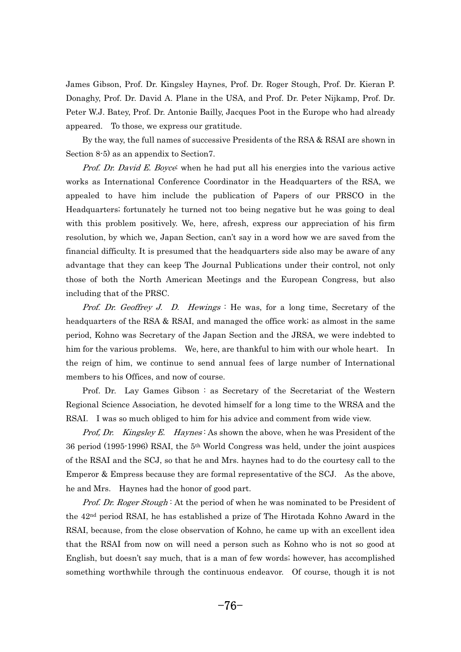James Gibson, Prof. Dr. Kingsley Haynes, Prof. Dr. Roger Stough, Prof. Dr. Kieran P. Donaghy, Prof. Dr. David A. Plane in the USA, and Prof. Dr. Peter Nijkamp, Prof. Dr. Peter W.J. Batey, Prof. Dr. Antonie Bailly, Jacques Poot in the Europe who had already appeared. To those, we express our gratitude. -<sub>1</sub>

 By the way, the full names of successive Presidents of the RSA & RSAI are shown in Section 8-5) as an appendix to Section7.

Prof. Dr. David E. Boyce: when he had put all his energies into the various active works as International Conference Coordinator in the Headquarters of the RSA, we appealed to have him include the publication of Papers of our PRSCO in the Headquarters; fortunately he turned not too being negative but he was going to deal with this problem positively. We, here, afresh, express our appreciation of his firm resolution, by which we, Japan Section, can't say in a word how we are saved from the financial difficulty. It is presumed that the headquarters side also may be aware of any advantage that they can keep The Journal Publications under their control, not only those of both the North American Meetings and the European Congress, but also including that of the PRSC.

*Prof.* Dr. Geoffrey J. D. Hewings : He was, for a long time, Secretary of the headquarters of the RSA & RSAI, and managed the office work; as almost in the same period, Kohno was Secretary of the Japan Section and the JRSA, we were indebted to him for the various problems. We, here, are thankful to him with our whole heart. In the reign of him, we continue to send annual fees of large number of International members to his Offices, and now of course. e:

 Prof. Dr. Lay Games Gibson : as Secretary of the Secretariat of the Western Regional Science Association, he devoted himself for a long time to the WRSA and the RSAI. I was so much obliged to him for his advice and comment from wide view.

Prof, Dr. Kingsley E. Haynes: As shown the above, when he was President of the 36 period (1995-1996) RSAI, the 5th World Congress was held, under the joint auspices of the RSAI and the SCJ, so that he and Mrs. haynes had to do the courtesy call to the Emperor & Empress because they are formal representative of the SCJ. As the above, he and Mrs. Haynes had the honor of good part.

Prof. Dr. Roger Stough: At the period of when he was nominated to be President of the 42nd period RSAI, he has established a prize of The Hirotada Kohno Award in the RSAI, because, from the close observation of Kohno, he came up with an excellent idea that the RSAI from now on will need a person such as Kohno who is not so good at English, but doesn't say much, that is a man of few words; however, has accomplished something worthwhile through the continuous endeavor. Of course, though it is not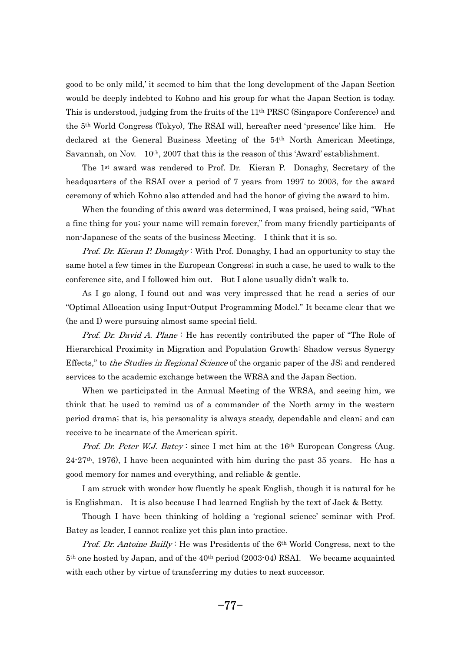good to be only mild,' it seemed to him that the long development of the Japan Section would be deeply indebted to Kohno and his group for what the Japan Section is today. This is understood, judging from the fruits of the 11th PRSC (Singapore Conference) and the 5th World Congress (Tokyo), The RSAI will, hereafter need 'presence' like him. He declared at the General Business Meeting of the 54th North American Meetings, Savannah, on Nov. 10<sup>th</sup>, 2007 that this is the reason of this 'Award' establishment.  $\mathfrak{g}$ 

 The 1st award was rendered to Prof. Dr. Kieran P. Donaghy, Secretary of the headquarters of the RSAI over a period of 7 years from 1997 to 2003, for the award ceremony of which Kohno also attended and had the honor of giving the award to him. r<sup>.</sup>

 When the founding of this award was determined, I was praised, being said, "What a fine thing for you; your name will remain forever," from many friendly participants of non-Japanese of the seats of the business Meeting. I think that it is so.

Prof. Dr. Kieran P. Donaghy: With Prof. Donaghy, I had an opportunity to stay the same hotel a few times in the European Congress; in such a case, he used to walk to the conference site, and I followed him out. But I alone usually didn't walk to. n<br>.

 As I go along, I found out and was very impressed that he read a series of our "Optimal Allocation using Input-Output Programming Model." It became clear that we (he and I) were pursuing almost same special field.

Prof. Dr. David A. Plane: He has recently contributed the paper of "The Role of" Hierarchical Proximity in Migration and Population Growth: Shadow versus Synergy Effects," to *the Studies in Regional Science* of the organic paper of the JS; and rendered services to the academic exchange between the WRSA and the Japan Section. r<sup>.</sup>

 When we participated in the Annual Meeting of the WRSA, and seeing him, we think that he used to remind us of a commander of the North army in the western period drama; that is, his personality is always steady, dependable and clean; and can receive to be incarnate of the American spirit.

Prof. Dr. Peter W.J. Batey: since I met him at the 16th European Congress (Aug.  $24\cdot27$ <sup>th</sup>, 1976), I have been acquainted with him during the past 35 years. He has a good memory for names and everything, and reliable & gentle.  $\overline{0}$ 

 I am struck with wonder how fluently he speak English, though it is natural for he is Englishman. It is also because I had learned English by the text of Jack & Betty. **F** 

 Though I have been thinking of holding a 'regional science' seminar with Prof. Batey as leader, I cannot realize yet this plan into practice.

---<sub>2</sub> ------<br>-*Prof. Dr. Antoine Bailly*: He was Presidents of the  $6<sup>th</sup>$  World Congress, next to the 5th one hosted by Japan, and of the 40th period (2003-04) RSAI. We became acquainted with each other by virtue of transferring my duties to next successor.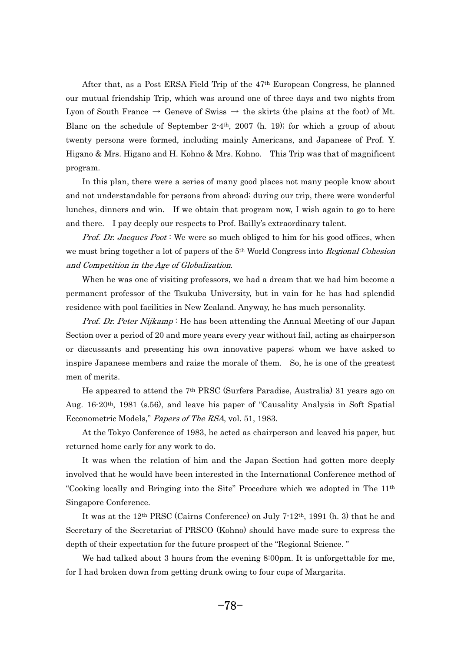After that, as a Post ERSA Field Trip of the 47th European Congress, he planned our mutual friendship Trip, which was around one of three days and two nights from Lyon of South France  $\rightarrow$  Geneve of Swiss  $\rightarrow$  the skirts (the plains at the foot) of Mt. Blanc on the schedule of September  $2-4$ <sup>th</sup>, 2007 (h. 19); for which a group of about twenty persons were formed, including mainly Americans, and Japanese of Prof. Y. Higano & Mrs. Higano and H. Kohno & Mrs. Kohno. This Trip was that of magnificent program. -<sup>0</sup>

 In this plan, there were a series of many good places not many people know about and not understandable for persons from abroad; during our trip, there were wonderful lunches, dinners and win. If we obtain that program now, I wish again to go to here and there. I pay deeply our respects to Prof. Bailly's extraordinary talent.

Prof. Dr. Jacques Poot: We were so much obliged to him for his good offices, when we must bring together a lot of papers of the 5<sup>th</sup> World Congress into *Regional Cohesion* and Competition in the Age of Globalization. - $\overline{\phantom{a}}$ 

 When he was one of visiting professors, we had a dream that we had him become a permanent professor of the Tsukuba University, but in vain for he has had splendid residence with pool facilities in New Zealand. Anyway, he has much personality.

Prof. Dr. Peter Nijkamp: He has been attending the Annual Meeting of our Japan Section over a period of 20 and more years every year without fail, acting as chairperson or discussants and presenting his own innovative papers; whom we have asked to inspire Japanese members and raise the morale of them. So, he is one of the greatest men of merits. e:

 He appeared to attend the 7th PRSC (Surfers Paradise, Australia) 31 years ago on Aug. 16-20th, 1981 (s.56), and leave his paper of "Causality Analysis in Soft Spatial Ecconometric Models," Papers of The RSA, vol. 51, 1983.  $\infty$ 

 At the Tokyo Conference of 1983, he acted as chairperson and leaved his paper, but returned home early for any work to do. t<sup>i</sup>

 It was when the relation of him and the Japan Section had gotten more deeply involved that he would have been interested in the International Conference method of "Cooking locally and Bringing into the Site" Procedure which we adopted in The  $11<sup>th</sup>$ Singapore Conference. n<br>.

 It was at the 12th PRSC (Cairns Conference) on July 7-12th, 1991 (h. 3) that he and Secretary of the Secretariat of PRSCO (Kohno) should have made sure to express the depth of their expectation for the future prospect of the "Regional Science." <sub>i</sub>r

-We had talked about 3 hours from the evening 8:00pm. It is unforgettable for me, for I had broken down from getting drunk owing to four cups of Margarita.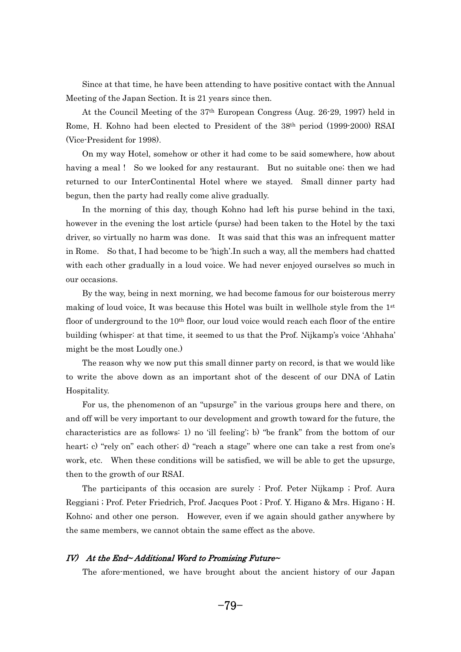Since at that time, he have been attending to have positive contact with the Annual Since at that time, he have been attending to have  $\mu$  Meeting of the Japan Section. It is 21 years since then.  $\overline{\phantom{a}}$ e

 At the Council Meeting of the 37th European Congress (Aug. 26-29, 1997) held in Rome, H. Kohno had been elected to President of the 38th period (1999-2000) RSAI (Vice-President for 1998). i<br>1

 On my way Hotel, somehow or other it had come to be said somewhere, how about having a meal ! So we looked for any restaurant. But no suitable one; then we had returned to our InterContinental Hotel where we stayed. Small dinner party had begun, then the party had really come alive gradually. e<br>S

 In the morning of this day, though Kohno had left his purse behind in the taxi, however in the evening the lost article (purse) had been taken to the Hotel by the taxi driver, so virtually no harm was done. It was said that this was an infrequent matter in Rome. So that, I had become to be 'high'.In such a way, all the members had chatted with each other gradually in a loud voice. We had never enjoyed ourselves so much in our occasions. lr

 By the way, being in next morning, we had become famous for our boisterous merry making of loud voice, It was because this Hotel was built in wellhole style from the 1st floor of underground to the  $10<sup>th</sup>$  floor, our loud voice would reach each floor of the entire building (whisper: at that time, it seemed to us that the Prof. Nijkamp's voice 'Ahhaha' might be the most Loudly one.)  $i_{\xi}$ 

 The reason why we now put this small dinner party on record, is that we would like to write the above down as an important shot of the descent of our DNA of Latin Hospitality. .<br>ว.

 For us, the phenomenon of an "upsurge" in the various groups here and there, on and off will be very important to our development and growth toward for the future, the characteristics are as follows: 1) no 'ill feeling'; b) "be frank" from the bottom of our heart; c) "rely on" each other; d) "reach a stage" where one can take a rest from one's work, etc. When these conditions will be satisfied, we will be able to get the upsurge, then to the growth of our RSAI. e<sup>\*</sup>

 The participants of this occasion are surely : Prof. Peter Nijkamp ; Prof. Aura Reggiani ; Prof. Peter Friedrich, Prof. Jacques Poot ; Prof. Y. Higano & Mrs. Higano ; H. Kohno; and other one person. However, even if we again should gather anywhere by the same members, we cannot obtain the same effect as the above.

# $IV$  At the End~Additional Word to Promising Future~  $\bigvee$

--<sub>0</sub>--- ---<br>--The afore-mentioned, we have brought about the ancient history of our Japan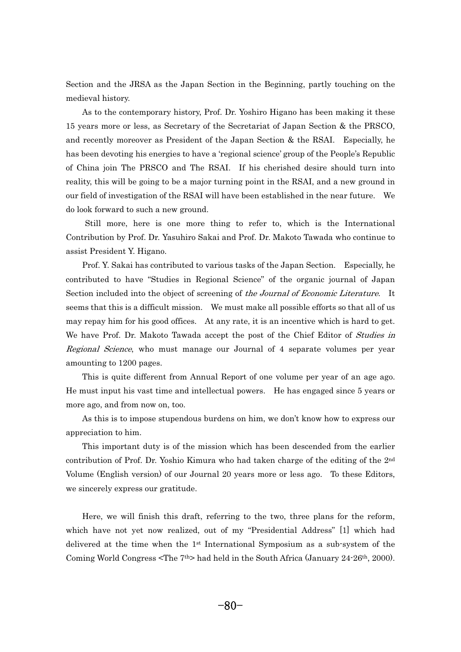Section and the JRSA as the Japan Section in the Beginning, partly touching on the medieval history. e<sup>l</sup>

 As to the contemporary history, Prof. Dr. Yoshiro Higano has been making it these 15 years more or less, as Secretary of the Secretariat of Japan Section & the PRSCO, and recently moreover as President of the Japan Section & the RSAI. Especially, he has been devoting his energies to have a 'regional science' group of the People's Republic of China join The PRSCO and The RSAI. If his cherished desire should turn into reality, this will be going to be a major turning point in the RSAI, and a new ground in our field of investigation of the RSAI will have been established in the near future. We do look forward to such a new ground. --

 Still more, here is one more thing to refer to, which is the International Contribution by Prof. Dr. Yasuhiro Sakai and Prof. Dr. Makoto Tawada who continue to assist President Y. Higano. s

 Prof. Y. Sakai has contributed to various tasks of the Japan Section. Especially, he contributed to have "Studies in Regional Science" of the organic journal of Japan Section included into the object of screening of the Journal of Economic Literature. It seems that this is a difficult mission. We must make all possible efforts so that all of us may repay him for his good offices. At any rate, it is an incentive which is hard to get. We have Prof. Dr. Makoto Tawada accept the post of the Chief Editor of *Studies in* Regional Science, who must manage our Journal of 4 separate volumes per year amounting to 1200 pages. n

 This is quite different from Annual Report of one volume per year of an age ago. He must input his vast time and intellectual powers. He has engaged since 5 years or more ago, and from now on, too. - $\overline{0}$ 

 As this is to impose stupendous burdens on him, we don't know how to express our appreciation to him. -<sub>l</sub>

 This important duty is of the mission which has been descended from the earlier contribution of Prof. Dr. Yoshio Kimura who had taken charge of the editing of the 2nd Volume (English version) of our Journal 20 years more or less ago. To these Editors, we sincerely express our gratitude.

 Here, we will finish this draft, referring to the two, three plans for the reform, which have not yet now realized, out of my "Presidential Address" [1] which had delivered at the time when the 1st International Symposium as a sub-system of the Coming World Congress <The 7th> had held in the South Africa (January 24-26th, 2000).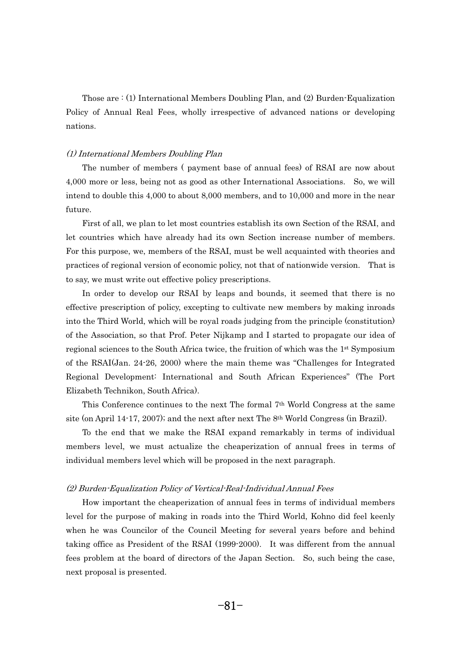Those are  $(1)$  International Members Doubling Plan, and  $(2)$  Burden-Equalization Policy of Annual Real Fees, wholly irrespective of advanced nations or developing nations.

# (1) International Members Doubling Plan  $\big)$

 The number of members ( payment base of annual fees) of RSAI are now about 4,000 more or less, being not as good as other International Associations. So, we will intend to double this 4,000 to about 8,000 members, and to 10,000 and more in the near future. t<sup>i</sup>

 First of all, we plan to let most countries establish its own Section of the RSAI, and let countries which have already had its own Section increase number of members. For this purpose, we, members of the RSAI, must be well acquainted with theories and practices of regional version of economic policy, not that of nationwide version. That is to say, we must write out effective policy prescriptions. <u>م</u>

 In order to develop our RSAI by leaps and bounds, it seemed that there is no effective prescription of policy, excepting to cultivate new members by making inroads into the Third World, which will be royal roads judging from the principle (constitution) of the Association, so that Prof. Peter Nijkamp and I started to propagate our idea of regional sciences to the South Africa twice, the fruition of which was the 1<sup>st</sup> Symposium of the RSAI(Jan. 24-26, 2000) where the main theme was "Challenges for Integrated Regional Development: International and South African Experiences" (The Port Elizabeth Technikon, South Africa). i:<br>.

 This Conference continues to the next The formal 7th World Congress at the same site (on April 14-17, 2007); and the next after next The 8<sup>th</sup> World Congress (in Brazil).  $E$ 

 To the end that we make the RSAI expand remarkably in terms of individual members level, we must actualize the cheaperization of annual frees in terms of individual members level which will be proposed in the next paragraph.

# (2) Burden-Equalization Policy of Vertical-Real-Individual Annual Fees - $\big)$

 How important the cheaperization of annual fees in terms of individual members level for the purpose of making in roads into the Third World, Kohno did feel keenly when he was Councilor of the Council Meeting for several years before and behind taking office as President of the RSAI (1999-2000). It was different from the annual fees problem at the board of directors of the Japan Section. So, such being the case, next proposal is presented.